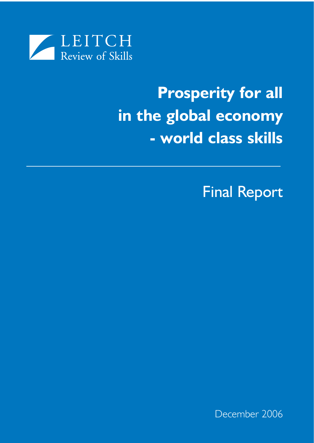

# **Prosperity for all in the global economy - world class skills**

Final Report

December 2006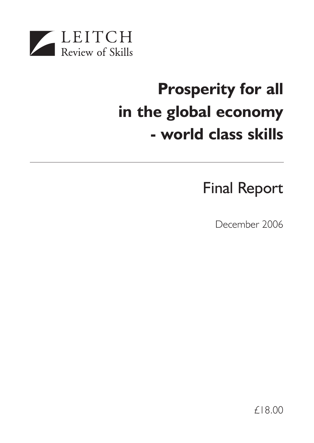

# **Prosperity for all in the global economy - world class skills**

Final Report

December 2006

£18.00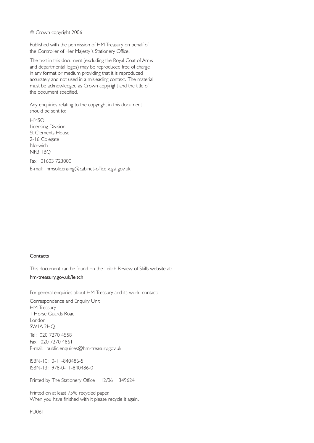© Crown copyright 2006

Published with the permission of HM Treasury on behalf of the Controller of Her Majesty's Stationery Office.

The text in this document (excluding the Royal Coat of Arms and departmental logos) may be reproduced free of charge in any format or medium providing that it is reproduced accurately and not used in a misleading context. The material must be acknowledged as Crown copyright and the title of the document specified.

Any enquiries relating to the copyright in this document should be sent to:

HMSO Licensing Division St Clements House 2-16 Colegate **Norwich** NR3 1BQ

Fax: 01603 723000

E-mail: hmsolicensing@cabinet-office.x.gsi.gov.uk

#### **Contacts**

This document can be found on the Leitch Review of Skills website at:

#### hm-treasury.gov.uk/leitch

For general enquiries about HM Treasury and its work, contact:

Correspondence and Enquiry Unit HM Treasury 1 Horse Guards Road London SW1A 2HQ Tel: 020 7270 4558 Fax: 020 7270 4861 E-mail: public.enquiries@hm-treasury.gov.uk

ISBN-10: 0-11-840486-5 ISBN-13: 978-0-11-840486-0

Printed by The Stationery Office 12/06 349624

Printed on at least 75% recycled paper. When you have finished with it please recycle it again.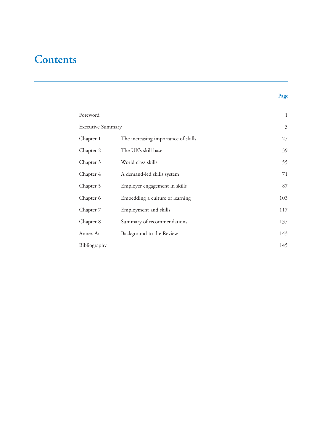# **Contents**

| ۰.<br> | ۰,<br>. | $\sim$ |
|--------|---------|--------|
|        |         |        |

| Foreword                 |                                     | 1              |
|--------------------------|-------------------------------------|----------------|
| <b>Executive Summary</b> |                                     | $\mathfrak{Z}$ |
| Chapter 1                | The increasing importance of skills | 27             |
| Chapter 2                | The UK's skill base                 | 39             |
| Chapter 3                | World class skills                  | 55             |
| Chapter 4                | A demand-led skills system          | 71             |
| Chapter 5                | Employer engagement in skills       | 87             |
| Chapter 6                | Embedding a culture of learning     | 103            |
| Chapter 7                | Employment and skills               | 117            |
| Chapter 8                | Summary of recommendations          | 137            |
| Annex A:                 | Background to the Review            | 143            |
| Bibliography             |                                     | 145            |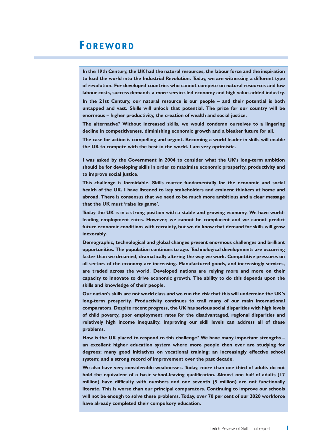# **FOREWORD**

**In the 19th Century, the UK had the natural resources, the labour force and the inspiration to lead the world into the Industrial Revolution. Today, we are witnessing a different type of revolution. For developed countries who cannot compete on natural resources and low labour costs, success demands a more service-led economy and high value-added industry.**

**In the 21st Century, our natural resource is our people – and their potential is both untapped and vast. Skills will unlock that potential. The prize for our country will be enormous – higher productivity, the creation of wealth and social justice.**

**The alternative? Without increased skills, we would condemn ourselves to a lingering decline in competitiveness, diminishing economic growth and a bleaker future for all.**

**The case for action is compelling and urgent. Becoming a world leader in skills will enable the UK to compete with the best in the world. I am very optimistic.**

**I was asked by the Government in 2004 to consider what the UK's long-term ambition should be for developing skills in order to maximise economic prosperity, productivity and to improve social justice.**

**This challenge is formidable. Skills matter fundamentally for the economic and social health of the UK. I have listened to key stakeholders and eminent thinkers at home and abroad. There is consensus that we need to be much more ambitious and a clear message that the UK must 'raise its game'.**

**Today the UK is in a strong position with a stable and growing economy. We have worldleading employment rates. However, we cannot be complacent and we cannot predict future economic conditions with certainty, but we do know that demand for skills will grow inexorably.**

**Demographic, technological and global changes present enormous challenges and brilliant opportunities. The population continues to age. Technological developments are occurring faster than we dreamed, dramatically altering the way we work. Competitive pressures on all sectors of the economy are increasing. Manufactured goods, and increasingly services, are traded across the world. Developed nations are relying more and more on their capacity to innovate to drive economic growth. The ability to do this depends upon the skills and knowledge of their people.**

**Our nation's skills are not world class and we run the risk that this will undermine the UK's long-term prosperity. Productivity continues to trail many of our main international comparators. Despite recent progress, the UK has serious social disparities with high levels of child poverty, poor employment rates for the disadvantaged, regional disparities and relatively high income inequality. Improving our skill levels can address all of these problems.**

**How is the UK placed to respond to this challenge? We have many important strengths – an excellent higher education system where more people then ever are studying for degrees; many good initiatives on vocational training; an increasingly effective school system; and a strong record of improvement over the past decade.**

**We also have very considerable weaknesses. Today, more than one third of adults do not hold the equivalent of a basic school-leaving qualification. Almost one half of adults (17 million) have difficulty with numbers and one seventh (5 million) are not functionally literate. This is worse than our principal comparators. Continuing to improve our schools will not be enough to solve these problems. Today, over 70 per cent of our 2020 workforce have already completed their compulsory education.**

**1**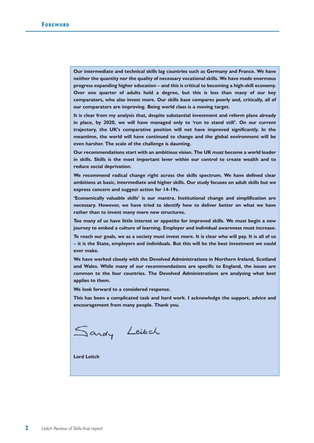**Our intermediate and technical skills lag countries such as Germany and France. We have neither the quantity nor the quality of necessary vocational skills. We have made enormous progress expanding higher education – and this is critical to becoming a high-skill economy. Over one quarter of adults hold a degree, but this is less than many of our key comparators, who also invest more. Our skills base compares poorly and, critically, all of our comparators are improving. Being world class is a moving target.**

**It is clear from my analysis that, despite substantial investment and reform plans already in place, by 2020, we will have managed only to 'run to stand still'. On our current trajectory, the UK's comparative position will not have improved significantly. In the meantime, the world will have continued to change and the global environment will be even harsher. The scale of the challenge is daunting.**

**Our recommendations start with an ambitious vision. The UK must become a world leader in skills. Skills is the most important lever within our control to create wealth and to reduce social deprivation.**

**We recommend radical change right across the skills spectrum. We have defined clear ambitions at basic, intermediate and higher skills. Our study focuses on adult skills but we express concern and suggest action for 14-19s.**

**'Economically valuable skills' is our mantra. Institutional change and simplification are necessary. However, we have tried to identify how to deliver better on what we have rather than to invent many more new structures.**

**Too many of us have little interest or appetite for improved skills. We must begin a new journey to embed a culture of learning. Employer and individual awareness must increase.**

**To reach our goals, we as a society must invest more. It is clear who will pay. It is all of us – it is the State, employers and individuals. But this will be the best investment we could ever make.**

**We have worked closely with the Devolved Administrations in Northern Ireland, Scotland and Wales. While many of our recommendations are specific to England, the issues are common to the four countries. The Devolved Administrations are analysing what best applies to them.**

**We look forward to a considered response.**

**This has been a complicated task and hard work. I acknowledge the support, advice and encouragement from many people. Thank you.**

Sandy Leitch

**Lord Leitch**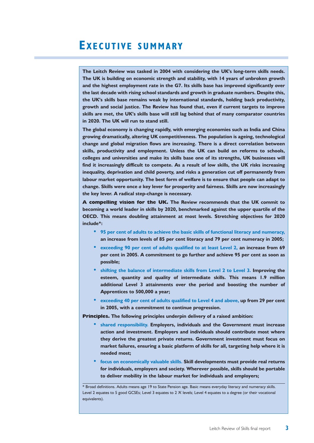# **E XECUTIVE SUMMARY**

**The Leitch Review was tasked in 2004 with considering the UK's long-term skills needs. The UK is building on economic strength and stability, with 14 years of unbroken growth and the highest employment rate in the G7. Its skills base has improved significantly over the last decade with rising school standards and growth in graduate numbers. Despite this, the UK's skills base remains weak by international standards, holding back productivity, growth and social justice. The Review has found that, even if current targets to improve skills are met, the UK's skills base will still lag behind that of many comparator countries in 2020. The UK will run to stand still.**

**The global economy is changing rapidly, with emerging economies such as India and China growing dramatically, altering UK competitiveness. The population is ageing, technological change and global migration flows are increasing. There is a direct correlation between skills, productivity and employment. Unless the UK can build on reforms to schools, colleges and universities and make its skills base one of its strengths, UK businesses will find it increasingly difficult to compete. As a result of low skills, the UK risks increasing inequality, deprivation and child poverty, and risks a generation cut off permanently from labour market opportunity. The best form of welfare is to ensure that people can adapt to change. Skills were once** *a* **key lever for prosperity and fairness. Skills are now increasingly** *the* **key lever. A radical step-change is necessary.**

**A compelling vision for the UK. The Review recommends that the UK commit to becoming a world leader in skills by 2020, benchmarked against the upper quartile of the OECD. This means doubling attainment at most levels. Stretching objectives for 2020 include\*:**

- **• 95 per cent of adults to achieve the basic skills of functional literacy and numeracy, an increase from levels of 85 per cent literacy and 79 per cent numeracy in 2005;**
- **• exceeding 90 per cent of adults qualified to at least Level 2, an increase from 69 per cent in 2005. A commitment to go further and achieve 95 per cent as soon as possible;**
- **• shifting the balance of intermediate skills from Level 2 to Level 3. Improving the esteem, quantity and quality of intermediate skills. This means 1.9 million additional Level 3 attainments over the period and boosting the number of Apprentices to 500,000 a year;**
- **• exceeding 40 per cent of adults qualified to Level 4 and above, up from 29 per cent in 2005, with a commitment to continue progression.**

**Principles. The following principles underpin delivery of a raised ambition:**

- **• shared responsibility. Employers, individuals and the Government must increase action and investment. Employers and individuals should contribute most where they derive the greatest private returns. Government investment must focus on market failures, ensuring a basic platform of skills for all, targeting help where it is needed most;**
- **• focus on economically valuable skills. Skill developments must provide real returns for individuals, employers and society. Wherever possible, skills should be portable to deliver mobility in the labour market for individuals and employers;**

<sup>\*</sup> Broad definitions. Adults means age 19 to State Pension age. Basic means everyday literacy and numeracy skills. Level 2 equates to 5 good GCSEs; Level 3 equates to 2 'A' levels; Level 4 equates to a degree (or their vocational equivalents).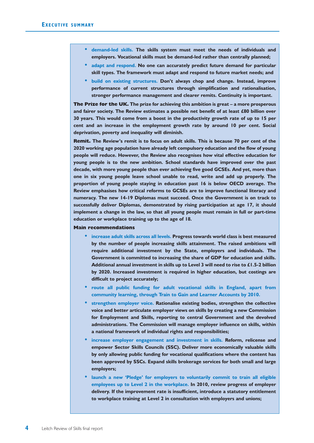- **• demand-led skills. The skills system must meet the needs of individuals and employers. Vocational skills must be demand-led rather than centrally planned;**
- **• adapt and respond. No one can accurately predict future demand for particular skill types. The framework must adapt and respond to future market needs; and**
- **• build on existing structures. Don't always chop and change. Instead, improve performance of current structures through simplification and rationalisation, stronger performance management and clearer remits. Continuity is important.**

**The Prize for the UK. The prize for achieving this ambition is great – a more prosperous and fairer society. The Review estimates a possible net benefit of at least £80 billion over 30 years. This would come from a boost in the productivity growth rate of up to 15 per cent and an increase in the employment growth rate by around 10 per cent. Social deprivation, poverty and inequality will diminish.**

**Remit. The Review's remit is to focus on adult skills. This is because 70 per cent of the 2020 working age population have already left compulsory education and the flow of young people will reduce. However, the Review also recognises how vital effective education for young people is to the new ambition. School standards have improved over the past decade, with more young people than ever achieving five good GCSEs. And yet, more than one in six young people leave school unable to read, write and add up properly. The proportion of young people staying in education past 16 is below OECD average. The Review emphasises how critical reforms to GCSEs are to improve functional literacy and numeracy. The new 14-19 Diplomas must succeed. Once the Government is on track to successfully deliver Diplomas, demonstrated by rising participation at age 17, it should implement a change in the law, so that all young people must remain in full or part-time education or workplace training up to the age of 18.**

#### **Main recommendations**

- **• increase adult skills across all levels. Progress towards world class is best measured by the number of people increasing skills attainment. The raised ambitions will require additional investment by the State, employers and individuals. The Government is committed to increasing the share of GDP for education and skills. Additional annual investment in skills up to Level 3 will need to rise to £1.5-2 billion by 2020. Increased investment is required in higher education, but costings are difficult to project accurately;**
- **• route all public funding for adult vocational skills in England, apart from community learning, through Train to Gain and Learner Accounts by 2010.**
- **• strengthen employer voice. Rationalise existing bodies, strengthen the collective voice and better articulate employer views on skills by creating a new Commission for Employment and Skills, reporting to central Government and the devolved administrations. The Commission will manage employer influence on skills, within a national framework of individual rights and responsibilities;**
- **• increase employer engagement and investment in skills. Reform, relicense and empower Sector Skills Councils (SSC). Deliver more economically valuable skills by only allowing public funding for vocational qualifications where the content has been approved by SSCs. Expand skills brokerage services for both small and large employers;**
- **• launch a new 'Pledge' for employers to voluntarily commit to train all eligible employees up to Level 2 in the workplace. In 2010, review progress of employer delivery. If the improvement rate is insufficient, introduce a statutory entitlement to workplace training at Level 2 in consultation with employers and unions;**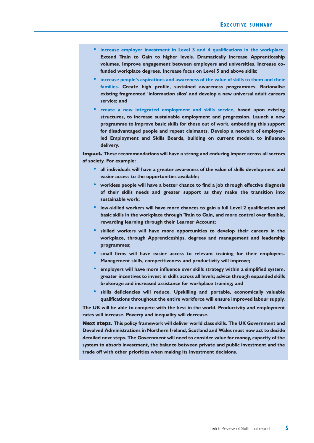- **• increase employer investment in Level 3 and 4 qualifications in the workplace. Extend Train to Gain to higher levels. Dramatically increase Apprenticeship volumes. Improve engagement between employers and universities. Increase cofunded workplace degrees. Increase focus on Level 5 and above skills;**
- **• increase people's aspirations and awareness of the value of skills to them and their families. Create high profile, sustained awareness programmes. Rationalise existing fragmented 'information silos' and develop a new universal adult careers service; and**
- **• create a new integrated employment and skills service, based upon existing structures, to increase sustainable employment and progression. Launch a new programme to improve basic skills for those out of work, embedding this support for disadvantaged people and repeat claimants. Develop a network of employerled Employment and Skills Boards, building on current models, to influence delivery.**

**Impact. These recommendations will have a strong and enduring impact across all sectors of society. For example:**

- **• all individuals will have a greater awareness of the value of skills development and easier access to the opportunities available;**
- **• workless people will have a better chance to find a job through effective diagnosis of their skills needs and greater support as they make the transition into sustainable work;**
- **• low-skilled workers will have more chances to gain a full Level 2 qualification and basic skills in the workplace through Train to Gain, and more control over flexible, rewarding learning through their Learner Account;**
- **• skilled workers will have more opportunities to develop their careers in the workplace, through Apprenticeships, degrees and management and leadership programmes;**
- **• small firms will have easier access to relevant training for their employees. Management skills, competitiveness and productivity will improve;**
- **• employers will have more influence over skills strategy within a simplified system, greater incentives to invest in skills across all levels; advice through expanded skills brokerage and increased assistance for workplace training; and**
- **• skills deficiencies will reduce. Upskilling and portable, economically valuable qualifications throughout the entire workforce will ensure improved labour supply.**

**The UK will be able to compete with the best in the world. Productivity and employment rates will increase. Poverty and inequality will decrease.**

**Next steps. This policy framework will deliver world class skills. The UK Government and Devolved Administrations in Northern Ireland, Scotland and Wales must now act to decide detailed next steps. The Government will need to consider value for money, capacity of the system to absorb investment, the balance between private and public investment and the trade off with other priorities when making its investment decisions.**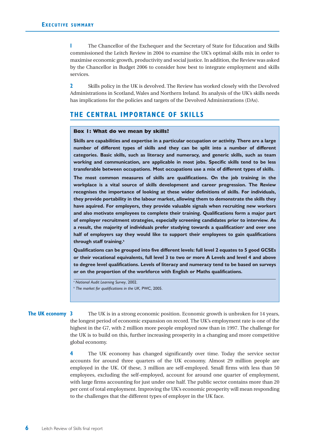**1** The Chancellor of the Exchequer and the Secretary of State for Education and Skills commissioned the Leitch Review in 2004 to examine the UK's optimal skills mix in order to maximise economic growth, productivity and social justice. In addition, the Review was asked by the Chancellor in Budget 2006 to consider how best to integrate employment and skills services.

**2** Skills policy in the UK is devolved. The Review has worked closely with the Devolved Administrations in Scotland, Wales and Northern Ireland. Its analysis of the UK's skills needs has implications for the policies and targets of the Devolved Administrations (DAs).

# **THE CENTRAL IMPORTANCE OF SKILLS**

#### **Box 1: What do we mean by skills?**

**Skills are capabilities and expertise in a particular occupation or activity. There are a large number of different types of skills and they can be split into a number of different categories. Basic skills, such as literacy and numeracy, and generic skills, such as team working and communication, are applicable in most jobs. Specific skills tend to be less transferable between occupations. Most occupations use a mix of different types of skills.**

**The most common measures of skills are qualifications. On the job training in the workplace is a vital source of skills development and career progression. The Review recognises the importance of looking at these wider definitions of skills. For individuals, they provide portability in the labour market, allowing them to demonstrate the skills they have aquired. For employers, they provide valuable signals when recruiting new workers and also motivate employees to complete their training. Qualifications form a major part of employer recruitment strategies, especially screening candidates prior to interview. As** a result, the majority of individuals prefer studying towards a qualification<sup>a</sup> and over one **half of employers say they would like to support their employees to gain qualifications through staff training.b**

**Qualifications can be grouped into five different levels: full level 2 equates to 5 good GCSEs or their vocational equivalents, full level 3 to two or more A Levels and level 4 and above to degree level qualifications. Levels of literacy and numeracy tend to be based on surveys or on the proportion of the workforce with English or Maths qualifications.**

<sup>a</sup> *National Audit Learning Survey*, 2002. <sup>b</sup> *The market for qualifications in the UK,* PWC, 2005.

**3** The UK is in a strong economic position. Economic growth is unbroken for 14 years, the longest period of economic expansion on record. The UK's employment rate is one of the highest in the G7, with 2 million more people employed now than in 1997. The challenge for the UK is to build on this, further increasing prosperity in a changing and more competitive global economy. **The UK economy**

> **4** The UK economy has changed significantly over time. Today the service sector accounts for around three quarters of the UK economy. Almost 29 million people are employed in the UK. Of these, 3 million are self-employed. Small firms with less than 50 employees, excluding the self-employed, account for around one quarter of employment, with large firms accounting for just under one half. The public sector contains more than 20 per cent of total employment. Improving the UK's economic prosperity will mean responding to the challenges that the different types of employer in the UK face.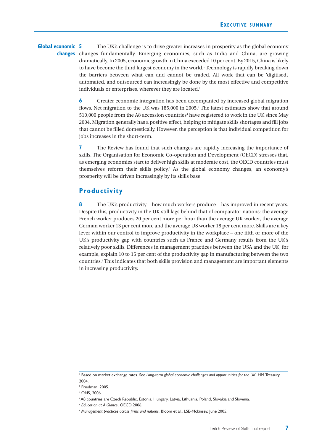#### **5** The UK's challenge is to drive greater increases in prosperity as the global economy changes fundamentally. Emerging economies, such as India and China, are growing **changes** dramatically. In 2005, economic growth in China exceeded 10 per cent. By 2015, China is likely to have become the third largest economy in the world.<sup>1</sup> Technology is rapidly breaking down the barriers between what can and cannot be traded. All work that can be 'digitised', automated, and outsourced can increasingly be done by the most effective and competitive individuals or enterprises, wherever they are located.<sup>2</sup> **Global economic**

**6** Greater economic integration has been accompanied by increased global migration flows. Net migration to the UK was 185,000 in 2005.<sup>3</sup> The latest estimates show that around 510,000 people from the A8 accession countries<sup>4</sup> have registered to work in the UK since May 2004. Migration generally has a positive effect, helping to mitigate skills shortages and fill jobs that cannot be filled domestically. However, the perception is that individual competition for jobs increases in the short-term.

**7** The Review has found that such changes are rapidly increasing the importance of skills. The Organisation for Economic Co-operation and Development (OECD) stresses that, as emerging economies start to deliver high skills at moderate cost, the OECD countries must themselves reform their skills policy.5 As the global economy changes, an economy's prosperity will be driven increasingly by its skills base.

## **Productivity**

**8** The UK's productivity – how much workers produce – has improved in recent years. Despite this, productivity in the UK still lags behind that of comparator nations: the average French worker produces 20 per cent more per hour than the average UK worker, the average German worker 13 per cent more and the average US worker 18 per cent more. Skills are a key lever within our control to improve productivity in the workplace – one fifth or more of the UK's productivity gap with countries such as France and Germany results from the UK's relatively poor skills. Differences in management practices between the USA and the UK, for example, explain 10 to 15 per cent of the productivity gap in manufacturing between the two countries.6 This indicates that both skills provision and management are important elements in increasing productivity.

<sup>1</sup> Based on market exchange rates. See *Long-term global economic challenges and opportunities for the UK*, HM Treasury, 2004.

<sup>&</sup>lt;sup>2</sup> Friedman, 2005.

<sup>3</sup> ONS, 2006.

<sup>4</sup>A8 countries are Czech Republic, Estonia, Hungary, Latvia, Lithuania, Poland, Slovakia and Slovenia.

<sup>5</sup> *Education at A Glance,* OECD 2006.

<sup>6</sup> *Management practices across firms and nations,* Bloom et al., LSE-Mckinsey, June 2005.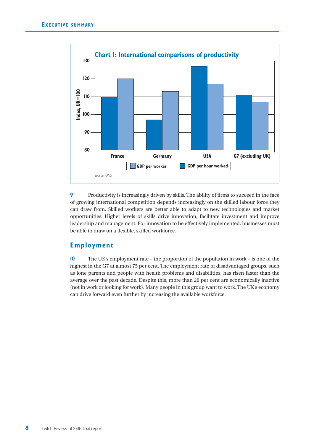

**9** Productivity is increasingly driven by skills. The ability of firms to succeed in the face of growing international competition depends increasingly on the skilled labour force they can draw from. Skilled workers are better able to adapt to new technologies and market opportunities. Higher levels of skills drive innovation, facilitate investment and improve leadership and management. For innovation to be effectively implemented, businesses must be able to draw on a flexible, skilled workforce.

# **Employment**

**10** The UK's employment rate – the proportion of the population in work – is one of the highest in the G7 at almost 75 per cent. The employment rate of disadvantaged groups, such as lone parents and people with health problems and disabilities, has risen faster than the average over the past decade. Despite this, more than 20 per cent are economically inactive (not in work or looking for work). Many people in this group want to work. The UK's economy can drive forward even further by increasing the available workforce.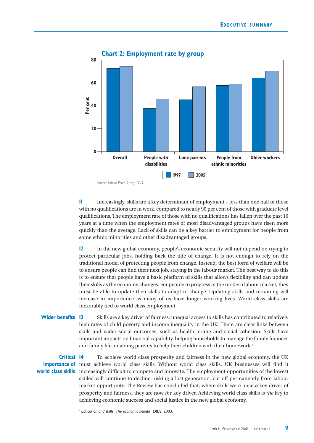

**11** Increasingly, skills are a key determinant of employment – less than one half of those with no qualifications are in work, compared to nearly 90 per cent of those with graduate level qualifications. The employment rate of those with no qualifications has fallen over the past 10 years at a time when the employment rates of most disadvantaged groups have risen more quickly than the average. Lack of skills can be a key barrier to employment for people from some ethnic minorities and other disadvantaged groups.

**12** In the new global economy, people's economic security will not depend on trying to protect particular jobs, holding back the tide of change. It is not enough to rely on the traditional model of protecting people from change. Instead, the best form of welfare will be to ensure people can find their next job, staying in the labour market. The best way to do this is to ensure that people have a basic platform of skills that allows flexibility and can update their skills as the economy changes. For people to progress in the modern labour market, they must be able to update their skills to adapt to change. Updating skills and retraining will increase in importance as many of us have longer working lives. World class skills are inexorably tied to world class employment.

**13** Skills are a key driver of fairness; unequal access to skills has contributed to relatively high rates of child poverty and income inequality in the UK. There are clear links between skills and wider social outcomes, such as health, crime and social cohesion. Skills have important impacts on financial capability, helping households to manage the family finances and family life, enabling parents to help their children with their homework.7 **Wider benefits**

**14** To achieve world class prosperity and fairness in the new global economy, the UK **importance of** must achieve world class skills. Without world class skills, UK businesses will find it world class skills increasingly difficult to compete and innovate. The employment opportunities of the lowest skilled will continue to decline, risking a lost generation, cut off permanently from labour market opportunity. The Review has concluded that, where skills were once *a* key driver of prosperity and fairness, they are now *the* key driver. Achieving world class skills is *the* key to achieving economic success and social justice in the new global economy. **Critical**

<sup>7</sup> *Education and skills: The economic benefit,* DfES, 2003.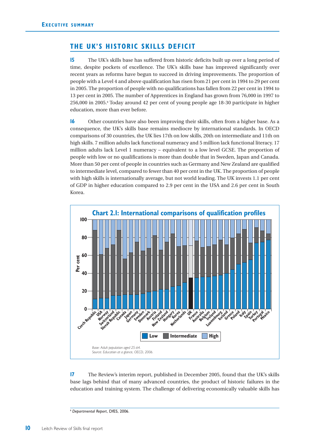# **THE UK'S HISTORIC SKILLS DEFICIT**

**15** The UK's skills base has suffered from historic deficits built up over a long period of time, despite pockets of excellence. The UK's skills base has improved significantly over recent years as reforms have begun to succeed in driving improvements. The proportion of people with a Level 4 and above qualification has risen from 21 per cent in 1994 to 29 per cent in 2005. The proportion of people with no qualifications has fallen from 22 per cent in 1994 to 13 per cent in 2005. The number of Apprentices in England has grown from 76,000 in 1997 to 256,000 in 2005.<sup>8</sup> Today around 42 per cent of young people age 18-30 participate in higher education, more than ever before.

**16** Other countries have also been improving their skills, often from a higher base. As a consequence, the UK's skills base remains mediocre by international standards. In OECD comparisons of 30 countries, the UK lies 17th on low skills, 20th on intermediate and 11th on high skills. 7 million adults lack functional numeracy and 5 million lack functional literacy. 17 million adults lack Level 1 numeracy – equivalent to a low level GCSE. The proportion of people with low or no qualifications is more than double that in Sweden, Japan and Canada. More than 50 per cent of people in countries such as Germany and New Zealand are qualified to intermediate level, compared to fewer than 40 per cent in the UK. The proportion of people with high skills is internationally average, but not world leading. The UK invests 1.1 per cent of GDP in higher education compared to 2.9 per cent in the USA and 2.6 per cent in South Korea.



**17** The Review's interim report, published in December 2005, found that the UK's skills base lags behind that of many advanced countries, the product of historic failures in the education and training system. The challenge of delivering economically valuable skills has

<sup>8</sup> *Departmental Report*, DfES, 2006.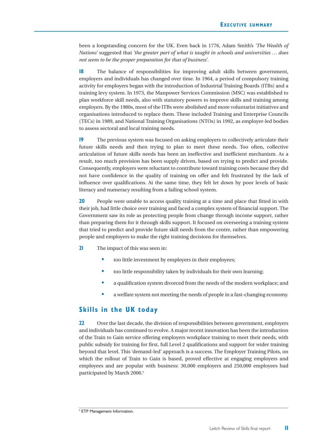been a longstanding concern for the UK. Even back in 1776, Adam Smith's *'The Wealth of Nations'* suggested that *'the greater part of what is taught in schools and universities … does not seem to be the proper preparation for that of business'*.

**18** The balance of responsibilities for improving adult skills between government, employers and individuals has changed over time. In 1964, a period of compulsory training activity for employers began with the introduction of Industrial Training Boards (ITBs) and a training levy system. In 1973, the Manpower Services Commission (MSC) was established to plan workforce skill needs, also with statutory powers to improve skills and training among employers. By the 1980s, most of the ITBs were abolished and more voluntarist initiatives and organisations introduced to replace them. These included Training and Enterprise Councils (TECs) in 1989, and National Training Organisations (NTOs) in 1992, as employer-led bodies to assess sectoral and local training needs.

**19** The previous system was focused on asking employers to collectively articulate their future skills needs and then trying to plan to meet these needs. Too often, collective articulation of future skills needs has been an ineffective and inefficient mechanism. As a result, too much provision has been supply driven, based on trying to predict and provide. Consequently, employers were reluctant to contribute toward training costs because they did not have confidence in the quality of training on offer and felt frustrated by the lack of influence over qualifications. At the same time, they felt let down by poor levels of basic literacy and numeracy resulting from a failing school system.

**20** People were unable to access quality training at a time and place that fitted in with their job, had little choice over training and faced a complex system of financial support. The Government saw its role as protecting people from change through income support, rather than preparing them for it through skills support. It focused on overseeing a training system that tried to predict and provide future skill needs from the centre, rather than empowering people and employers to make the right training decisions for themselves.

- **21** The impact of this was seen in:
	- too little investment by employers in their employees;
	- too little responsibility taken by individuals for their own learning;
	- a qualification system divorced from the needs of the modern workplace; and
	- a welfare system not meeting the needs of people in a fast-changing economy.

#### **Skills in the UK today**

**22** Over the last decade, the division of responsibilities between government, employers and individuals has continued to evolve. A major recent innovation has been the introduction of the Train to Gain service offering employers workplace training to meet their needs, with public subsidy for training for first, full Level 2 qualifications and support for wider training beyond that level. This 'demand-led' approach is a success. The Employer Training Pilots, on which the rollout of Train to Gain is based, proved effective at engaging employers and employees and are popular with business: 30,000 employers and 250,000 employees had participated by March 2006.<sup>9</sup>

<sup>9</sup> ETP Management Information*.*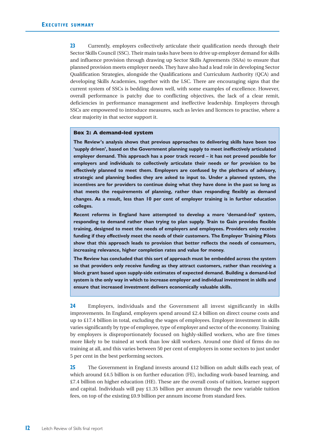**23** Currently, employers collectively articulate their qualification needs through their Sector Skills Council (SSC). Their main tasks have been to drive up employer demand for skills and influence provision through drawing up Sector Skills Agreements (SSAs) to ensure that planned provision meets employer needs. They have also had a lead role in developing Sector Qualification Strategies, alongside the Qualifications and Curriculum Authority (QCA) and developing Skills Academies, together with the LSC. There are encouraging signs that the current system of SSCs is bedding down well, with some examples of excellence. However, overall performance is patchy due to conflicting objectives, the lack of a clear remit, deficiencies in performance management and ineffective leadership. Employers through SSCs are empowered to introduce measures, such as levies and licences to practise, where a clear majority in that sector support it.

#### **Box 2: A demand-led system**

**The Review's analysis shows that previous approaches to delivering skills have been too 'supply driven', based on the Government planning supply to meet ineffectively articulated employer demand. This approach has a poor track record – it has not proved possible for employers and individuals to collectively articulate their needs or for provision to be effectively planned to meet them. Employers are confused by the plethora of advisory, strategic and planning bodies they are asked to input to. Under a planned system, the incentives are for providers to continue doing what they have done in the past so long as that meets the requirements of planning, rather than responding flexibly as demand changes. As a result, less than 10 per cent of employer training is in further education colleges.**

**Recent reforms in England have attempted to develop a more 'demand-led' system, responding to demand rather than trying to plan supply. Train to Gain provides flexible training, designed to meet the needs of employers and employees. Providers only receive funding if they effectively meet the needs of their customers. The Employer Training Pilots show that this approach leads to provision that better reflects the needs of consumers, increasing relevance, higher completion rates and value for money.**

**The Review has concluded that this sort of approach must be embedded across the system so that providers only receive funding as they attract customers, rather than receiving a block grant based upon supply-side estimates of expected demand. Building a demand-led system is the only way in which to increase employer and individual investment in skills and ensure that increased investment delivers economically valuable skills.**

**24** Employers, individuals and the Government all invest significantly in skills improvements. In England, employers spend around £2.4 billion on direct course costs and up to £17.4 billion in total, excluding the wages of employees. Employer investment in skills varies significantly by type of employee, type of employer and sector of the economy. Training by employers is disproportionately focused on highly-skilled workers, who are five times more likely to be trained at work than low skill workers. Around one third of firms do no training at all, and this varies between 50 per cent of employers in some sectors to just under 5 per cent in the best performing sectors.

**25** The Government in England invests around £12 billion on adult skills each year, of which around £4.5 billion is on further education (FE), including work-based learning, and £7.4 billion on higher education (HE). These are the overall costs of tuition, learner support and capital. Individuals will pay £1.35 billion per annum through the new variable tuition fees, on top of the existing £0.9 billion per annum income from standard fees.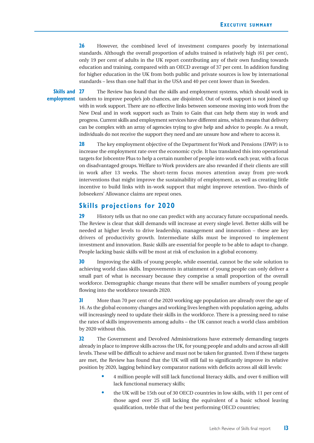**26** However, the combined level of investment compares poorly by international standards. Although the overall proportion of adults trained is relatively high (61 per cent), only 19 per cent of adults in the UK report contributing any of their own funding towards education and training, compared with an OECD average of 37 per cent. In addition funding for higher education in the UK from both public and private sources is low by international standards – less than one half that in the USA and 40 per cent lower than in Sweden.

**Skills and**

**27** The Review has found that the skills and employment systems, which should work in employment tandem to improve people's job chances, are disjointed. Out of work support is not joined up with in work support. There are no effective links between someone moving into work from the New Deal and in work support such as Train to Gain that can help them stay in work and progress. Current skills and employment services have different aims, which means that delivery can be complex with an array of agencies trying to give help and advice to people. As a result, individuals do not receive the support they need and are unsure how and where to access it.

> **28** The key employment objective of the Department for Work and Pensions (DWP) is to increase the employment rate over the economic cycle. It has translated this into operational targets for Jobcentre Plus to help a certain number of people into work each year, with a focus on disadvantaged groups. Welfare to Work providers are also rewarded if their clients are still in work after 13 weeks. The short-term focus moves attention away from pre-work interventions that might improve the sustainability of employment, as well as creating little incentive to build links with in-work support that might improve retention. Two-thirds of Jobseekers' Allowance claims are repeat ones.

### **Skills projections for 2020**

**29** History tells us that no one can predict with any accuracy future occupational needs. The Review is clear that skill demands will increase at every single level. Better skills will be needed at higher levels to drive leadership, management and innovation – these are key drivers of productivity growth. Intermediate skills must be improved to implement investment and innovation. Basic skills are essential for people to be able to adapt to change. People lacking basic skills will be most at risk of exclusion in a global economy.

**30** Improving the skills of young people, while essential, cannot be the sole solution to achieving world class skills. Improvements in attainment of young people can only deliver a small part of what is necessary because they comprise a small proportion of the overall workforce. Demographic change means that there will be smaller numbers of young people flowing into the workforce towards 2020.

**31** More than 70 per cent of the 2020 working age population are already over the age of 16. As the global economy changes and working lives lengthen with population ageing, adults will increasingly need to update their skills in the workforce. There is a pressing need to raise the rates of skills improvements among adults – the UK cannot reach a world class ambition by 2020 without this.

**32** The Government and Devolved Administrations have extremely demanding targets already in place to improve skills across the UK, for young people and adults and across all skill levels. These will be difficult to achieve and must not be taken for granted. Even if these targets are met, the Review has found that the UK will still fail to significantly improve its relative position by 2020, lagging behind key comparator nations with deficits across all skill levels:

- 4 million people will still lack functional literacy skills, and over 6 million will lack functional numeracy skills;
- the UK will be 15th out of 30 OECD countries in low skills, with 11 per cent of those aged over 25 still lacking the equivalent of a basic school leaving qualification, treble that of the best performing OECD countries;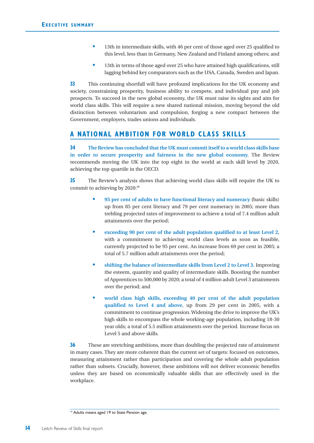- 13th in intermediate skills, with 46 per cent of those aged over 25 qualified to this level, less than in Germany, New Zealand and Finland among others; and
- 13th in terms of those aged over 25 who have attained high qualifications, still lagging behind key comparators such as the USA, Canada, Sweden and Japan.

**33** This continuing shortfall will have profound implications for the UK economy and society, constraining prosperity, business ability to compete, and individual pay and job prospects. To succeed in the new global economy, the UK must raise its sights and aim for world class skills. This will require a new shared national mission, moving beyond the old distinction between voluntarism and compulsion, forging a new compact between the Government, employers, trades unions and individuals.

# **A NATIONAL AMBITION FOR WORLD CLASS SKILLS**

**34 The Review has concluded that the UK must commit itself to a world class skills base in order to secure prosperity and fairness in the new global economy.** The Review recommends moving the UK into the top eight in the world at each skill level by 2020, achieving the top quartile in the OECD.

**35** The Review's analysis shows that achieving world class skills will require the UK to commit to achieving by 2020:**<sup>10</sup>**

- **95 per cent of adults to have functional literacy and numeracy (**basic skills) up from 85 per cent literacy and 79 per cent numeracy in 2005; more than trebling projected rates of improvement to achieve a total of 7.4 million adult attainments over the period;
- **exceeding 90 per cent of the adult population qualified to at least Level 2**, with a commitment to achieving world class levels as soon as feasible, currently projected to be 95 per cent. An increase from 69 per cent in 2005; a total of 5.7 million adult attainments over the period;
- **shifting the balance of intermediate skills from Level 2 to Level 3.** Improving the esteem, quantity and quality of intermediate skills. Boosting the number of Apprentices to 500,000 by 2020; a total of 4 million adult Level 3 attainments over the period; and
- **world class high skills, exceeding 40 per cent of the adult population qualified to Level 4 and above**, up from 29 per cent in 2005, with a commitment to continue progression. Widening the drive to improve the UK's high skills to encompass the whole working-age population, including 18-30 year olds; a total of 5.5 million attainments over the period. Increase focus on Level 5 and above skills.

**36** These are stretching ambitions, more than doubling the projected rate of attainment in many cases. They are more coherent than the current set of targets: focused on outcomes, measuring attainment rather than participation and covering the whole adult population rather than subsets. Crucially, however, these ambitions will not deliver economic benefits unless they are based on economically valuable skills that are effectively used in the workplace.

<sup>10</sup> Adults means aged 19 to State Pension age.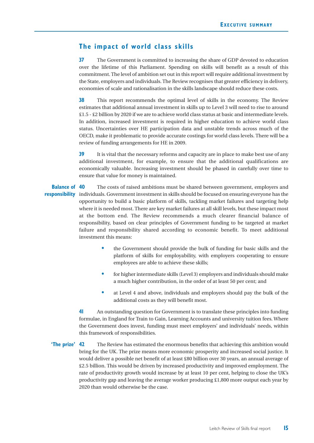#### **The impact of world class skills**

**37** The Government is committed to increasing the share of GDP devoted to education over the lifetime of this Parliament. Spending on skills will benefit as a result of this commitment. The level of ambition set out in this report will require additional investment by the State, employers and individuals. The Review recognises that greater efficiency in delivery, economies of scale and rationalisation in the skills landscape should reduce these costs.

**38** This report recommends the optimal level of skills in the economy. The Review estimates that additional annual investment in skills up to Level 3 will need to rise to around £1.5 - £2 billion by 2020 if we are to achieve world class status at basic and intermediate levels. In addition, increased investment is required in higher education to achieve world class status. Uncertainties over HE participation data and unstable trends across much of the OECD, make it problematic to provide accurate costings for world class levels. There will be a review of funding arrangements for HE in 2009.

**39** It is vital that the necessary reforms and capacity are in place to make best use of any additional investment, for example, to ensure that the additional qualifications are economically valuable. Increasing investment should be phased in carefully over time to ensure that value for money is maintained.

**40** The costs of raised ambitions must be shared between government, employers and responsibility individuals. Government investment in skills should be focused on ensuring everyone has the opportunity to build a basic platform of skills, tackling market failures and targeting help where it is needed most. There are key market failures at all skill levels, but these impact most at the bottom end. The Review recommends a much clearer financial balance of responsibility, based on clear principles of Government funding to be targeted at market failure and responsibility shared according to economic benefit. To meet additional investment this means: **Balance of**

- the Government should provide the bulk of funding for basic skills and the platform of skills for employability, with employers cooperating to ensure employees are able to achieve these skills;
- for higher intermediate skills (Level 3) employers and individuals should make a much higher contribution, in the order of at least 50 per cent; and
- at Level 4 and above, individuals and employers should pay the bulk of the additional costs as they will benefit most.

**41** An outstanding question for Government is to translate these principles into funding formulae, in England for Train to Gain, Learning Accounts and university tuition fees. Where the Government does invest, funding must meet employers' and individuals' needs, within this framework of responsibilities.

**42** The Review has estimated the enormous benefits that achieving this ambition would bring for the UK. The prize means more economic prosperity and increased social justice. It would deliver a possible net benefit of at least £80 billion over 30 years, an annual average of £2.5 billion. This would be driven by increased productivity and improved employment. The rate of productivity growth would increase by at least 10 per cent, helping to close the UK's productivity gap and leaving the average worker producing £1,800 more output each year by 2020 than would otherwise be the case. **'The prize'**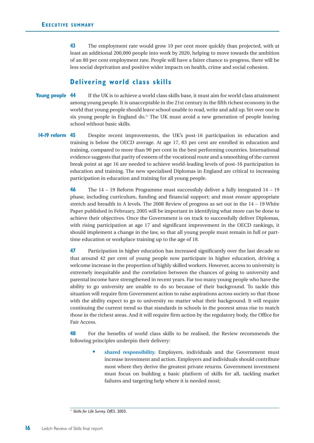**43** The employment rate would grow 10 per cent more quickly than projected, with at least an additional 200,000 people into work by 2020, helping to move towards the ambition of an 80 per cent employment rate. People will have a fairer chance to progress, there will be less social deprivation and positive wider impacts on health, crime and social cohesion.

## **Delivering world class skills**

#### **44** If the UK is to achieve a world class skills base, it must aim for world class attainment among young people. It is unacceptable in the 21st century in the fifth richest economy in the world that young people should leave school unable to read, write and add up. Yet over one in six young people in England do.<sup>11</sup> The UK must avoid a new generation of people leaving school without basic skills. **Young people**

**45** Despite recent improvements, the UK's post-16 participation in education and training is below the OECD average. At age 17, 83 per cent are enrolled in education and training, compared to more than 90 per cent in the best performing countries. International evidence suggests that parity of esteem of the vocational route and a smoothing of the current break point at age 16 are needed to achieve world-leading levels of post-16 participation in education and training. The new specialised Diplomas in England are critical to increasing participation in education and training for all young people. **14-19 reform**

> **46** The 14 – 19 Reform Programme must successfuly deliver a fully integrated 14 – 19 phase, including curriculum, funding and financial support; and must ensure appropriate stretch and breadth in A levels. The 2008 Review of progress as set out in the 14 – 19 White Paper published in February, 2005 will be important in identifying what more can be done to achieve their objectives. Once the Government is on track to successfully deliver Diplomas, with rising participation at age 17 and significant improvement in the OECD rankings, it should implement a change in the law, so that all young people must remain in full or parttime education or workplace training up to the age of 18.

> **47** Participation in higher education has increased significantly over the last decade so that around 42 per cent of young people now participate in higher education, driving a welcome increase in the proportion of highly skilled workers. However, access to university is extremely inequitable and the correlation between the chances of going to university and parental income have strengthened in recent years. Far too many young people who have the ability to go university are unable to do so because of their background. To tackle this situation will require firm Government action to raise aspirations across society so that those with the ability expect to go to university no matter what their background. It will require continuing the current trend so that standards in schools in the poorest areas rise to match those in the richest areas. And it will require firm action by the regulatory body, the Office for Fair Access.

> **48** For the benefits of world class skills to be realised, the Review recommends the following principles underpin their delivery:

> > shared responsibility. Employers, individuals and the Government must increase investment and action. Employers and individuals should contribute most where they derive the greatest private returns. Government investment must focus on building a basic platform of skills for all, tackling market failures and targeting help where it is needed most;

<sup>&</sup>lt;sup>11</sup> Skills for Life Survey, DfES, 2003.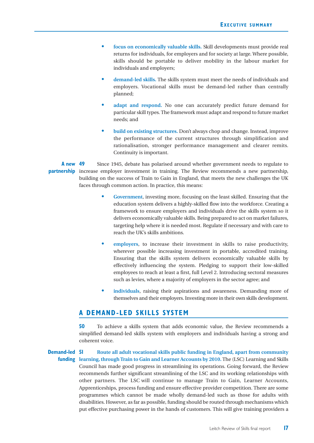- **focus on economically valuable skills.** Skill developments must provide real returns for individuals, for employers and for society at large. Where possible, skills should be portable to deliver mobility in the labour market for individuals and employers;
- **demand-led skills.** The skills system must meet the needs of individuals and employers. Vocational skills must be demand-led rather than centrally planned;
- adapt and respond. No one can accurately predict future demand for particular skill types. The framework must adapt and respond to future market needs; and
- **build on existing structures.** Don't always chop and change. Instead, improve the performance of the current structures through simplification and rationalisation, stronger performance management and clearer remits. Continuity is important.

**49** Since 1945, debate has polarised around whether government needs to regulate to **partnership** increase employer investment in training. The Review recommends a new partnership, building on the success of Train to Gain in England, that meets the new challenges the UK faces through common action. In practice, this means: **A new**

- **Government**, investing more, focusing on the least skilled. Ensuring that the education system delivers a highly-skilled flow into the workforce. Creating a framework to ensure employers and individuals drive the skills system so it delivers economically valuable skills. Being prepared to act on market failures, targeting help where it is needed most. Regulate if necessary and with care to reach the UK's skills ambitions.
- **employers**, to increase their investment in skills to raise productivity, wherever possible increasing investment in portable, accredited training. Ensuring that the skills system delivers economically valuable skills by effectively influencing the system. Pledging to support their low-skilled employees to reach at least a first, full Level 2. Introducing sectoral measures such as levies, where a majority of employers in the sector agree; and
- **individuals**, raising their aspirations and awareness. Demanding more of themselves and their employers. Investing more in their own skills development.

### **A DEMAND-LED SKILLS SYSTEM**

**50** To achieve a skills system that adds economic value, the Review recommends a simplified demand-led skills system with employers and individuals having a strong and coherent voice.

**51 Route all adult vocational skills public funding in England, apart from community learning, through Train to Gain and Learner Accounts by 2010.** The (LSC) Learning and Skills **funding** Council has made good progress in streamlining its operations. Going forward, the Review recommends further significant streamlining of the LSC and its working relationships with other partners. The LSC will continue to manage Train to Gain, Learner Accounts, Apprenticeships, process funding and ensure effective provider competition. There are some programmes which cannot be made wholly demand-led such as those for adults with disabilities. However, as far as possible, funding should be routed through mechanisms which put effective purchasing power in the hands of customers. This will give training providers a **Demand-led**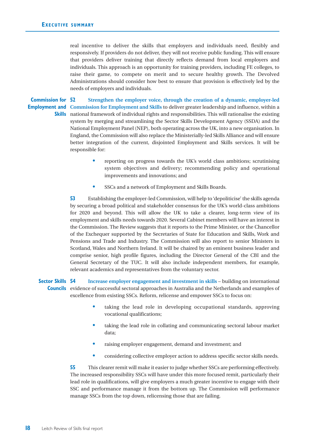real incentive to deliver the skills that employers and individuals need, flexibly and responsively. If providers do not deliver, they will not receive public funding. This will ensure that providers deliver training that directly reflects demand from local employers and individuals. This approach is an opportunity for training providers, including FE colleges, to raise their game, to compete on merit and to secure healthy growth. The Devolved Administrations should consider how best to ensure that provision is effectively led by the needs of employers and individuals.

**52 Strengthen the employer voice, through the creation of a dynamic, employer-led Employment and** Commission for Employment and Skills to deliver greater leadership and influence, within a Skills national framework of individual rights and responsibilities. This will rationalise the existing system by merging and streamlining the Sector Skills Development Agency (SSDA) and the National Employment Panel (NEP), both operating across the UK, into a new organisation. In England, the Commission will also replace the Ministerially-led Skills Alliance and will ensure better integration of the current, disjointed Employment and Skills services. It will be responsible for: **Commission for**

- reporting on progress towards the UK's world class ambitions; scrutinising system objectives and delivery; recommending policy and operational improvements and innovations; and
- SSCs and a network of Employment and Skills Boards.

**53** Establishing the employer-led Commission, will help to 'depoliticise' the skills agenda by securing a broad political and stakeholder consensus for the UK's world-class ambitions for 2020 and beyond. This will allow the UK to take a clearer, long-term view of its employment and skills needs towards 2020. Several Cabinet members will have an interest in the Commission. The Review suggests that it reports to the Prime Minister, or the Chancellor of the Exchequer supported by the Secretaries of State for Education and Skills, Work and Pensions and Trade and Industry. The Commission will also report to senior Ministers in Scotland, Wales and Northern Ireland. It will be chaired by an eminent business leader and comprise senior, high profile figures, including the Director General of the CBI and the General Secretary of the TUC. It will also include independent members, for example, relevant academics and representatives from the voluntary sector.

**54 Increase employer engagement and investment in skills** – building on international **Councils** evidence of successful sectoral approaches in Australia and the Netherlands and examples of excellence from existing SSCs. Reform, relicense and empower SSCs to focus on: **Sector Skills**

- taking the lead role in developing occupational standards, approving vocational qualifications;
- taking the lead role in collating and communicating sectoral labour market data;
- raising employer engagement, demand and investment; and
- considering collective employer action to address specific sector skills needs.

**55** This clearer remit will make it easier to judge whether SSCs are performing effectively. The increased responsibility SSCs will have under this more focused remit, particularly their lead role in qualifications, will give employers a much greater incentive to engage with their SSC and performance manage it from the bottom up. The Commission will performance manage SSCs from the top down, relicensing those that are failing.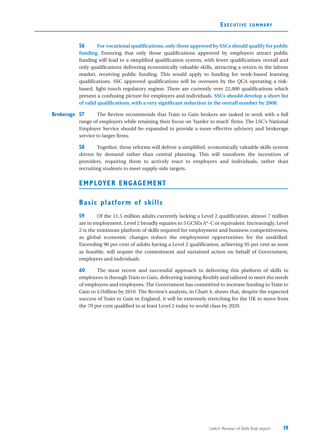**56 For vocational qualifications, only those approved by SSCs should qualify for public funding.** Ensuring that only those qualifications approved by employers attract public funding will lead to a simplified qualification system, with fewer qualifications overall and only qualifications delivering economically valuable skills, attracting a return in the labour market, receiving public funding. This would apply to funding for work-based learning qualifications. SSC approved qualifications will be overseen by the QCA operating a riskbased, light-touch regulatory regime. There are currently over 22,000 qualifications which present a confusing picture for employers and individuals. **SSCs should develop a short list of valid qualifications, with a very significant reduction in the overall number by 2008.**

**57** The Review recommends that Train to Gain brokers are tasked to work with a full range of employers while retaining their focus on 'harder to reach' firms. The LSC's National Employer Service should be expanded to provide a more effective advisory and brokerage service to larger firms. **Brokerage**

> **58** Together, these reforms will deliver a simplified, economically valuable skills system driven by demand rather than central planning. This will transform the incentives of providers, requiring them to actively react to employers and individuals, rather than recruiting students to meet supply-side targets.

## **EMPLOYER ENGAGEMENT**

#### **Basic platform of skills**

**59** Of the 11.5 million adults currently lacking a Level 2 qualification, almost 7 million are in employment. Level 2 broadly equates to 5 GCSEs A\*-C or equivalent. Increasingly, Level 2 is the minimum platform of skills required for employment and business competitiveness, as global economic changes reduce the employment opportunities for the unskilled. Exceeding 90 per cent of adults having a Level 2 qualification, achieving 95 per cent as soon as feasible, will require the commitment and sustained action on behalf of Government, employers and individuals.

**60** The most recent and successful approach to delivering this platform of skills to employees is through Train to Gain, delivering training flexibly and tailored to meet the needs of employers and employees. The Government has committed to increase funding to Train to Gain to £1billion by 2010. The Review's analysis, in Chart 4, shows that, despite the expected success of Train to Gain in England, it will be extremely stretching for the UK to move from the 70 per cent qualified to at least Level 2 today to world class by 2020.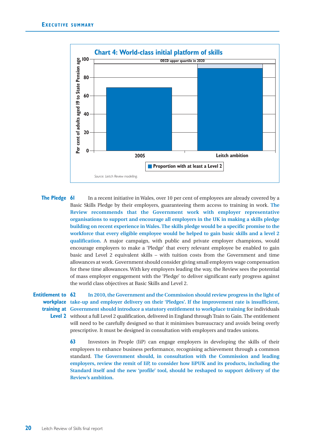

**61** In a recent initiative in Wales, over 10 per cent of employees are already covered by a Basic Skills Pledge by their employers, guaranteeing them access to training in work. **The Review recommends that the Government work with employer representative organisations to support and encourage all employers in the UK in making a skills pledge building on recent experience in Wales. The skills pledge would be a specific promise to the workforce that every eligible employee would be helped to gain basic skills and a level 2 qualification.** A major campaign, with public and private employer champions, would encourage employers to make a 'Pledge' that every relevant employee be enabled to gain basic and Level 2 equivalent skills – with tuition costs from the Government and time allowances at work. Government should consider giving small employers wage compensation for these time allowances. With key employers leading the way, the Review sees the potential of mass employer engagement with the 'Pledge' to deliver significant early progress against the world class objectives at Basic Skills and Level 2. **The Pledge**

**62 In 2010, the Government and the Commission should review progress in the light of take-up and employer delivery on their 'Pledges'. If the improvement rate is insufficient, workplace Government should introduce a statutory entitlement to workplace training** for individuals **training at** Level 2 without a full Level 2 qualification, delivered in England through Train to Gain. The entitlement will need to be carefully designed so that it minimises bureaucracy and avoids being overly prescriptive. It must be designed in consultation with employers and trades unions. **Entitlement to**

> **63** Investors in People (IiP) can engage employers in developing the skills of their employees to enhance business performance, recognising achievement through a common standard. **The Government should, in consultation with the Commission and leading employers, review the remit of IiP, to consider how IiPUK and its products, including the Standard itself and the new 'profile' tool, should be reshaped to support delivery of the Review's ambition.**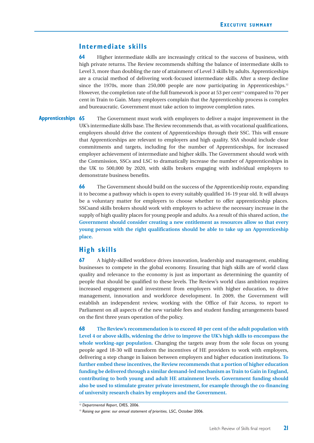#### **Intermediate skills**

**64** Higher intermediate skills are increasingly critical to the success of business, with high private returns. The Review recommends shifting the balance of intermediate skills to Level 3, more than doubling the rate of attainment of Level 3 skills by adults. Apprenticeships are a crucial method of delivering work-focused intermediate skills. After a steep decline since the 1970s, more than 250,000 people are now participating in Apprenticeships.<sup>12</sup> However, the completion rate of the full framework is poor at 53 per cent<sup>13</sup> compared to 70 per cent in Train to Gain. Many employers complain that the Apprenticeship process is complex and bureaucratic. Government must take action to improve completion rates.

#### **Apprenticeships**

**65** The Government must work with employers to deliver a major improvement in the UK's intermediate skills base. The Review recommends that, as with vocational qualifications, employers should drive the content of Apprenticeships through their SSC. This will ensure that Apprenticeships are relevant to employers and high quality. SSA should include clear commitments and targets, including for the number of Apprenticeships, for increased employer achievement of intermediate and higher skills. The Government should work with the Commission, SSCs and LSC to dramatically increase the number of Apprenticeships in the UK to 500,000 by 2020, with skills brokers engaging with individual employers to demonstrate business benefits.

**66** The Government should build on the success of the Apprenticeship route, expanding it to become a pathway which is open to every suitably qualified 16-19 year old. It will always be a voluntary matter for employers to choose whether to offer apprenticeship places. SSCsand skills brokers should work with employers to achieve the necessary increase in the supply of high quality places for young people and adults. As a result of this shared action, **the Government should consider creating a new entitlement as resources allow so that every young person with the right qualifications should be able to take up an Apprenticeship place.**

#### **High skills**

**67** A highly-skilled workforce drives innovation, leadership and management, enabling businesses to compete in the global economy. Ensuring that high skills are of world class quality and relevance to the economy is just as important as determining the quantity of people that should be qualified to these levels. The Review's world class ambition requires increased engagement and investment from employers with higher education, to drive management, innovation and workforce development. In 2009, the Government will establish an independent review, working with the Office of Fair Access, to report to Parliament on all aspects of the new variable fees and student funding arrangements based on the first three years operation of the policy.

**68 The Review's recommendation is to exceed 40 per cent of the adult population with Level 4 or above skills, widening the drive to improve the UK's high skills to encompass the whole working-age population.** Changing the targets away from the sole focus on young people aged 18-30 will transform the incentives of HE providers to work with employers, delivering a step change in liaison between employers and higher education institutions. **To further embed these incentives, the Review recommends that a portion of higher education funding be delivered through a similar demand-led mechanism as Train to Gain in England, contributing to both young and adult HE attainment levels. Government funding should also be used to stimulate greater private investment, for example through the co-financing of university research chairs by employers and the Government.**

<sup>&</sup>lt;sup>12</sup> Departmental Report, DfES, 2006.

<sup>&</sup>lt;sup>13</sup> Raising our game: our annual statement of priorities, LSC, October 2006.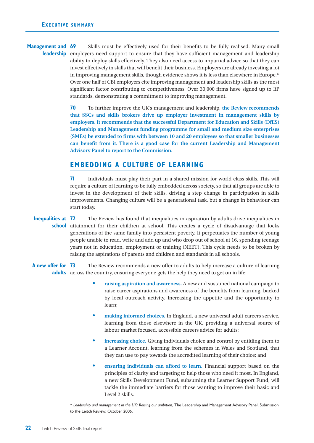**69** Skills must be effectively used for their benefits to be fully realised. Many small employers need support to ensure that they have sufficient management and leadership ability to deploy skills effectively. They also need access to impartial advice so that they can invest effectively in skills that will benefit their business. Employers are already investing a lot in improving management skills, though evidence shows it is less than elsewhere in Europe.<sup>14</sup> Over one half of CBI employers cite improving management and leadership skills as the most significant factor contributing to competitiveness. Over 30,000 firms have signed up to IiP standards, demonstrating a commitment to improving management. **Management and leadership**

> **70** To further improve the UK's management and leadership, **the Review recommends that SSCs and skills brokers drive up employer investment in management skills by employers. It recommends that the successful Department for Education and Skills (DfES) Leadership and Management funding programme for small and medium size enterprises (SMEs) be extended to firms with between 10 and 20 employees so that smaller businesses can benefit from it. There is a good case for the current Leadership and Management Advisory Panel to report to the Commission.**

# **EMBEDDING A CULTURE OF LEARNING**

**71** Individuals must play their part in a shared mission for world class skills. This will require a culture of learning to be fully embedded across society, so that all groups are able to invest in the development of their skills, driving a step change in participation in skills improvements. Changing culture will be a generational task, but a change in behaviour can start today.

- **72** The Review has found that inequalities in aspiration by adults drive inequalities in school attainment for their children at school. This creates a cycle of disadvantage that locks generations of the same family into persistent poverty. It perpetuates the number of young people unable to read, write and add up and who drop out of school at 16, spending teenage years not in education, employment or training (NEET). This cycle needs to be broken by raising the aspirations of parents and children and standards in all schools. **Inequalities at**
- **73** The Review recommends a new offer to adults to help increase a culture of learning adults across the country, ensuring everyone gets the help they need to get on in life: **A new offer for**
	- **raising aspiration and awareness.** A new and sustained national campaign to raise career aspirations and awareness of the benefits from learning, backed by local outreach activity. Increasing the appetite and the opportunity to learn;
	- **making informed choices.** In England, a new universal adult careers service, learning from those elsewhere in the UK, providing a universal source of labour market focused, accessible careers advice for adults;
	- **increasing choice.** Giving individuals choice and control by entitling them to a Learner Account, learning from the schemes in Wales and Scotland, that they can use to pay towards the accredited learning of their choice; and
	- **ensuring individuals can afford to learn.** Financial support based on the principles of clarity and targeting to help those who need it most. In England, a new Skills Development Fund, subsuming the Learner Support Fund, will tackle the immediate barriers for those wanting to improve their basic and Level 2 skills.

<sup>&</sup>lt;sup>14</sup> Leadership and management in the UK: Raising our ambition, The Leadership and Management Advisory Panel, Submission to the Leitch Review, October 2006.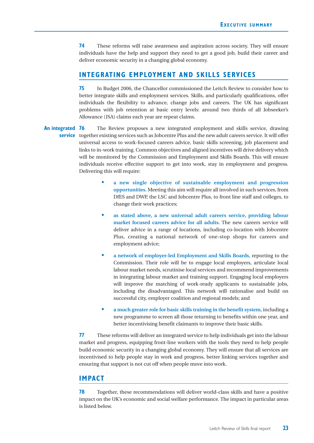**74** These reforms will raise awareness and aspiration across society. They will ensure individuals have the help and support they need to get a good job, build their career and deliver economic security in a changing global economy.

#### **INTEGRATING EMPLOYMENT AND SKILLS SERVICES**

**75** In Budget 2006, the Chancellor commissioned the Leitch Review to consider how to better integrate skills and employment services. Skills, and particularly qualifications, offer individuals the flexibility to advance, change jobs and careers. The UK has significant problems with job retention at basic entry levels: around two thirds of all Jobseeker's Allowance (JSA) claims each year are repeat claims.

**76** The Review proposes a new integrated employment and skills service, drawing together existing services such as Jobcentre Plus and the new adult careers service. It will offer **service** universal access to work-focused careers advice, basic skills screening, job placement and links to in-work training. Common objectives and aligned incentives will drive delivery which will be monitored by the Commission and Employment and Skills Boards. This will ensure individuals receive effective support to get into work, stay in employment and progress. Delivering this will require: **An integrated**

- **a new single objective of sustainable employment and progression opportunities.** Meeting this aim will require all involved in such services, from DfES and DWP, the LSC and Jobcentre Plus, to front line staff and colleges, to change their work practices;
- **as stated above, a new universal adult careers service, providing labour market focused careers advice for all adults.** The new careers service will deliver advice in a range of locations, including co-location with Jobcentre Plus, creating a national network of one-stop shops for careers and employment advice;
- **a network of employer-led Employment and Skills Boards**, reporting to the Commission. Their role will be to engage local employers, articulate local labour market needs, scrutinise local services and recommend improvements in integrating labour market and training support. Engaging local employers will improve the matching of work-ready applicants to sustainable jobs, including the disadvantaged. This network will rationalise and build on successful city, employer coalition and regional models; and
- **a much greater role for basic skills training in the benefit system**, including a new programme to screen all those returning to benefits within one year, and better incentivising benefit claimants to improve their basic skills.

**77** These reforms will deliver an integrated service to help individuals get into the labour market and progress, equipping front-line workers with the tools they need to help people build economic security in a changing global economy. They will ensure that all services are incentivised to help people stay in work and progress, better linking services together and ensuring that support is not cut off when people move into work.

#### **IMPACT**

**78** Together, these recommendations will deliver world-class skills and have a positive impact on the UK's economic and social welfare performance. The impact in particular areas is listed below.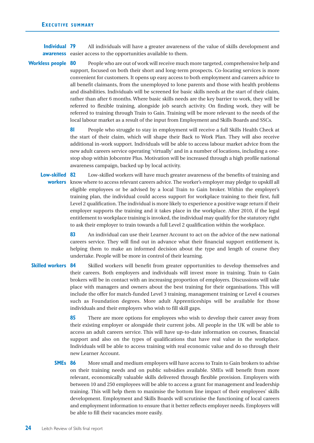**79** All individuals will have a greater awareness of the value of skills development and easier access to the opportunities available to them. **Individual awareness**

**80** People who are out of work will receive much more targeted, comprehensive help and support, focused on both their short and long-term prospects. Co-locating services is more convenient for customers. It opens up easy access to both employment and careers advice to all benefit claimants, from the unemployed to lone parents and those with health problems and disabilities. Individuals will be screened for basic skills needs at the start of their claim, rather than after 6 months. Where basic skills needs are the key barrier to work, they will be referred to flexible training, alongside job search activity. On finding work, they will be referred to training through Train to Gain. Training will be more relevant to the needs of the local labour market as a result of the input from Employment and Skills Boards and SSCs. **Workless people**

> **81** People who struggle to stay in employment will receive a full Skills Health Check at the start of their claim, which will shape their Back to Work Plan. They will also receive additional in-work support. Individuals will be able to access labour market advice from the new adult careers service operating 'virtually' and in a number of locations, including a onestop shop within Jobcentre Plus. Motivation will be increased through a high profile national awareness campaign, backed up by local activity.

**82** Low-skilled workers will have much greater awareness of the benefits of training and workers know where to access relevant careers advice. The worker's employer may pledge to upskill all eligible employees or be advised by a local Train to Gain broker. Within the employer's training plan, the individual could access support for workplace training to their first, full Level 2 qualification. The individual is more likely to experience a positive wage return if their employer supports the training and it takes place in the workplace. After 2010, if the legal entitlement to workplace training is invoked, the individual may qualify for the statutory right to ask their employer to train towards a full Level 2 qualification within the workplace. **Low-skilled**

> **83** An individual can use their Learner Account to act on the advice of the new national careers service. They will find out in advance what their financial support entitlement is, helping them to make an informed decision about the type and length of course they undertake. People will be more in control of their learning.

**84** Skilled workers will benefit from greater opportunities to develop themselves and their careers. Both employers and individuals will invest more in training. Train to Gain brokers will be in contact with an increasing proportion of employers. Discussions will take place with managers and owners about the best training for their organisations. This will include the offer for match-funded Level 3 training, management training or Level 4 courses such as Foundation degrees. More adult Apprenticeships will be available for those individuals and their employers who wish to fill skill gaps. **Skilled workers**

> **85** There are more options for employees who wish to develop their career away from their existing employer or alongside their current jobs. All people in the UK will be able to access an adult careers service. This will have up-to-date information on courses, financial support and also on the types of qualifications that have real value in the workplace. Individuals will be able to access training with real economic value and do so through their new Learner Account.

**86** More small and medium employers will have access to Train to Gain brokers to advise on their training needs and on public subsidies available. SMEs will benefit from more relevant, economically valuable skills delivered through flexible provision. Employers with between 10 and 250 employees will be able to access a grant for management and leadership training. This will help them to maximise the bottom line impact of their employees' skills development. Employment and Skills Boards will scrutinise the functioning of local careers and employment information to ensure that it better reflects employer needs. Employers will be able to fill their vacancies more easily. **SMEs**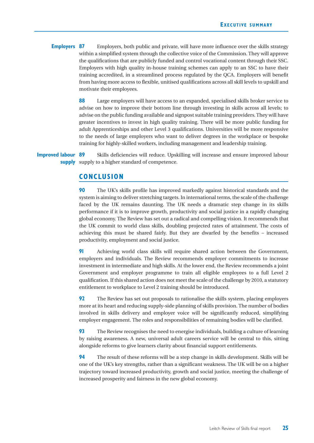**87** Employers, both public and private, will have more influence over the skills strategy within a simplified system through the collective voice of the Commission. They will approve the qualifications that are publicly funded and control vocational content through their SSC. Employers with high quality in-house training schemes can apply to an SSC to have their training accredited, in a streamlined process regulated by the QCA. Employers will benefit from having more access to flexible, unitised qualifications across all skill levels to upskill and motivate their employees. **Employers**

> **88** Large employers will have access to an expanded, specialised skills broker service to advise on how to improve their bottom line through investing in skills across all levels; to advise on the public funding available and signpost suitable training providers. They will have greater incentives to invest in high quality training. There will be more public funding for adult Apprenticeships and other Level 3 qualifications. Universities will be more responsive to the needs of large employers who want to deliver degrees in the workplace or bespoke training for highly-skilled workers, including management and leadership training.

**89** Skills deficiencies will reduce. Upskilling will increase and ensure improved labour supply supply to a higher standard of competence. **Improved labour**

### **CONCLUSION**

**90** The UK's skills profile has improved markedly against historical standards and the system is aiming to deliver stretching targets. In international terms, the scale of the challenge faced by the UK remains daunting. The UK needs a dramatic step change in its skills performance if it is to improve growth, productivity and social justice in a rapidly changing global economy. The Review has set out a radical and compelling vision. It recommends that the UK commit to world class skills, doubling projected rates of attainment. The costs of achieving this must be shared fairly. But they are dwarfed by the benefits – increased productivity, employment and social justice.

**91** Achieving world class skills will require shared action between the Government, employers and individuals. The Review recommends employer commitments to increase investment in intermediate and high skills. At the lower end, the Review recommends a joint Government and employer programme to train all eligible employees to a full Level 2 qualification. If this shared action does not meet the scale of the challenge by 2010, a statutory entitlement to workplace to Level 2 training should be introduced.

**92** The Review has set out proposals to rationalise the skills system, placing employers more at its heart and reducing supply-side planning of skills provision. The number of bodies involved in skills delivery and employer voice will be significantly reduced, simplifying employer engagement. The roles and responsibilities of remaining bodies will be clarified.

**93** The Review recognises the need to energise individuals, building a culture of learning by raising awareness. A new, universal adult careers service will be central to this, sitting alongside reforms to give learners clarity about financial support entitlements.

**94** The result of these reforms will be a step change in skills development. Skills will be one of the UK's key strengths, rather than a significant weakness. The UK will be on a higher trajectory toward increased productivity, growth and social justice, meeting the challenge of increased prosperity and fairness in the new global economy.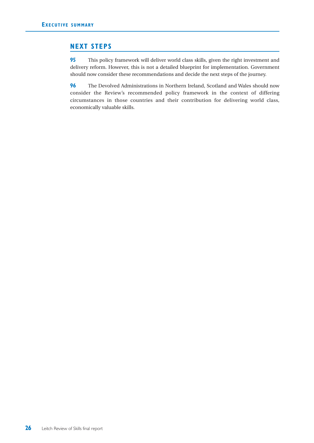# **NEXT STEPS**

**95** This policy framework will deliver world class skills, given the right investment and delivery reform. However, this is not a detailed blueprint for implementation. Government should now consider these recommendations and decide the next steps of the journey.

**96** The Devolved Administrations in Northern Ireland, Scotland and Wales should now consider the Review's recommended policy framework in the context of differing circumstances in those countries and their contribution for delivering world class, economically valuable skills.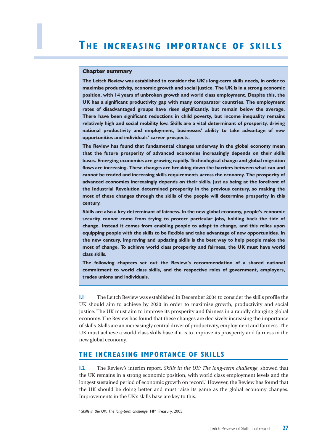#### **Chapter summary**

**The Leitch Review was established to consider the UK's long-term skills needs, in order to maximise productivity, economic growth and social justice. The UK is in a strong economic position, with 14 years of unbroken growth and world class employment. Despite this, the UK has a significant productivity gap with many comparator countries. The employment rates of disadvantaged groups have risen significantly, but remain below the average. There have been significant reductions in child poverty, but income inequality remains relatively high and social mobility low. Skills are a vital determinant of prosperity, driving national productivity and employment, businesses' ability to take advantage of new opportunities and individuals' career prospects.**

**The Review has found that fundamental changes underway in the global economy mean that the future prosperity of advanced economies increasingly depends on their skills bases. Emerging economies are growing rapidly. Technological change and global migration flows are increasing. These changes are breaking down the barriers between what can and cannot be traded and increasing skills requirements across the economy. The prosperity of advanced economies increasingly depends on their skills. Just as being at the forefront of the Industrial Revolution determined prosperity in the previous century, so making the most of these changes through the skills of the people will determine prosperity in this century.** 

**Skills are also a key determinant of fairness. In the new global economy, people's economic security cannot come from trying to protect particular jobs, holding back the tide of change. Instead it comes from enabling people to adapt to change, and this relies upon equipping people with the skills to be flexible and take advantage of new opportunities. In the new century, improving and updating skills is the best way to help people make the most of change. To achieve world class prosperity and fairness, the UK must have world class skills.**

**The following chapters set out the Review's recommendation of a shared national commitment to world class skills, and the respective roles of government, employers, trades unions and individuals.**

**1.1** The Leitch Review was established in December 2004 to consider the skills profile the UK should aim to achieve by 2020 in order to maximise growth, productivity and social justice. The UK must aim to improve its prosperity and fairness in a rapidly changing global economy. The Review has found that these changes are decisively increasing the importance of skills. Skills are an increasingly central driver of productivity, employment and fairness. The UK must achieve a world class skills base if it is to improve its prosperity and fairness in the new global economy.

# **THE INCREASING IMPORTANCE OF SKILLS**

**1.2** The Review's interim report, *Skills in the UK: The long-term challenge*, showed that the UK remains in a strong economic position, with world class employment levels and the longest sustained period of economic growth on record.<sup>1</sup> However, the Review has found that the UK should be doing better and must raise its game as the global economy changes. Improvements in the UK's skills base are key to this.

<sup>1</sup> *Skills in the UK: The long-term challenge,* HM Treasury, 2005.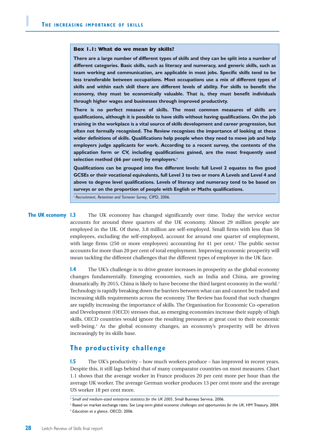#### **Box 1.1: What do we mean by skills?**

**There are a large number of different types of skills and they can be split into a number of different categories. Basic skills, such as literacy and numeracy, and generic skills, such as team working and communication, are applicable in most jobs. Specific skills tend to be less transferable between occupations. Most occupations use a mix of different types of skills and within each skill there are different levels of ability. For skills to benefit the economy, they must be economically valuable. That is, they must benefit individuals through higher wages and businesses through improved productivty.**

**There is no perfect measure of skills. The most common measures of skills are qualifications, although it is possible to have skills without having qualifications. On the job training in the workplace is a vital source of skills development and career progression, but often not formally recognised. The Review recognises the importance of looking at these wider definitions of skills. Qualifications help people when they need to move job and help employers judge applicants for work. According to a recent survey, the contents of the application form or CV, including qualifications gained, are the most frequently used** selection method (66 per cent) by employers.<sup>a</sup>

**Qualifications can be grouped into five different levels: full Level 2 equates to five good GCSEs or their vocational equivalents, full Level 3 to two or more A Levels and Level 4 and above to degree level qualifications. Levels of literacy and numeracy tend to be based on surveys or on the proportion of people with English or Maths qualifications.**

<sup>a</sup> *Recruitment, Retention and Turnover Survey*, CIPD, 2006.

#### **The UK economy**

**1.3** The UK economy has changed significantly over time. Today the service sector accounts for around three quarters of the UK economy. Almost 29 million people are employed in the UK. Of these, 3.8 million are self-employed. Small firms with less than 50 employees, excluding the self-employed, account for around one quarter of employment, with large firms  $(250 \text{ or more employees})$  accounting for 41 per cent.<sup>2</sup> The public sector accounts for more than 20 per cent of total employment. Improving economic prosperity will mean tackling the different challenges that the different types of employer in the UK face.

**1.4** The UK's challenge is to drive greater increases in prosperity as the global economy changes fundamentally. Emerging economies, such as India and China, are growing dramatically. By 2015, China is likely to have become the third largest economy in the world.<sup>3</sup> Technology is rapidly breaking down the barriers between what can and cannot be traded and increasing skills requirements across the economy. The Review has found that such changes are rapidly increasing the importance of skills. The Organisation for Economic Co-operation and Development (OECD) stresses that, as emerging economies increase their supply of high skills, OECD countries would ignore the resulting pressures at great cost to their economic well-being.4 As the global economy changes, an economy's prosperity will be driven increasingly by its skills base.

### **The productivity challenge**

**1.5** The UK's productivity – how much workers produce – has improved in recent years. Despite this, it still lags behind that of many comparator countries on most measures. Chart 1.1 shows that the average worker in France produces 20 per cent more per hour than the average UK worker. The average German worker produces 13 per cent more and the average US worker 18 per cent more.

<sup>&</sup>lt;sup>2</sup> Small and medium-sized enterprise statistics for the UK 2005, Small Business Service, 2006.

<sup>3</sup> Based on market exchange rates. *See Long-term global economic challenges and opportunities for the UK*, HM Treasury, 2004.

<sup>4</sup> *Education at a glance*, OECD, 2006.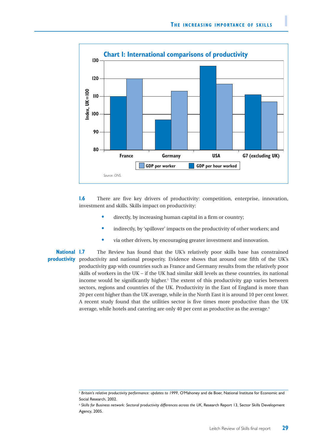

**1.6** There are five key drivers of productivity: competition, enterprise, innovation, investment and skills. Skills impact on productivity:

- directly, by increasing human capital in a firm or country;
- indirectly, by 'spillover' impacts on the productivity of other workers; and
- via other drivers, by encouraging greater investment and innovation.

**1.7** The Review has found that the UK's relatively poor skills base has constrained **productivity** productivity and national prosperity. Evidence shows that around one fifth of the UK's productivity gap with countries such as France and Germany results from the relatively poor skills of workers in the UK – if the UK had similar skill levels as these countries, its national income would be significantly higher.<sup>5</sup> The extent of this productivity gap varies between sectors, regions and countries of the UK. Productivity in the East of England is more than 20 per cent higher than the UK average, while in the North East it is around 10 per cent lower. A recent study found that the utilities sector is five times more productive than the UK average, while hotels and catering are only 40 per cent as productive as the average. $6$ **National**

<sup>5</sup> *Britain's relative productivity performance: updates to 1999*, O'Mahoney and de Boer, National Institute for Economic and Social Research, 2002.

<sup>&</sup>lt;sup>6</sup> Skills for Business network: Sectoral productivity differences across the UK, Research Report 13, Sector Skills Development Agency, 2005.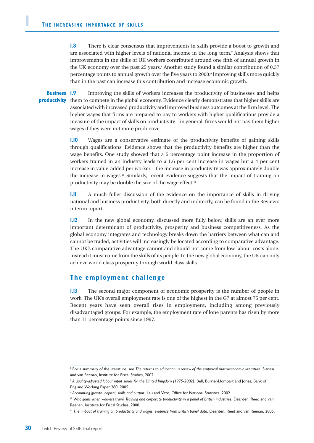**1.8** There is clear consensus that improvements in skills provide a boost to growth and are associated with higher levels of national income in the long term.7 Analysis shows that improvements in the skills of UK workers contributed around one fifth of annual growth in the UK economy over the past 25 years.<sup>8</sup> Another study found a similar contribution of 0.37 percentage points to annual growth over the five years to 2000.9 Improving skills more quickly than in the past can increase this contribution and increase economic growth.

Improving the skills of workers increases the productivity of businesses and helps productivity them to compete in the global economy. Evidence clearly demonstrates that higher skills are associated with increased productivity and improved business outcomes at the firm level. The higher wages that firms are prepared to pay to workers with higher qualifications provide a measure of the impact of skills on productivity – in general, firms would not pay them higher wages if they were not more productive. **Business**

> **1.10** Wages are a conservative estimate of the productivity benefits of gaining skills through qualifications. Evidence shows that the productivity benefits are higher than the wage benefits. One study showed that a 5 percentage point increase in the proportion of workers trained in an industry leads to a 1.6 per cent increase in wages but a 4 per cent increase in value-added per worker – the increase in productivity was approximately double the increase in wages.10 Similarly, recent evidence suggests that the impact of training on productivity may be double the size of the wage effect. $11$

> **1.11** A much fuller discussion of the evidence on the importance of skills in driving national and business productivity, both directly and indirectly, can be found in the Review's interim report.

> **1.12** In the new global economy, discussed more fully below, skills are an ever more important determinant of productivity, prosperity and business competitiveness. As the global economy integrates and technology breaks down the barriers between what can and cannot be traded, activities will increasingly be located according to comparative advantage. The UK's comparative advantage cannot and should not come from low labour costs alone. Instead it must come from the skills of its people. In the new global economy, the UK can only achieve world class prosperity through world class skills.

#### **The employment challenge**

**1.13** The second major component of economic prosperity is the number of people in work. The UK's overall employment rate is one of the highest in the G7 at almost 75 per cent. Recent years have seen overall rises in employment, including among previously disadvantaged groups. For example, the employment rate of lone parents has risen by more than 11 percentage points since 1997.

<sup>7</sup> For a summary of the literature, see *The returns to education: a review of the empirical macroeconomic literature*, Sianesi and van Reenan, Institute for Fiscal Studies, 2002.

<sup>&</sup>lt;sup>8</sup> A quality-adjusted labour input series for the United Kingdom (1975-2002), Bell, Burriel-Llombart and Jones, Bank of England Working Paper 280, 2005.

<sup>9</sup> *Accounting growth: capital, skills and output*, Lau and Vaze, Office for National Statistics, 2002.

<sup>&</sup>lt;sup>10</sup> Who gains when workers train? Training and corporate productivity in a panel of British industries, Dearden, Reed and van Reenan, Institute for Fiscal Studies, 2000.

<sup>11</sup> *The impact of training on productivity and wages: evidence from British panel data*, Dearden, Reed and van Reenan, 2005.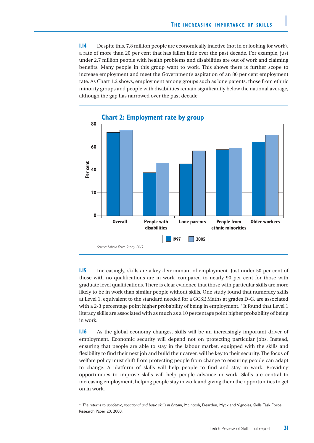**1.14** Despite this, 7.8 million people are economically inactive (not in or looking for work), a rate of more than 20 per cent that has fallen little over the past decade. For example, just under 2.7 million people with health problems and disabilities are out of work and claiming benefits. Many people in this group want to work. This shows there is further scope to increase employment and meet the Government's aspiration of an 80 per cent employment rate. As Chart 1.2 shows, employment among groups such as lone parents, those from ethnic minority groups and people with disabilities remain significantly below the national average, although the gap has narrowed over the past decade.



**1.15** Increasingly, skills are a key determinant of employment. Just under 50 per cent of those with no qualifications are in work, compared to nearly 90 per cent for those with graduate level qualifications. There is clear evidence that those with particular skills are more likely to be in work than similar people without skills. One study found that numeracy skills at Level 1, equivalent to the standard needed for a GCSE Maths at grades D-G, are associated with a 2-3 percentage point higher probability of being in employment.<sup>12</sup> It found that Level 1 literacy skills are associated with as much as a 10 percentage point higher probability of being in work.

**1.16** As the global economy changes, skills will be an increasingly important driver of employment. Economic security will depend not on protecting particular jobs. Instead, ensuring that people are able to stay in the labour market, equipped with the skills and flexibility to find their next job and build their career, will be key to their security. The focus of welfare policy must shift from protecting people from change to ensuring people can adapt to change. A platform of skills will help people to find and stay in work. Providing opportunities to improve skills will help people advance in work. Skills are central to increasing employment, helping people stay in work and giving them the opportunities to get on in work.

<sup>12</sup> The returns to academic, vocational and basic skills in Britain, McIntosh, Dearden, Myck and Vignoles, Skills Task Force Research Paper 20, 2000.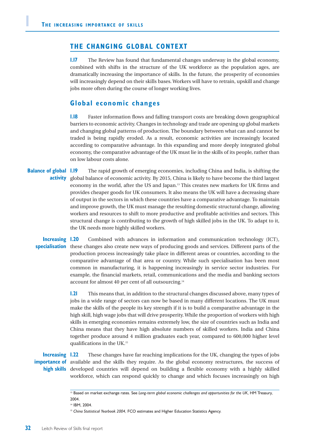#### **THE CHANGING GLOBAL CONTEXT**

**1.17** The Review has found that fundamental changes underway in the global economy, combined with shifts in the structure of the UK workforce as the population ages, are dramatically increasing the importance of skills. In the future, the prosperity of economies will increasingly depend on their skills bases. Workers will have to retrain, upskill and change jobs more often during the course of longer working lives.

## **Global economic changes**

**1.18** Faster information flows and falling transport costs are breaking down geographical barriers to economic activity. Changes in technology and trade are opening up global markets and changing global patterns of production. The boundary between what can and cannot be traded is being rapidly eroded. As a result, economic activities are increasingly located according to comparative advantage. In this expanding and more deeply integrated global economy, the comparative advantage of the UK must lie in the skills of its people, rather than on low labour costs alone.

**1.19** The rapid growth of emerging economies, including China and India, is shifting the activity global balance of economic activity. By 2015, China is likely to have become the third largest economy in the world, after the US and Japan.13 This creates new markets for UK firms and provides cheaper goods for UK consumers. It also means the UK will have a decreasing share of output in the sectors in which these countries have a comparative advantage. To maintain and improve growth, the UK must manage the resulting domestic structural change, allowing workers and resources to shift to more productive and profitable activities and sectors. This structural change is contributing to the growth of high skilled jobs in the UK. To adapt to it, the UK needs more highly skilled workers. **Balance of global**

**1.20** Combined with advances in information and communication technology (ICT), specialisation these changes also create new ways of producing goods and services. Different parts of the production process increasingly take place in different areas or countries, according to the comparative advantage of that area or country. While such specialisation has been most common in manufacturing, it is happening increasingly in service sector industries. For example, the financial markets, retail, communications and the media and banking sectors account for almost 40 per cent of all outsourcing.14 **Increasing**

> **1.21** This means that, in addition to the structural changes discussed above, many types of jobs in a wide range of sectors can now be based in many different locations. The UK must make the skills of the people its key strength if it is to build a comparative advantage in the high skill, high wage jobs that will drive prosperity. While the proportion of workers with high skills in emerging economies remains extremely low, the size of countries such as India and China means that they have high absolute numbers of skilled workers. India and China together produce around 4 million graduates each year, compared to 600,000 higher level qualifications in the UK.15

**1.22** These changes have far reaching implications for the UK, changing the types of jobs importance of available and the skills they require. As the global economy restructures, the success of developed countries will depend on building a flexible economy with a highly skilled workforce, which can respond quickly to change and which focuses increasingly on high **Increasing high skills**

<sup>13</sup> Based on market exchange rates. See *Long-term global economic challenges and opportunities for the UK*, HM Treasury, 2004.

<sup>14</sup> IBM, 2004.

<sup>&</sup>lt;sup>15</sup> China Statistical Yearbook 2004, FCO estimates and Higher Education Statistics Agency.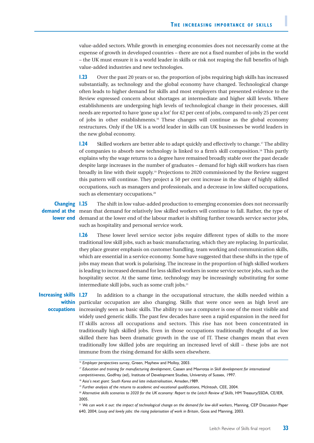value-added sectors. While growth in emerging economies does not necessarily come at the expense of growth in developed countries – there are not a fixed number of jobs in the world – the UK must ensure it is a world leader in skills or risk not reaping the full benefits of high value-added industries and new technologies.

**1.23** Over the past 20 years or so, the proportion of jobs requiring high skills has increased substantially, as technology and the global economy have changed. Technological change often leads to higher demand for skills and most employers that presented evidence to the Review expressed concern about shortages at intermediate and higher skill levels. Where establishments are undergoing high levels of technological change in their processes, skill needs are reported to have 'gone up a lot' for 42 per cent of jobs, compared to only 25 per cent of jobs in other establishments.16 These changes will continue as the global economy restructures. Only if the UK is a world leader in skills can UK businesses be world leaders in the new global economy.

**1.24** Skilled workers are better able to adapt quickly and effectively to change.<sup>17</sup> The ability of companies to absorb new technology is linked to a firm's skill composition.18 This partly explains why the wage returns to a degree have remained broadly stable over the past decade despite large increases in the number of graduates – demand for high skill workers has risen broadly in line with their supply.19 Projections to 2020 commissioned by the Review suggest this pattern will continue. They project a 50 per cent increase in the share of highly skilled occupations, such as managers and professionals, and a decrease in low skilled occupations, such as elementary occupations.<sup>20</sup>

The shift in low value-added production to emerging economies does not necessarily demand at the mean that demand for relatively low skilled workers will continue to fall. Rather, the type of demand at the lower end of the labour market is shifting further towards service sector jobs, such as hospitality and personal service work. **Changing lower end**

> **1.26** These lower level service sector jobs require different types of skills to the more traditional low skill jobs, such as basic manufacturing, which they are replacing. In particular, they place greater emphasis on customer handling, team working and communication skills, which are essential in a service economy. Some have suggested that these shifts in the type of jobs may mean that work is polarising. The increase in the proportion of high skilled workers is leading to increased demand for less skilled workers in some service sector jobs, such as the hospitality sector. At the same time, technology may be increasingly substituting for some intermediate skill jobs, such as some craft jobs.<sup>21</sup>

**Increasing skills within**

In addition to a change in the occupational structure, the skills needed within a particular occupation are also changing. Skills that were once seen as high level are **occupations** increasingly seen as basic skills. The ability to use a computer is one of the most visible and widely used generic skills. The past few decades have seen a rapid expansion in the need for IT skills across all occupations and sectors. This rise has not been concentrated in traditionally high skilled jobs. Even in those occupations traditionally thought of as low skilled there has been dramatic growth in the use of IT. These changes mean that even traditionally low skilled jobs are requiring an increased level of skill – these jobs are not immune from the rising demand for skills seen elsewhere.

<sup>16</sup> *Employer perspectives survey*, Green, Mayhew and Molloy, 2003.

<sup>17</sup> *Education and training for manufacturing development*, Cassen and Mavrotas in *Skill development for international competitiveness*, Godfrey (ed), Institute of Development Studies, University of Sussex, 1997.

<sup>&</sup>lt;sup>18</sup> Asia's next giant: South Korea and late industrialisation, Amsden, 1989.

<sup>&</sup>lt;sup>19</sup> Further analysis of the returns to academic and vocational qualifications, McIntosh, CEE, 2004.

<sup>&</sup>lt;sup>20</sup> Alternative skills scenarios to 2020 for the UK economy: Report to the Leitch Review of Skills, HM Treasury/SSDA, CE/IER, 2005.

<sup>21</sup> *We can work it out: the impact of technological change on the demand for low-skill workers*, Manning, CEP Discussion Paper 640, 2004; *Lousy and lovely jobs: the rising polarisation of work in Britain*, Goos and Manning, 2003.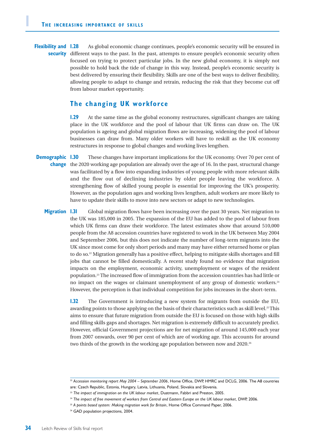**1.28** As global economic change continues, people's economic security will be ensured in different ways to the past. In the past, attempts to ensure people's economic security often focused on trying to protect particular jobs. In the new global economy, it is simply not possible to hold back the tide of change in this way. Instead, people's economic security is best delivered by ensuring their flexibility. Skills are one of the best ways to deliver flexibility, allowing people to adapt to change and retrain, reducing the risk that they become cut off from labour market opportunity. **Flexibility and security**

### **The changing UK workforce**

**1.29** At the same time as the global economy restructures, significant changes are taking place in the UK workforce and the pool of labour that UK firms can draw on. The UK population is ageing and global migration flows are increasing, widening the pool of labour businesses can draw from. Many older workers will have to reskill as the UK economy restructures in response to global changes and working lives lengthen.

**1.30** These changes have important implications for the UK economy. Over 70 per cent of the 2020 working age population are already over the age of 16. In the past, structural change **change** was facilitated by a flow into expanding industries of young people with more relevant skills and the flow out of declining industries by older people leaving the workforce. A strengthening flow of skilled young people is essential for improving the UK's prosperity. However, as the population ages and working lives lengthen, adult workers are more likely to have to update their skills to move into new sectors or adapt to new technologies. **Demographic**

**1.31** Global migration flows have been increasing over the past 30 years. Net migration to the UK was 185,000 in 2005. The expansion of the EU has added to the pool of labour from which UK firms can draw their workforce. The latest estimates show that around 510,000 people from the A8 accession countries have registered to work in the UK between May 2004 and September 2006, but this does not indicate the number of long-term migrants into the UK since most come for only short periods and many may have either returned home or plan to do so.22 Migration generally has a positive effect, helping to mitigate skills shortages and fill jobs that cannot be filled domestically. A recent study found no evidence that migration impacts on the employment, economic activity, unemployment or wages of the resident population.23 The increased flow of immigration from the accession countries has had little or no impact on the wages or claimant unemployment of any group of domestic workers.<sup>24</sup> However, the perception is that individual competition for jobs increases in the short-term. **Migration**

> **1.32** The Government is introducing a new system for migrants from outside the EU, awarding points to those applying on the basis of their characteristics such as skill level.<sup>25</sup> This aims to ensure that future migration from outside the EU is focused on those with high skills and filling skills gaps and shortages. Net migration is extremely difficult to accurately predict. However, official Government projections are for net migration of around 145,000 each year from 2007 onwards, over 90 per cent of which are of working age. This accounts for around two thirds of the growth in the working age population between now and 2020.<sup>26</sup>

<sup>22</sup> *Accession monitoring report May 2004 – September 2006*, Home Office, DWP, HMRC and DCLG, 2006. The A8 countries are: Czech Republic, Estonia, Hungary, Latvia, Lithuania, Poland, Slovakia and Slovenia.

<sup>&</sup>lt;sup>23</sup> The impact of immigration on the UK labour market, Dustmann, Fabbri and Preston, 2005.

<sup>24</sup> *The impact of free movement of workers from Central and Eastern Europe on the UK labour market*, DWP, 2006.

<sup>&</sup>lt;sup>25</sup> A points based system: Making migration work for Britain, Home Office Command Paper, 2006.

<sup>&</sup>lt;sup>26</sup> GAD population projections, 2004.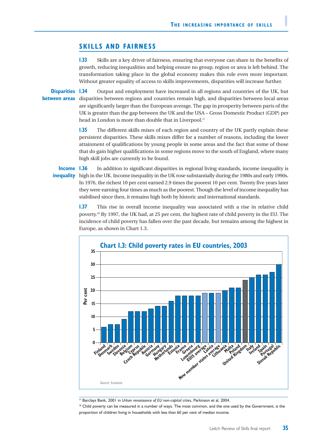### **SKILLS AND FAIRNESS**

**1.33** Skills are a key driver of fairness, ensuring that everyone can share in the benefits of growth, reducing inequalities and helping ensure no group, region or area is left behind. The transformation taking place in the global economy makes this role even more important. Without greater equality of access to skills improvements, disparities will increase further.

**1.34** Output and employment have increased in all regions and countries of the UK, but disparities between regions and countries remain high, and disparities between local areas are significantly larger than the European average. The gap in prosperity between parts of the UK is greater than the gap between the UK and the USA – Gross Domestic Product (GDP) per head in London is more than double that in Liverpool.<sup>27</sup> **Disparities between areas**

> **1.35** The different skills mixes of each region and country of the UK partly explain these persistent disparities. These skills mixes differ for a number of reasons, including the lower attainment of qualifications by young people in some areas and the fact that some of those that do gain higher qualifications in some regions move to the south of England, where many high skill jobs are currently to be found.

**1.36** In addition to significant disparities in regional living standards, income inequality is **inequality** high in the UK. Income inequality in the UK rose substantially during the 1980s and early 1990s. In 1976, the richest 10 per cent earned 2.9 times the poorest 10 per cent. Twenty five years later they were earning four times as much as the poorest. Though the level of income inequality has stabilised since then, it remains high both by historic and international standards. **Income**

> **1.37** This rise in overall income inequality was associated with a rise in relative child poverty.28 By 1997, the UK had, at 25 per cent, the highest rate of child poverty in the EU. The incidence of child poverty has fallen over the past decade, but remains among the highest in Europe, as shown in Chart 1.3.



<sup>27</sup> Barclays Bank, 2001 in *Urban renaissance of EU non-capital cities*, Parkinson et al, 2004.

<sup>28</sup> Child poverty can be measured in a number of ways. The most common, and the one used by the Government, is the proportion of children living in households with less than 60 per cent of median income.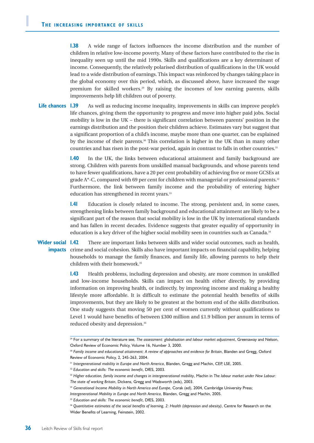**1.38** A wide range of factors influences the income distribution and the number of children in relative low-income poverty. Many of these factors have contributed to the rise in inequality seen up until the mid 1990s. Skills and qualifications are a key determinant of income. Consequently, the relatively polarised distribution of qualifications in the UK would lead to a wide distribution of earnings. This impact was reinforced by changes taking place in the global economy over this period, which, as discussed above, have increased the wage premium for skilled workers.29 By raising the incomes of low earning parents, skills improvements help lift children out of poverty.

**1.39** As well as reducing income inequality, improvements in skills can improve people's life chances, giving them the opportunity to progress and move into higher paid jobs. Social mobility is low in the UK – there is significant correlation between parents' position in the earnings distribution and the position their children achieve. Estimates vary but suggest that a significant proportion of a child's income, maybe more than one quarter, can be explained by the income of their parents.30 This correlation is higher in the UK than in many other countries and has risen in the post-war period, again in contrast to falls in other countries.<sup>31</sup> **Life chances**

> **1.40** In the UK, the links between educational attainment and family background are strong. Children with parents from unskilled manual backgrounds, and whose parents tend to have fewer qualifications, have a 20 per cent probability of achieving five or more GCSEs at grade A\*-C, compared with 69 per cent for children with managerial or professional parents.32 Furthermore, the link between family income and the probability of entering higher education has strengthened in recent years.<sup>33</sup>

> **1.41** Education is closely related to income. The strong, persistent and, in some cases, strengthening links between family background and educational attainment are likely to be a significant part of the reason that social mobility is low in the UK by international standards and has fallen in recent decades. Evidence suggests that greater equality of opportunity in education is a key driver of the higher social mobility seen in countries such as Canada.<sup>34</sup>

**1.42** There are important links between skills and wider social outcomes, such as health, impacts crime and social cohesion. Skills also have important impacts on financial capability, helping households to manage the family finances, and family life, allowing parents to help their children with their homework.<sup>35</sup> **Wider social**

> **1.43** Health problems, including depression and obesity, are more common in unskilled and low-income households. Skills can impact on health either directly, by providing information on improving health, or indirectly, by improving income and making a healthy lifestyle more affordable. It is difficult to estimate the potential health benefits of skills improvements, but they are likely to be greatest at the bottom end of the skills distribution. One study suggests that moving 50 per cent of women currently without qualifications to Level 1 would have benefits of between £300 million and £1.9 billion per annum in terms of reduced obesity and depression.36

<sup>29</sup> For a summary of the literature see, *The assessment: globalisation and labour market adjustment*, Greenaway and Nelson, Oxford Review of Economic Policy, Volume 16, Number 3, 2000.

<sup>&</sup>lt;sup>30</sup> Family income and educational attainment: A review of approaches and evidence for Britain, Blanden and Gregg, Oxford Review of Economic Policy, 2, 245-263, 2004.

<sup>&</sup>lt;sup>31</sup> Intergenerational mobility in Europe and North America, Blanden, Gregg and Machin, CEP, LSE, 2005.

<sup>32</sup> *Education and skills: The economic benefit*, DfES, 2003.

<sup>33</sup> *Higher education, family income and changes in intergenerational mobility*, Machin in *The labour market under New Labour: The state of working Britain*, Dickens, Gregg and Wadsworth (eds), 2003.

<sup>&</sup>lt;sup>34</sup> Generational Income Mobility in North America and Europe, Corak (ed), 2004, Cambridge University Press;

*Intergenerational Mobility in Europe and North America*, Blanden, Gregg and Machin, 2005.

<sup>35</sup> *Education and skills: The economic benefit*, DfES, 2003.

<sup>36</sup> *Quantitative estimates of the social benefits of learning, 2: Health (depression and obesity)*, Centre for Research on the Wider Benefits of Learning, Feinstein, 2002.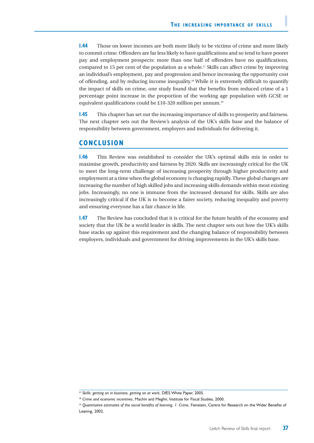**1.44** Those on lower incomes are both more likely to be victims of crime and more likely to commit crime. Offenders are far less likely to have qualifications and so tend to have poorer pay and employment prospects: more than one half of offenders have no qualifications, compared to 15 per cent of the population as a whole.<sup>37</sup> Skills can affect crime by improving an individual's employment, pay and progression and hence increasing the opportunity cost of offending, and by reducing income inequality.38 While it is extremely difficult to quantify the impact of skills on crime, one study found that the benefits from reduced crime of a 1 percentage point increase in the proportion of the working age population with GCSE or equivalent qualifications could be £10-320 million per annum.39

**1.45** This chapter has set out the increasing importance of skills to prosperity and fairness. The next chapter sets out the Review's analysis of the UK's skills base and the balance of responsibility between government, employers and individuals for delivering it.

### **CONCLUSION**

**1.46** This Review was established to consider the UK's optimal skills mix in order to maximise growth, productivity and fairness by 2020. Skills are increasingly critical for the UK to meet the long-term challenge of increasing prosperity through higher productivity and employment at a time when the global economy is changing rapidly. These global changes are increasing the number of high skilled jobs and increasing skills demands within most existing jobs. Increasingly, no one is immune from the increased demand for skills. Skills are also increasingly critical if the UK is to become a fairer society, reducing inequality and poverty and ensuring everyone has a fair chance in life.

**1.47** The Review has concluded that it is critical for the future health of the economy and society that the UK be a world leader in skills. The next chapter sets out how the UK's skills base stacks up against this requirement and the changing balance of responsibility between employers, individuals and government for driving improvements in the UK's skills base.

<sup>37</sup> *Skills: getting on in business, getting on at work*, DfES White Paper, 2005.

<sup>38</sup> *Crime and economic incentives*, Machin and Meghir, Institute for Fiscal Studies, 2000.

<sup>39</sup> *Quantitative estimates of the social benefits of learning, 1: Crime*, Feinstein, Centre for Research on the Wider Benefits of Leaning, 2002.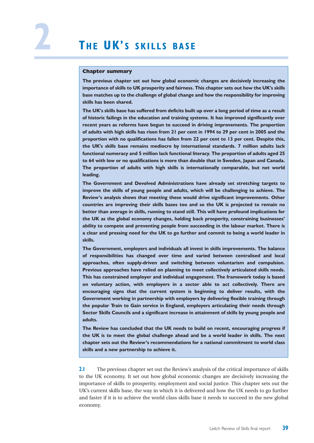### **Chapter summary**

**The previous chapter set out how global economic changes are decisively increasing the importance of skills to UK prosperity and fairness. This chapter sets out how the UK's skills base matches up to the challenge of global change and how the responsibility for improving skills has been shared.**

**The UK's skills base has suffered from deficits built up over a long period of time as a result of historic failings in the education and training systems. It has improved significantly over recent years as reforms have begun to succeed in driving improvements. The proportion of adults with high skills has risen from 21 per cent in 1994 to 29 per cent in 2005 and the proportion with no qualifications has fallen from 22 per cent to 13 per cent. Despite this, the UK's skills base remains mediocre by international standards. 7 million adults lack functional numeracy and 5 million lack functional literacy. The proportion of adults aged 25 to 64 with low or no qualifications is more than double that in Sweden, Japan and Canada. The proportion of adults with high skills is internationally comparable, but not world leading.**

**The Government and Devolved Administrations have already set stretching targets to improve the skills of young people and adults, which will be challenging to achieve. The Review's analysis shows that meeting these would drive significant improvements. Other countries are improving their skills bases too and so the UK is projected to remain no better than average in skills, running to stand still. This will have profound implications for the UK as the global economy changes, holding back prosperity, constraining businesses' ability to compete and preventing people from succeeding in the labour market. There is a clear and pressing need for the UK to go further and commit to being a world leader in skills.**

**The Government, employers and individuals all invest in skills improvements. The balance of responsibilities has changed over time and varied between centralised and local approaches, often supply-driven and switching between voluntarism and compulsion. Previous approaches have relied on planning to meet collectively articulated skills needs. This has constrained employer and individual engagement. The framework today is based on voluntary action, with employers in a sector able to act collectively. There are encouraging signs that the current system is beginning to deliver results, with the Government working in partnership with employers by delivering flexible training through the popular Train to Gain service in England, employers articulating their needs through Sector Skills Councils and a significant increase in attainment of skills by young people and adults.**

**The Review has concluded that the UK needs to build on recent, encouraging progress if the UK is to meet the global challenge ahead and be a world leader in skills. The next chapter sets out the Review's recommendations for a national commitment to world class skills and a new partnership to achieve it.**

**2.1** The previous chapter set out the Review's analysis of the critical importance of skills to the UK economy. It set out how global economic changes are decisively increasing the importance of skills to prosperity, employment and social justice. This chapter sets out the UK's current skills base, the way in which it is delivered and how the UK needs to go further and faster if it is to achieve the world class skills base it needs to succeed in the new global economy.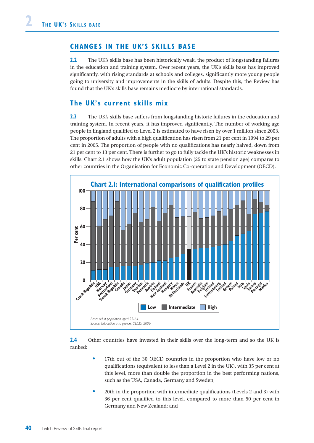## **CHANGES IN THE UK'S SKILLS BASE**

**2.2** The UK's skills base has been historically weak, the product of longstanding failures in the education and training system. Over recent years, the UK's skills base has improved significantly, with rising standards at schools and colleges, significantly more young people going to university and improvements in the skills of adults. Despite this, the Review has found that the UK's skills base remains mediocre by international standards.

### **The UK's current skills mix**

**2.3** The UK's skills base suffers from longstanding historic failures in the education and training system. In recent years, it has improved significantly. The number of working age people in England qualified to Level 2 is estimated to have risen by over 1 million since 2003. The proportion of adults with a high qualification has risen from 21 per cent in 1994 to 29 per cent in 2005. The proportion of people with no qualifications has nearly halved, down from 21 per cent to 13 per cent. There is further to go to fully tackle the UK's historic weaknesses in skills. Chart 2.1 shows how the UK's adult population (25 to state pension age) compares to other countries in the Organisation for Economic Co-operation and Development (OECD).



**2.4** Other countries have invested in their skills over the long-term and so the UK is ranked:

- 17th out of the 30 OECD countries in the proportion who have low or no qualifications (equivalent to less than a Level 2 in the UK), with 35 per cent at this level, more than double the proportion in the best performing nations, such as the USA, Canada, Germany and Sweden;
- 20th in the proportion with intermediate qualifications (Levels 2 and 3) with 36 per cent qualified to this level, compared to more than 50 per cent in Germany and New Zealand; and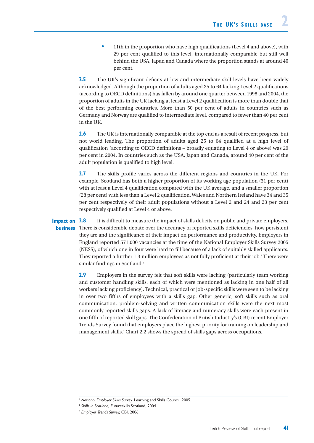• 11th in the proportion who have high qualifications (Level 4 and above), with 29 per cent qualified to this level, internationally comparable but still well behind the USA, Japan and Canada where the proportion stands at around 40 per cent.

**2.5** The UK's significant deficits at low and intermediate skill levels have been widely acknowledged. Although the proportion of adults aged 25 to 64 lacking Level 2 qualifications (according to OECD definitions) has fallen by around one quarter between 1998 and 2004, the proportion of adults in the UK lacking at least a Level 2 qualification is more than double that of the best performing countries. More than 50 per cent of adults in countries such as Germany and Norway are qualified to intermediate level, compared to fewer than 40 per cent in the UK.

**2.6** The UK is internationally comparable at the top end as a result of recent progress, but not world leading. The proportion of adults aged 25 to 64 qualified at a high level of qualification (according to OECD definitions – broadly equating to Level 4 or above) was 29 per cent in 2004. In countries such as the USA, Japan and Canada, around 40 per cent of the adult population is qualified to high level.

**2.7** The skills profile varies across the different regions and countries in the UK. For example, Scotland has both a higher proportion of its working age population (31 per cent) with at least a Level 4 qualification compared with the UK average, and a smaller proportion (28 per cent) with less than a Level 2 qualification. Wales and Northern Ireland have 34 and 35 per cent respectively of their adult populations without a Level 2 and 24 and 23 per cent respectively qualified at Level 4 or above.

**2.8** It is difficult to measure the impact of skills deficits on public and private employers. There is considerable debate over the accuracy of reported skills deficiencies, how persistent **business** they are and the significance of their impact on performance and productivity. Employers in England reported 571,000 vacancies at the time of the National Employer Skills Survey 2005 (NESS), of which one in four were hard to fill because of a lack of suitably skilled applicants. They reported a further 1.3 million employees as not fully proficient at their job.<sup>1</sup> There were similar findings in Scotland.<sup>2</sup> **Impact on**

> **2.9** Employers in the survey felt that soft skills were lacking (particularly team working and customer handling skills, each of which were mentioned as lacking in one half of all workers lacking proficiency). Technical, practical or job-specific skills were seen to be lacking in over two fifths of employees with a skills gap. Other generic, soft skills such as oral communication, problem-solving and written communication skills were the next most commonly reported skills gaps. A lack of literacy and numeracy skills were each present in one fifth of reported skill gaps. The Confederation of British Industry's (CBI) recent Employer Trends Survey found that employers place the highest priority for training on leadership and management skills.<sup>3</sup> Chart 2.2 shows the spread of skills gaps across occupations.

<sup>1</sup> *National Employer Skills Survey,* Learning and Skills Council, 2005.

<sup>2</sup> *Skills in Scotland,* Futureskills Scotland, 2004.

<sup>3</sup> *Employer Trends Survey,* CBI, 2006.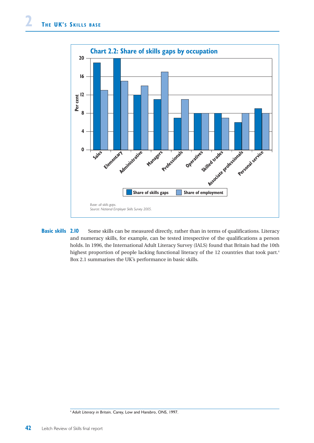

**2.10** Some skills can be measured directly, rather than in terms of qualifications. Literacy and numeracy skills, for example, can be tested irrespective of the qualifications a person holds. In 1996, the International Adult Literacy Survey (IALS) found that Britain had the 10th highest proportion of people lacking functional literacy of the 12 countries that took part.<sup>4</sup> Box 2.1 summarises the UK's performance in basic skills. **Basic skills**

<sup>4</sup> *Adult Literacy in Britain,* Carey, Low and Hansbro, ONS, 1997.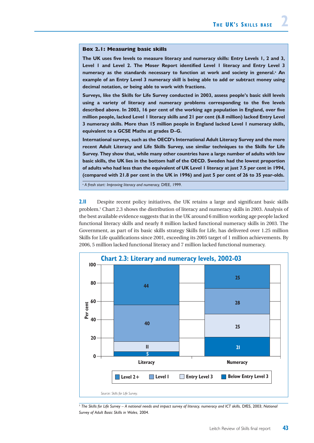#### **Box 2.1: Measuring basic skills**

**The UK uses five levels to measure literacy and numeracy skills: Entry Levels 1, 2 and 3, Level 1 and Level 2. The Moser Report identified Level 1 literacy and Entry Level 3** numeracy as the standards necessary to function at work and society in general.<sup>a</sup> An **example of an Entry Level 3 numeracy skill is being able to add or subtract money using decimal notation, or being able to work with fractions.**

**Surveys, like the Skills for Life Survey conducted in 2003, assess people's basic skill levels using a variety of literacy and numeracy problems corresponding to the five levels described above. In 2003, 16 per cent of the working age population in England, over five million people, lacked Level 1 literacy skills and 21 per cent (6.8 million) lacked Entry Level 3 numeracy skills. More than 15 million people in England lacked Level 1 numeracy skills, equivalent to a GCSE Maths at grades D–G.**

**International surveys, such as the OECD's International Adult Literacy Survey and the more recent Adult Literacy and Life Skills Survey, use similar techniques to the Skills for Life Survey. They show that, while many other countries have a large number of adults with low basic skills, the UK lies in the bottom half of the OECD. Sweden had the lowest proportion of adults who had less than the equivalent of UK Level 1 literacy at just 7.5 per cent in 1994, (compared with 21.8 per cent in the UK in 1996) and just 5 per cent of 26 to 35 year-olds.** 

<sup>a</sup> *A fresh start: Improving literacy and numeracy,* DfEE, 1999.

**2.11** Despite recent policy initiatives, the UK retains a large and significant basic skills problem.5 Chart 2.3 shows the distribution of literacy and numeracy skills in 2003. Analysis of the best available evidence suggests that in the UK around 6 million working age people lacked functional literacy skills and nearly 8 million lacked functional numeracy skills in 2003. The Government, as part of its basic skills strategy Skills for Life, has delivered over 1.25 million Skills for Life qualifications since 2001, exceeding its 2005 target of 1 million achievements. By 2006, 5 million lacked functional literacy and 7 million lacked functional numeracy.



<sup>5</sup> *The Skills for Life Survey* – *A national needs and impact survey of literacy, numeracy and ICT skills,* DfES, 2003; *National Survey of Adult Basic Skills in Wales,* 2004.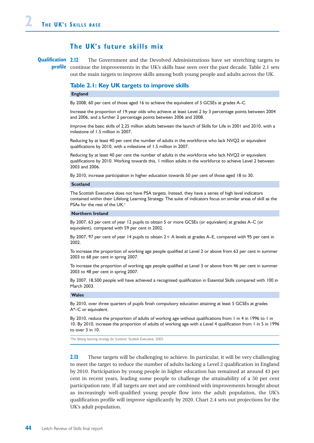### **The UK's future skills mix**

**2.12** The Government and the Devolved Administrations have set stretching targets to **profile** continue the improvements in the UK's skills base seen over the past decade. Table 2.1 sets out the main targets to improve skills among both young people and adults across the UK. **Qualification**

### **Table 2.1: Key UK targets to improve skills**

#### **England**

By 2008, 60 per cent of those aged 16 to achieve the equivalent of 5 GCSEs at grades A–C.

Increase the proportion of 19-year olds who achieve at least Level 2 by 3 percentage points between 2004 and 2006, and a further 2 percentage points between 2006 and 2008.

Improve the basic skills of 2.25 million adults between the launch of Skills for Life in 2001 and 2010, with a milestone of 1.5 million in 2007.

Reducing by at least 40 per cent the number of adults in the workforce who lack NVQ2 or equivalent qualifications by 2010, with a milestone of 1.5 million in 2007.

Reducing by at least 40 per cent the number of adults in the workforce who lack NVQ2 or equivalent qualifications by 2010. Working towards this, 1 million adults in the workforce to achieve Level 2 between 2003 and 2006.

By 2010, increase participation in higher education towards 50 per cent of those aged 18 to 30.

#### **Scotland**

The Scottish Executive does not have PSA targets. Instead, they have a series of high level indicators contained within their Lifelong Learning Strategy. The suite of indicators focus on similar areas of skill as the PSAs for the rest of the UK.<sup>a</sup>

#### **Northern Ireland**

By 2007, 63 per cent of year 12 pupils to obtain 5 or more GCSEs (or equivalent) at grades A–C (or equivalent), compared with 59 per cent in 2002.

By 2007, 97 per cent of year 14 pupils to obtain 2+ A levels at grades A–E, compared with 95 per cent in 2002.

To increase the proportion of working age people qualified at Level 2 or above from 63 per cent in summer 2003 to 68 per cent in spring 2007.

To increase the proportion of working age people qualified at Level 3 or above from 46 per cent in summer 2003 to 48 per cent in spring 2007.

By 2007, 18,500 people will have achieved a recognised qualification in Essential Skills compared with 100 in March 2003.

#### **Wales**

By 2010, over three quarters of pupils finish compulsory education attaining at least 5 GCSEs at grades A\*–C or equivalent.

By 2010, reduce the proportion of adults of working age without qualifications from 1 in 4 in 1996 to 1 in 10. By 2010, increase the proportion of adults of working age with a Level 4 qualification from 1 in 5 in 1996 to over 3 in 10.

*a The lifelong learning strategy for Scotland,* Scottish Executive, 2003.

**2.13** These targets will be challenging to achieve. In particular, it will be very challenging to meet the target to reduce the number of adults lacking a Level 2 qualification in England by 2010. Participation by young people in higher education has remained at around 43 per cent in recent years, leading some people to challenge the attainability of a 50 per cent participation rate. If all targets are met and are combined with improvements brought about as increasingly well-qualified young people flow into the adult population, the UK's qualification profile will improve significantly by 2020. Chart 2.4 sets out projections for the UK's adult population.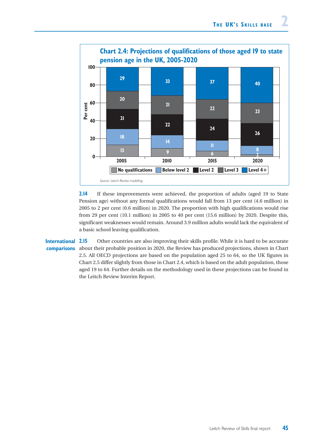

**2.14** If these improvements were achieved, the proportion of adults (aged 19 to State Pension age) without any formal qualifications would fall from 13 per cent (4.6 million) in 2005 to 2 per cent (0.6 million) in 2020. The proportion with high qualifications would rise from 29 per cent (10.1 million) in 2005 to 40 per cent (15.6 million) by 2020. Despite this, significant weaknesses would remain. Around 3.9 million adults would lack the equivalent of a basic school leaving qualification.

**2.15** Other countries are also improving their skills profile. While it is hard to be accurate about their probable position in 2020, the Review has produced projections, shown in Chart 2.5. All OECD projections are based on the population aged 25 to 64, so the UK figures in Chart 2.5 differ slightly from those in Chart 2.4, which is based on the adult population, those aged 19 to 64. Further details on the methodology used in these projections can be found in the Leitch Review Interim Report. **International comparisons**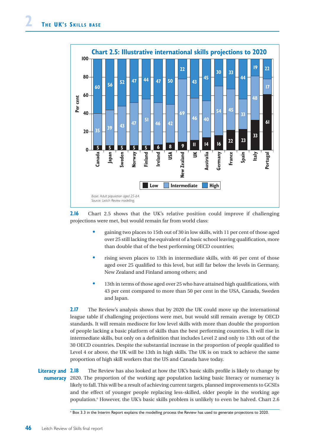

**2.16** Chart 2.5 shows that the UK's relative position could improve if challenging projections were met, but would remain far from world class:

- gaining two places to 15th out of 30 in low skills, with 11 per cent of those aged over 25 still lacking the equivalent of a basic school leaving qualification, more than double that of the best performing OECD countries;
- rising seven places to 13th in intermediate skills, with 46 per cent of those aged over 25 qualified to this level, but still far below the levels in Germany, New Zealand and Finland among others; and
- 13th in terms of those aged over 25 who have attained high qualifications, with 43 per cent compared to more than 50 per cent in the USA, Canada, Sweden and Japan.

**2.17** The Review's analysis shows that by 2020 the UK could move up the international league table if challenging projections were met, but would still remain average by OECD standards. It will remain mediocre for low level skills with more than double the proportion of people lacking a basic platform of skills than the best performing countries. It will rise in intermediate skills, but only on a definition that includes Level 2 and only to 13th out of the 30 OECD countries. Despite the substantial increase in the proportion of people qualified to Level 4 or above, the UK will be 13th in high skills. The UK is on track to achieve the same proportion of high skill workers that the US and Canada have today.

**2.18** The Review has also looked at how the UK's basic skills profile is likely to change by 2020. The proportion of the working age population lacking basic literacy or numeracy is **numeracy** likely to fall. This will be a result of achieving current targets, planned improvements to GCSEs and the effect of younger people replacing less-skilled, older people in the working age population.6 However, the UK's basic skills problem is unlikely to even be halved. Chart 2.6 **Literacy and**

 $6$  Box 3.3 in the Interim Report explains the modelling process the Review has used to generate projections to 2020.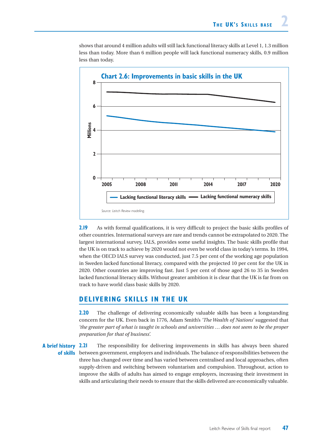shows that around 4 million adults will still lack functional literacy skills at Level 1, 1.3 million less than today. More than 6 million people will lack functional numeracy skills, 0.9 million less than today.



**2.19** As with formal qualifications, it is very difficult to project the basic skills profiles of other countries. International surveys are rare and trends cannot be extrapolated to 2020. The largest international survey, IALS, provides some useful insights. The basic skills profile that the UK is on track to achieve by 2020 would not even be world class in today's terms. In 1994, when the OECD IALS survey was conducted, just 7.5 per cent of the working age population in Sweden lacked functional literacy, compared with the projected 10 per cent for the UK in 2020. Other countries are improving fast. Just 5 per cent of those aged 26 to 35 in Sweden lacked functional literacy skills. Without greater ambition it is clear that the UK is far from on track to have world class basic skills by 2020.

# **DELIVERING SKILLS IN THE UK**

**2.20** The challenge of delivering economically valuable skills has been a longstanding concern for the UK. Even back in 1776, Adam Smith's *'The Wealth of Nations'* suggested that *'the greater part of what is taught in schools and universities … does not seem to be the proper preparation for that of business'.*

**2.21** The responsibility for delivering improvements in skills has always been shared of skills between government, employers and individuals. The balance of responsibilities between the three has changed over time and has varied between centralised and local approaches, often supply-driven and switching between voluntarism and compulsion. Throughout, action to improve the skills of adults has aimed to engage employers, increasing their investment in skills and articulating their needs to ensure that the skills delivered are economically valuable. **A brief history**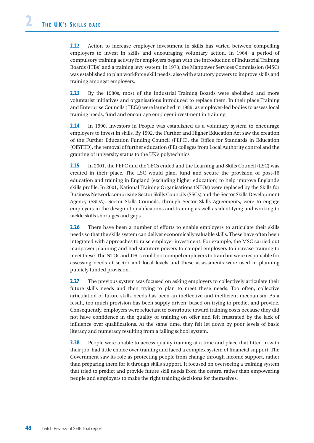**2.22** Action to increase employer investment in skills has varied between compelling employers to invest in skills and encouraging voluntary action. In 1964, a period of compulsory training activity for employers began with the introduction of Industrial Training Boards (ITBs) and a training levy system. In 1973, the Manpower Services Commission (MSC) was established to plan workforce skill needs, also with statutory powers to improve skills and training amongst employers.

**2.23** By the 1980s, most of the Industrial Training Boards were abolished and more voluntarist initiatives and organisations introduced to replace them. In their place Training and Enterprise Councils (TECs) were launched in 1989, as employer-led bodies to assess local training needs, fund and encourage employer investment in training.

**2.24** In 1990, Investors in People was established as a voluntary system to encourage employers to invest in skills. By 1992, the Further and Higher Education Act saw the creation of the Further Education Funding Council (FEFC), the Office for Standards in Education (OfSTED), the removal of further education (FE) colleges from Local Authority control and the granting of university status to the UK's polytechnics.

**2.25** In 2001, the FEFC and the TECs ended and the Learning and Skills Council (LSC) was created in their place. The LSC would plan, fund and secure the provision of post-16 education and training in England (excluding higher education) to help improve England's skills profile. In 2001, National Training Organisations (NTOs) were replaced by the Skills for Business Network comprising Sector Skills Councils (SSCs) and the Sector Skills Development Agency (SSDA). Sector Skills Councils, through Sector Skills Agreements, were to engage employers in the design of qualifications and training as well as identifying and working to tackle skills shortages and gaps.

**2.26** There have been a number of efforts to enable employers to articulate their skills needs so that the skills system can deliver economically valuable skills. These have often been integrated with approaches to raise employer investment. For example, the MSC carried out manpower planning and had statutory powers to compel employers to increase training to meet these. The NTOs and TECs could not compel employers to train but were responsible for assessing needs at sector and local levels and these assessments were used in planning publicly funded provision.

**2.27** The previous system was focused on asking employers to collectively articulate their future skills needs and then trying to plan to meet these needs. Too often, collective articulation of future skills needs has been an ineffective and inefficient mechanism. As a result, too much provision has been supply driven, based on trying to predict and provide. Consequently, employers were reluctant to contribute toward training costs because they did not have confidence in the quality of training on offer and felt frustrated by the lack of influence over qualifications. At the same time, they felt let down by poor levels of basic literacy and numeracy resulting from a failing school system.

**2.28** People were unable to access quality training at a time and place that fitted in with their job, had little choice over training and faced a complex system of financial support. The Government saw its role as protecting people from change through income support, rather than preparing them for it through skills support. It focused on overseeing a training system that tried to predict and provide future skill needs from the centre, rather than empowering people and employers to make the right training decisions for themselves.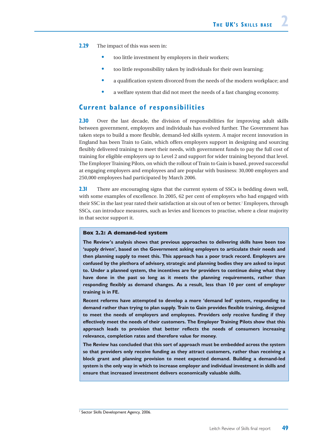**2.29** The impact of this was seen in:

- too little investment by employers in their workers;
- too little responsibility taken by individuals for their own learning;
- a qualification system divorced from the needs of the modern workplace; and
- a welfare system that did not meet the needs of a fast changing economy.

### **Current balance of responsibilities**

**2.30** Over the last decade, the division of responsibilities for improving adult skills between government, employers and individuals has evolved further. The Government has taken steps to build a more flexible, demand-led skills system. A major recent innovation in England has been Train to Gain, which offers employers support in designing and sourcing flexibly delivered training to meet their needs, with government funds to pay the full cost of training for eligible employers up to Level 2 and support for wider training beyond that level. The Employer Training Pilots, on which the rollout of Train to Gain is based, proved successful at engaging employers and employees and are popular with business: 30,000 employers and 250,000 employees had participated by March 2006.

**2.31** There are encouraging signs that the current system of SSCs is bedding down well. with some examples of excellence. In 2005, 62 per cent of employers who had engaged with their SSC in the last year rated their satisfaction at six out of ten or better.7 Employers, through SSCs, can introduce measures, such as levies and licences to practise, where a clear majority in that sector support it.

### **Box 2.2: A demand-led system**

**The Review's analysis shows that previous approaches to delivering skills have been too 'supply driven', based on the Government asking employers to articulate their needs and then planning supply to meet this. This approach has a poor track record. Employers are confused by the plethora of advisory, strategic and planning bodies they are asked to input to. Under a planned system, the incentives are for providers to continue doing what they have done in the past so long as it meets the planning requirements, rather than responding flexibly as demand changes. As a result, less than 10 per cent of employer training is in FE.**

**Recent reforms have attempted to develop a more 'demand led' system, responding to demand rather than trying to plan supply. Train to Gain provides flexible training, designed to meet the needs of employers and employees. Providers only receive funding if they effectively meet the needs of their customers. The Employer Training Pilots show that this approach leads to provision that better reflects the needs of consumers increasing relevance, completion rates and therefore value for money.** 

**The Review has concluded that this sort of approach must be embedded across the system so that providers only receive funding as they attract customers, rather than receiving a block grant and planning provision to meet expected demand. Building a demand-led system is the only way in which to increase employer and individual investment in skills and ensure that increased investment delivers economically valuable skills.**

<sup>&</sup>lt;sup>7</sup> Sector Skills Development Agency, 2006.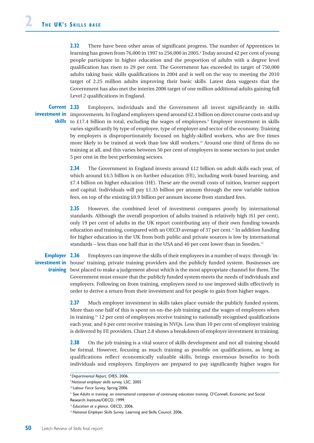**2.32** There have been other areas of significant progress. The number of Apprentices in learning has grown from 76,000 in 1997 to 256,000 in 2005.<sup>8</sup> Today around 42 per cent of young people participate in higher education and the proportion of adults with a degree level qualification has risen to 29 per cent. The Government has exceeded its target of 750,000 adults taking basic skills qualifications in 2004 and is well on the way to meeting the 2010 target of 2.25 million adults improving their basic skills. Latest data suggests that the Government has also met the interim 2006 target of one million additional adults gaining full Level 2 qualifications in England.

**2.33** Employers, individuals and the Government all invest significantly in skills investment in improvements. In England employers spend around £2.4 billion on direct course costs and up skills to £17.4 billion in total, excluding the wages of employees.<sup>9</sup> Employer investment in skills varies significantly by type of employee, type of employer and sector of the economy. Training by employers is disproportionately focused on highly-skilled workers, who are five times more likely to be trained at work than low skill workers.10 Around one third of firms do no training at all, and this varies between 50 per cent of employers in some sectors to just under 5 per cent in the best performing sectors. **Current**

> **2.34** The Government in England invests around £12 billion on adult skills each year, of which around £4.5 billion is on further education (FE), including work-based learning, and £7.4 billion on higher education (HE). These are the overall costs of tuition, learner support and capital. Individuals will pay £1.35 billion per annum through the new variable tuition fees, on top of the existing £0.9 billion per annum income from standard fees.

> **2.35** However, the combined level of investment compares poorly by international standards. Although the overall proportion of adults trained is relatively high (61 per cent), only 19 per cent of adults in the UK report contributing any of their own funding towards education and training, compared with an OECD average of 37 per cent.11 In addition funding for higher education in the UK from both public and private sources is low by international standards – less than one half that in the USA and 40 per cent lower than in Sweden.<sup>12</sup>

**Employer**

**2.36** Employers can improve the skills of their employees in a number of ways: through 'ininvestment in house' training, private training providers and the publicly funded system. Businesses are best placed to make a judgement about which is the most appropriate channel for them. The **training** Government must ensure that the publicly funded system meets the needs of individuals and employers. Following on from training, employers need to use improved skills effectively in order to derive a return from their investment and for people to gain from higher wages.

> **2.37** Much employer investment in skills takes place outside the publicly funded system. More than one half of this is spent on on-the-job training and the wages of employees when in training.13 12 per cent of employees receive training to nationally recognised qualifications each year, and 6 per cent receive training in NVQs. Less than 10 per cent of employer training is delivered by FE providers. Chart 2.8 shows a breakdown of employer investment in training.

> **2.38** On the job training is a vital source of skills development and not all training should be formal. However, focusing as much training as possible on qualifications, as long as qualifications reflect economically valuable skills, brings enormous benefits to both individuals and employers. Employers are prepared to pay significantly higher wages for

<sup>8</sup>*Departmental Report*, DfES, 2006.

<sup>9</sup>*National employer skills survey,* LSC, 2005

<sup>10</sup> *Labour Force Survey,* Spring 2006.

<sup>11</sup> See *Adults in training: an international comparison of continuing education training,* O'Connell, Economic and Social Research Institute/OECD, 1999.

<sup>12</sup> *Education at a glance,* OECD, 2006.

<sup>13</sup>*National Employer Skills Survey,* Learning and Skills Council, 2006.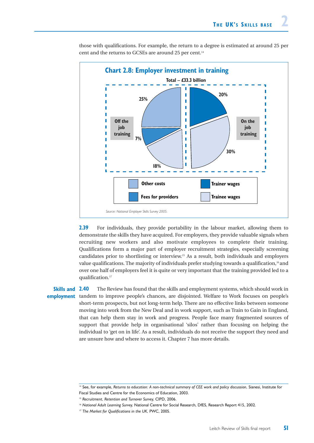

those with qualifications. For example, the return to a degree is estimated at around 25 per cent and the returns to GCSEs are around 25 per cent.<sup>14</sup>

**2.39** For individuals, they provide portability in the labour market, allowing them to demonstrate the skills they have acquired. For employers, they provide valuable signals when recruiting new workers and also motivate employees to complete their training. Qualifications form a major part of employer recruitment strategies, especially screening candidates prior to shortlisting or interview.15 As a result, both individuals and employers value qualifications. The majority of individuals prefer studying towards a qualification,<sup>16</sup> and over one half of employers feel it is quite or very important that the training provided led to a qualification.<sup>17</sup>

**Skills and employment**

**2.40** The Review has found that the skills and employment systems, which should work in tandem to improve people's chances, are disjointed. Welfare to Work focuses on people's short-term prospects, but not long-term help. There are no effective links between someone moving into work from the New Deal and in work support, such as Train to Gain in England, that can help them stay in work and progress. People face many fragmented sources of support that provide help in organisational 'silos' rather than focusing on helping the individual to 'get on in life'. As a result, individuals do not receive the support they need and are unsure how and where to access it. Chapter 7 has more details.

<sup>14</sup> See, for example, *Returns to education: A non-technical summary of CEE work and policy discussion,* Sianesi, Institute for Fiscal Studies and Centre for the Economics of Education, 2003.

<sup>15</sup> *Recruitment, Retention and Turnover Survey,* CIPD, 2006.

<sup>&</sup>lt;sup>16</sup> National Adult Learning Survey, National Centre for Social Research, DfES, Research Report 415, 2002.

<sup>17</sup> *The Market for Qualifications in the UK,* PWC, 2005.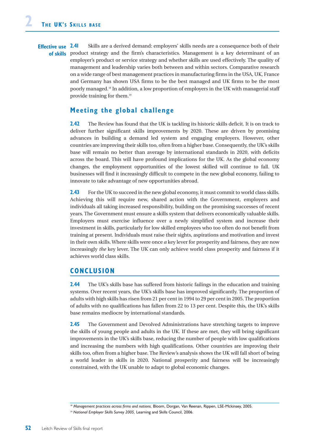**2.41** Skills are a derived demand: employers' skills needs are a consequence both of their product strategy and the firm's characteristics. Management is a key determinant of an **of skills** employer's product or service strategy and whether skills are used effectively. The quality of management and leadership varies both between and within sectors. Comparative research on a wide range of best management practices in manufacturing firms in the USA, UK, France and Germany has shown USA firms to be the best managed and UK firms to be the most poorly managed.18 In addition, a low proportion of employers in the UK with managerial staff provide training for them.19 **Effective use**

# **Meeting the global challenge**

**2.42** The Review has found that the UK is tackling its historic skills deficit. It is on track to deliver further significant skills improvements by 2020. These are driven by promising advances in building a demand led system and engaging employers. However, other countries are improving their skills too, often from a higher base. Consequently, the UK's skills base will remain no better than average by international standards in 2020, with deficits across the board. This will have profound implications for the UK. As the global economy changes, the employment opportunities of the lowest skilled will continue to fall. UK businesses will find it increasingly difficult to compete in the new global economy, failing to innovate to take advantage of new opportunities abroad.

**2.43** For the UK to succeed in the new global economy, it must commit to world class skills. Achieving this will require new, shared action with the Government, employers and individuals all taking increased responsibility, building on the promising successes of recent years. The Government must ensure a skills system that delivers economically valuable skills. Employers must exercise influence over a newly simplified system and increase their investment in skills, particularly for low skilled employees who too often do not benefit from training at present. Individuals must raise their sights, aspirations and motivation and invest in their own skills. Where skills were once *a* key lever for prosperity and fairness, they are now increasingly *the* key lever. The UK can only achieve world class prosperity and fairness if it achieves world class skills.

# **CONCLUSION**

**2.44** The UK's skills base has suffered from historic failings in the education and training systems. Over recent years, the UK's skills base has improved significantly. The proportion of adults with high skills has risen from 21 per cent in 1994 to 29 per cent in 2005. The proportion of adults with no qualifications has fallen from 22 to 13 per cent. Despite this, the UK's skills base remains mediocre by international standards.

**2.45** The Government and Devolved Administrations have stretching targets to improve the skills of young people and adults in the UK. If these are met, they will bring significant improvements in the UK's skills base, reducing the number of people with low qualifications and increasing the numbers with high qualifications. Other countries are improving their skills too, often from a higher base. The Review's analysis shows the UK will fall short of being a world leader in skills in 2020. National prosperity and fairness will be increasingly constrained, with the UK unable to adapt to global economic changes.

<sup>&</sup>lt;sup>18</sup> Management practices across firms and nations, Bloom, Dorgan, Van Reenan, Rippen, LSE-Mckinsey, 2005.

<sup>&</sup>lt;sup>19</sup> National Employer Skills Survey 2005, Learning and Skills Council, 2006.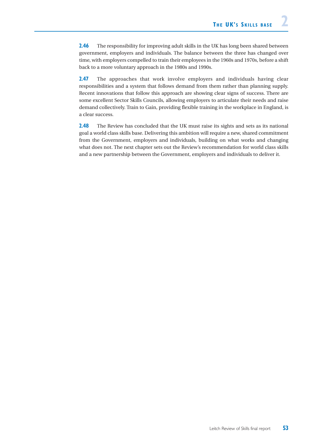**2.46** The responsibility for improving adult skills in the UK has long been shared between government, employers and individuals. The balance between the three has changed over time, with employers compelled to train their employees in the 1960s and 1970s, before a shift back to a more voluntary approach in the 1980s and 1990s.

**2.47** The approaches that work involve employers and individuals having clear responsibilities and a system that follows demand from them rather than planning supply. Recent innovations that follow this approach are showing clear signs of success. There are some excellent Sector Skills Councils, allowing employers to articulate their needs and raise demand collectively. Train to Gain, providing flexible training in the workplace in England, is a clear success.

**2.48** The Review has concluded that the UK must raise its sights and sets as its national goal a world class skills base. Delivering this ambition will require a new, shared commitment from the Government, employers and individuals, building on what works and changing what does not. The next chapter sets out the Review's recommendation for world class skills and a new partnership between the Government, employers and individuals to deliver it.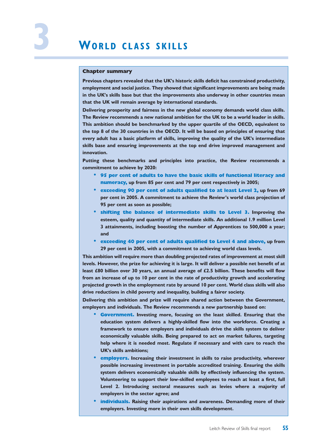### **Chapter summary**

**Previous chapters revealed that the UK's historic skills deficit has constrained productivity, employment and social justice. They showed that significant improvements are being made in the UK's skills base but that the improvements also underway in other countries mean that the UK will remain average by international standards.**

**Delivering prosperity and fairness in the new global economy demands world class skills. The Review recommends a new national ambition for the UK to be a world leader in skills. This ambition should be benchmarked by the upper quartile of the OECD, equivalent to the top 8 of the 30 countries in the OECD. It will be based on principles of ensuring that every adult has a basic platform of skills, improving the quality of the UK's intermediate skills base and ensuring improvements at the top end drive improved management and innovation.**

**Putting these benchmarks and principles into practice, the Review recommends a commitment to achieve by 2020:**

- **• 95 per cent of adults to have the basic skills of functional literacy and numeracy, up from 85 per cent and 79 per cent respectively in 2005;**
- **• exceeding 90 per cent of adults qualified to at least Level 2, up from 69 per cent in 2005. A commitment to achieve the Review's world class projection of 95 per cent as soon as possible;**
- **• shifting the balance of intermediate skills to Level 3. Improving the esteem, quality and quantity of intermediate skills. An additional 1.9 million Level 3 attainments, including boosting the number of Apprentices to 500,000 a year; and**
- **• exceeding 40 per cent of adults qualified to Level 4 and above, up from 29 per cent in 2005, with a commitment to achieving world class levels.**

**This ambition will require more than doubling projected rates of improvement at most skill levels. However, the prize for achieving it is large. It will deliver a possible net benefit of at least £80 billion over 30 years, an annual average of £2.5 billion. These benefits will flow from an increase of up to 10 per cent in the rate of productivity growth and accelerating projected growth in the employment rate by around 10 per cent. World class skills will also drive reductions in child poverty and inequality, building a fairer society.**

**Delivering this ambition and prize will require shared action between the Government, employers and individuals. The Review recommends a new partnership based on:**

- **• Government. Investing more, focusing on the least skilled. Ensuring that the education system delivers a highly-skilled flow into the workforce. Creating a framework to ensure employers and individuals drive the skills system to deliver economically valuable skills. Being prepared to act on market failures, targeting help where it is needed most. Regulate if necessary and with care to reach the UK's skills ambitions;**
- **• employers. Increasing their investment in skills to raise productivity, wherever possible increasing investment in portable accredited training. Ensuring the skills system delivers economically valuable skills by effectively influencing the system. Volunteering to support their low-skilled employees to reach at least a first, full Level 2. Introducing sectoral measures such as levies where a majority of employers in the sector agree; and**
- **• individuals. Raising their aspirations and awareness. Demanding more of their employers. Investing more in their own skills development.**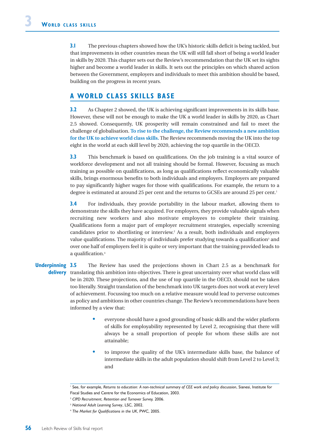**3.1** The previous chapters showed how the UK's historic skills deficit is being tackled, but that improvements in other countries mean the UK will still fall short of being a world leader in skills by 2020. This chapter sets out the Review's recommendation that the UK set its sights higher and become a world leader in skills. It sets out the principles on which shared action between the Government, employers and individuals to meet this ambition should be based, building on the progress in recent years.

# **A WORLD CLASS SKILLS BASE**

**3.2** As Chapter 2 showed, the UK is achieving significant improvements in its skills base. However, these will not be enough to make the UK a world leader in skills by 2020, as Chart 2.5 showed. Consequently, UK prosperity will remain constrained and fail to meet the challenge of globalisation. **To rise to the challenge, the Review recommends a new ambition for the UK to achieve world class skills.** The Review recommends moving the UK into the top eight in the world at each skill level by 2020, achieving the top quartile in the OECD.

**3.3** This benchmark is based on qualifications. On the job training is a vital source of workforce development and not all training should be formal. However, focusing as much training as possible on qualifications, as long as qualifications reflect economically valuable skills, brings enormous benefits to both individuals and employers. Employers are prepared to pay significantly higher wages for those with qualifications. For example, the return to a degree is estimated at around 25 per cent and the returns to GCSEs are around 25 per cent.<sup>1</sup>

**3.4** For individuals, they provide portability in the labour market, allowing them to demonstrate the skills they have acquired. For employers, they provide valuable signals when recruiting new workers and also motivate employees to complete their training. Qualifications form a major part of employer recruitment strategies, especially screening candidates prior to shortlisting or interview.2 As a result, both individuals and employers value qualifications. The majority of individuals prefer studying towards a qualification<sup>3</sup> and over one half of employers feel it is quite or very important that the training provided leads to a qualification.<sup>4</sup>

- **3.5** The Review has used the projections shown in Chart 2.5 as a benchmark for translating this ambition into objectives. There is great uncertainty over what world class will be in 2020. These projections, and the use of top quartile in the OECD, should not be taken too literally. Straight translation of the benchmark into UK targets does not work at every level of achievement. Focussing too much on a relative measure would lead to perverse outcomes as policy and ambitions in other countries change. The Review's recommendations have been informed by a view that: **Underpinning delivery**
	- everyone should have a good grounding of basic skills and the wider platform of skills for employability represented by Level 2, recognising that there will always be a small proportion of people for whom these skills are not attainable;
	- to improve the quality of the UK's intermediate skills base, the balance of intermediate skills in the adult population should shift from Level 2 to Level 3; and

<sup>1</sup> See, for example, *Returns to education: A non-technical summary of CEE work and policy discussion*, Sianesi, Institute for Fiscal Studies and Centre for the Economics of Education, 2003.

<sup>2</sup> *CIPD Recruitment, Retention and Turnover Survey,* 2006.

<sup>3</sup> *National Adult Learning Survey*, LSC, 2002.

<sup>4</sup> *The Market for Qualifications in the UK*, PWC, 2005.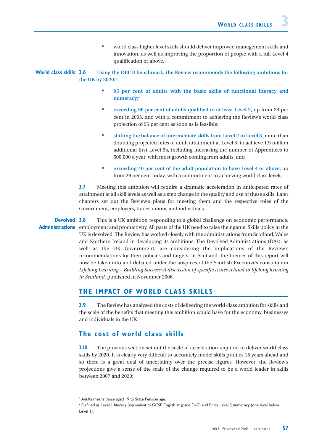• world class higher level skills should deliver improved management skills and innovation, as well as improving the proportion of people with a full Level 4 qualification or above.

**3.6 Using the OECD benchmark, the Review recommends the following ambitions for the UK by 2020:5 World class skills**

- **95 per cent of adults with the basic skills of functional literacy and numeracy;**<sup>6</sup>
- **exceeding 90 per cent of adults qualified to at least Level 2**, up from 29 per cent in 2005, and with a commitment to achieving the Review's world class projection of 95 per cent as soon as is feasible;
- **shifting the balance of intermediate skills from Level 2 to Level 3**, more than doubling projected rates of adult attainment at Level 3, to achieve 1.9 million additional first Level 3s, including increasing the number of Apprentices to 500,000 a year, with most growth coming from adults; and
- **exceeding 40 per cent of the adult population to have Level 4 or above,** up from 29 per cent today, with a commitment to achieving world class levels.

**3.7** Meeting this ambition will require a dramatic acceleration in anticipated rates of attainment at all skill levels as well as a step change in the quality and use of these skills. Later chapters set out the Review's plans for meeting them and the respective roles of the Government, employers, trades unions and individuals.

**3.8** This is a UK ambition responding to a global challenge on economic performance, Administrations employment and productivity. All parts of the UK need to raise their game. Skills policy in the UK is devolved. The Review has worked closely with the administrations from Scotland, Wales and Northern Ireland in developing its ambitions. The Devolved Administrations (DAs), as well as the UK Government, are considering the implications of the Review's recommendations for their policies and targets. In Scotland, the themes of this report will now be taken into and debated under the auspices of the Scottish Executive's consultation *Lifelong Learning – Building Success: A discussion of specific issues related to lifelong learning in Scotland,* published in November 2006. **Devolved**

# **THE IMPACT OF WORLD CLASS SKILLS**

**3.9** The Review has analysed the costs of delivering the world class ambition for skills and the scale of the benefits that meeting this ambition would have for the economy, businesses and individuals in the UK.

# **The cost of world class skills**

**3.10** The previous section set out the scale of acceleration required to deliver world class skills by 2020. It is clearly very difficult to accurately model skills profiles 15 years ahead and so there is a great deal of uncertainty over the precise figures. However, the Review's projections give a sense of the scale of the change required to be a world leader in skills between 2007 and 2020:

<sup>&</sup>lt;sup>5</sup> Adults means those aged 19 to State Pension age.

<sup>6</sup> Defined as Level 1 literacy (equivalent to GCSE English at grade D-G) and Entry Level 3 numeracy (one level below Level 1).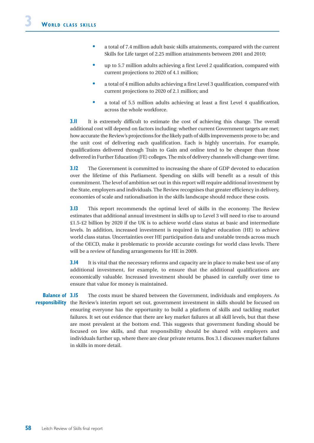- a total of 7.4 million adult basic skills attainments, compared with the current Skills for Life target of 2.25 million attainments between 2001 and 2010;
- up to 5.7 million adults achieving a first Level 2 qualification, compared with current projections to 2020 of 4.1 million;
- a total of 4 million adults achieving a first Level 3 qualification, compared with current projections to 2020 of 2.1 million; and
- a total of 5.5 million adults achieving at least a first Level 4 qualification, across the whole workforce.

**3.11** It is extremely difficult to estimate the cost of achieving this change. The overall additional cost will depend on factors including: whether current Government targets are met; how accurate the Review's projections for the likely path of skills improvements prove to be; and the unit cost of delivering each qualification. Each is highly uncertain. For example, qualifications delivered through Train to Gain and online tend to be cheaper than those delivered in Further Education (FE) colleges. The mix of delivery channels will change over time.

**3.12** The Government is committed to increasing the share of GDP devoted to education over the lifetime of this Parliament. Spending on skills will benefit as a result of this commitment. The level of ambition set out in this report will require additional investment by the State, employers and individuals. The Review recognises that greater efficiency in delivery, economies of scale and rationalisation in the skills landscape should reduce these costs.

**3.13** This report recommends the optimal level of skills in the economy. The Review estimates that additional annual investment in skills up to Level 3 will need to rise to around £1.5-£2 billion by 2020 if the UK is to achieve world class status at basic and intermediate levels. In addition, increased investment is required in higher education (HE) to achieve world class status. Uncertainties over HE participation data and unstable trends across much of the OECD, make it problematic to provide accurate costings for world class levels. There will be a review of funding arrangements for HE in 2009.

**3.14** It is vital that the necessary reforms and capacity are in place to make best use of any additional investment, for example, to ensure that the additional qualifications are economically valuable. Increased investment should be phased in carefully over time to ensure that value for money is maintained.

**3.15** The costs must be shared between the Government, individuals and employers. As responsibility the Review's interim report set out, government investment in skills should be focused on ensuring everyone has the opportunity to build a platform of skills and tackling market failures. It set out evidence that there are key market failures at all skill levels, but that these are most prevalent at the bottom end. This suggests that government funding should be focused on low skills, and that responsibility should be shared with employers and individuals further up, where there are clear private returns. Box 3.1 discusses market failures in skills in more detail. **Balance of**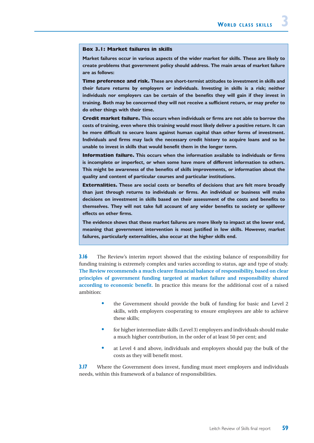#### **Box 3.1: Market failures in skills**

**Market failures occur in various aspects of the wider market for skills. These are likely to create problems that government policy should address. The main areas of market failure are as follows:**

**Time preference and risk. These are short-termist attitudes to investment in skills and their future returns by employers or individuals. Investing in skills is a risk; neither individuals nor employers can be certain of the benefits they will gain if they invest in training. Both may be concerned they will not receive a sufficient return, or may prefer to do other things with their time.**

**Credit market failure. This occurs when individuals or firms are not able to borrow the costs of training, even where this training would most likely deliver a positive return. It can be more difficult to secure loans against human capital than other forms of investment. Individuals and firms may lack the necessary credit history to acquire loans and so be unable to invest in skills that would benefit them in the longer term.**

**Information failure. This occurs when the information available to individuals or firms is incomplete or imperfect, or when some have more of different information to others. This might be awareness of the benefits of skills improvements, or information about the quality and content of particular courses and particular institutions.**

**Externalities. These are social costs or benefits of decisions that are felt more broadly than just through returns to individuals or firms. An individual or business will make decisions on investment in skills based on their assessment of the costs and benefits to themselves. They will not take full account of any wider benefits to society or spillover effects on other firms.**

**The evidence shows that these market failures are more likely to impact at the lower end, meaning that government intervention is most justified in low skills. However, market failures, particularly externalities, also occur at the higher skills end.**

**3.16** The Review's interim report showed that the existing balance of responsibility for funding training is extremely complex and varies according to status, age and type of study. **The Review recommends a much clearer financial balance of responsibility, based on clear principles of government funding targeted at market failure and responsibility shared according to economic benefit.** In practice this means for the additional cost of a raised ambition:

- the Government should provide the bulk of funding for basic and Level 2 skills, with employers cooperating to ensure employees are able to achieve these skills;
- for higher intermediate skills (Level 3) employers and individuals should make a much higher contribution, in the order of at least 50 per cent; and
- at Level 4 and above, individuals and employers should pay the bulk of the costs as they will benefit most.

**3.17** Where the Government does invest, funding must meet employers and individuals needs, within this framework of a balance of responsibilities.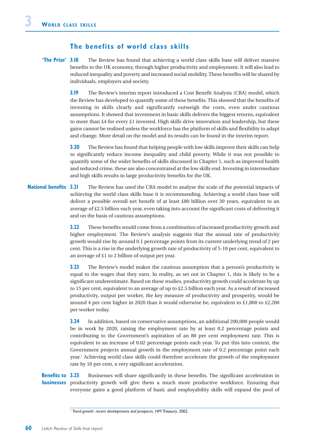## **The benefits of world class skills**

**3.18** The Review has found that achieving a world class skills base will deliver massive benefits to the UK economy, through higher productivity and employment. It will also lead to reduced inequality and poverty and increased social mobility. These benefits will be shared by individuals, employers and society. **'The Prize'**

> **3.19** The Review's interim report introduced a Cost Benefit Analysis (CBA) model, which the Review has developed to quantify some of these benefits. This showed that the benefits of investing in skills clearly and significantly outweigh the costs, even under cautious assumptions. It showed that investment in basic skills delivers the biggest returns, equivalent to more than £4 for every £1 invested. High skills drive innovation and leadership, but these gains cannot be realised unless the workforce has the platform of skills and flexibility to adapt and change. More detail on the model and its results can be found in the interim report.

> **3.20** The Review has found that helping people with low skills improve their skills can help to significantly reduce income inequality and child poverty. While it was not possible to quantify some of the wider benefits of skills discussed in Chapter 1, such as improved health and reduced crime, these are also concentrated at the low skills end. Investing in intermediate and high skills results in large productivity benefits for the UK.

**3.21** The Review has used the CBA model to analyse the scale of the potential impacts of achieving the world class skills base it is recommending. Achieving a world class base will deliver a possible overall net benefit of at least £80 billion over 30 years, equivalent to an average of £2.5 billion each year, even taking into account the significant costs of delivering it and on the basis of cautious assumptions. **National benefits**

> **3.22** These benefits would come from a combination of increased productivity growth and higher employment. The Review's analysis suggests that the annual rate of productivity growth would rise by around 0.1 percentage points from its current underlying trend of 2 per cent. This is a rise in the underlying growth rate of productivity of 5-10 per cent, equivalent to an average of £1 to 2 billion of output per year.

> **3.23** The Review's model makes the cautious assumption that a person's productivity is equal to the wages that they earn. In reality, as set out in Chapter 1, this is likely to be a significant underestimate. Based on these studies, productivity growth could accelerate by up to 15 per cent, equivalent to an average of up to £2.5 billion each year. As a result of increased productivity, output per worker, the key measure of productivity and prosperity, would be around 4 per cent higher in 2020 than it would otherwise be, equivalent to £1,800 to £2,200 per worker today.

> **3.24** In addition, based on conservative assumptions, an additional 200,000 people would be in work by 2020, raising the employment rate by at least 0.2 percentage points and contributing to the Government's aspiration of an 80 per cent employment rate. This is equivalent to an increase of 0.02 percentage points each year. To put this into context, the Government projects annual growth in the employment rate of 0.2 percentage point each year.7 Achieving world class skills could therefore accelerate the growth of the employment rate by 10 per cent, a very significant acceleration.

**3.25** Businesses will share significantly in these benefits. The significant acceleration in productivity growth will give them a much more productive workforce. Ensuring that everyone gains a good platform of basic and employability skills will expand the pool of **Benefits to businesses**

<sup>7</sup> *Trend growth: recent developments and prospects*, HM Treasury, 2002.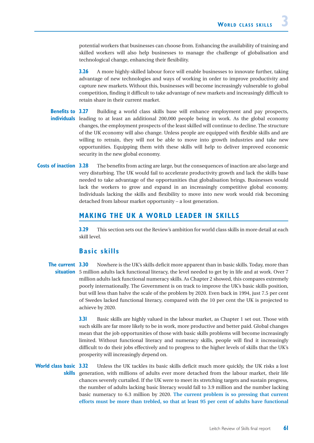potential workers that businesses can choose from. Enhancing the availability of training and skilled workers will also help businesses to manage the challenge of globalisation and technological change, enhancing their flexibility.

**3.26** A more highly-skilled labour force will enable businesses to innovate further, taking advantage of new technologies and ways of working in order to improve productivity and capture new markets. Without this, businesses will become increasingly vulnerable to global competition, finding it difficult to take advantage of new markets and increasingly difficult to retain share in their current market.

**3.27** Building a world class skills base will enhance employment and pay prospects, individuals leading to at least an additional 200,000 people being in work. As the global economy changes, the employment prospects of the least skilled will continue to decline. The structure of the UK economy will also change. Unless people are equipped with flexible skills and are willing to retrain, they will not be able to move into growth industries and take new opportunities. Equipping them with these skills will help to deliver improved economic security in the new global economy. **Benefits to**

**3.28** The benefits from acting are large, but the consequences of inaction are also large and very disturbing. The UK would fail to accelerate productivity growth and lack the skills base needed to take advantage of the opportunities that globalisation brings. Businesses would lack the workers to grow and expand in an increasingly competitive global economy. Individuals lacking the skills and flexibility to move into new work would risk becoming detached from labour market opportunity – a lost generation. **Costs of inaction**

## **MAKING THE UK A WORLD LEADER IN SKILLS**

**3.29** This section sets out the Review's ambition for world class skills in more detail at each skill level.

## **Basic skills**

**3.30** Nowhere is the UK's skills deficit more apparent than in basic skills. Today, more than situation 5 million adults lack functional literacy, the level needed to get by in life and at work. Over 7 million adults lack functional numeracy skills. As Chapter 2 showed, this compares extremely poorly internationally. The Government is on track to improve the UK's basic skills position, but will less than halve the scale of the problem by 2020. Even back in 1994, just 7.5 per cent of Swedes lacked functional literacy, compared with the 10 per cent the UK is projected to achieve by 2020. **The current**

> **3.31** Basic skills are highly valued in the labour market, as Chapter 1 set out. Those with such skills are far more likely to be in work, more productive and better paid. Global changes mean that the job opportunities of those with basic skills problems will become increasingly limited. Without functional literacy and numeracy skills, people will find it increasingly difficult to do their jobs effectively and to progress to the higher levels of skills that the UK's prosperity will increasingly depend on.

**3.32** Unless the UK tackles its basic skills deficit much more quickly, the UK risks a lost generation, with millions of adults ever more detached from the labour market, their life **skills** chances severely curtailed. If the UK were to meet its stretching targets and sustain progress, the number of adults lacking basic literacy would fall to 3.9 million and the number lacking basic numeracy to 6.3 million by 2020. **The current problem is so pressing that current efforts must be more than trebled, so that at least 95 per cent of adults have functional World class basic**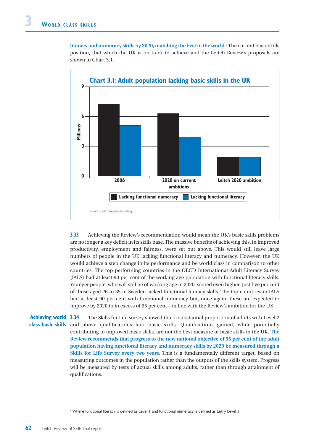**literacy and numeracy skills by 2020, matching the best in the world.**<sup>8</sup> The current basic skills position, that which the UK is on track to achieve and the Leitch Review's proposals are shown in Chart 3.1.



**3.33** Achieving the Review's recommendation would mean the UK's basic skills problems are no longer a key deficit in its skills base. The massive benefits of achieving this, in improved productivity, employment and fairness, were set out above. This would still leave large numbers of people in the UK lacking functional literacy and numeracy. However, the UK would achieve a step change in its performance and be world class in comparison to other countries. The top performing countries in the OECD International Adult Literacy Survey (IALS) had at least 90 per cent of the working age population with functional literacy skills. Younger people, who will still be of working age in 2020, scored even higher. Just five per cent of those aged 26 to 35 in Sweden lacked functional literacy skills. The top countries in IALS had at least 90 per cent with functional numeracy but, once again, these are expected to improve by 2020 to in excess of 95 per cent – in line with the Review's ambition for the UK.

**3.34** The Skills for Life survey showed that a substantial proportion of adults with Level 2 and above qualifications lack basic skills. Qualifications gained, while potentially contributing to improved basic skills, are not the best measure of basic skills in the UK. **The Review recommends that progress to the new national objective of 95 per cent of the adult population having functional literacy and numeracy skills by 2020 be measured through a Skills for Life Survey every two years.** This is a fundamentally different target, based on measuring outcomes in the population rather than the outputs of the skills system. Progress will be measured by tests of actual skills among adults, rather than through attainment of qualifications. **Achieving world class basic skills**

<sup>&</sup>lt;sup>8</sup> Where functional literacy is defined as Level 1 and functional numeracy is defined as Entry Level 3.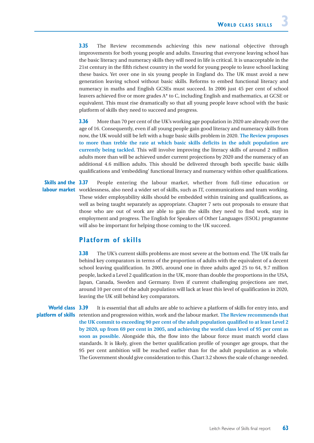**3.35** The Review recommends achieving this new national objective through improvements for both young people and adults. Ensuring that everyone leaving school has the basic literacy and numeracy skills they will need in life is critical. It is unacceptable in the 21st century in the fifth richest country in the world for young people to leave school lacking these basics. Yet over one in six young people in England do. The UK must avoid a new generation leaving school without basic skills. Reforms to embed functional literacy and numeracy in maths and English GCSEs must succeed. In 2006 just 45 per cent of school leavers achieved five or more grades A\* to C, including English and mathematics, at GCSE or equivalent. This must rise dramatically so that all young people leave school with the basic platform of skills they need to succeed and progress.

**3.36** More than 70 per cent of the UK's working age population in 2020 are already over the age of 16. Consequently, even if all young people gain good literacy and numeracy skills from now, the UK would still be left with a huge basic skills problem in 2020. **The Review proposes to more than treble the rate at which basic skills deficits in the adult population are currently being tackled.** This will involve improving the literacy skills of around 2 million adults more than will be achieved under current projections by 2020 and the numeracy of an additional 4.6 million adults. This should be delivered through both specific basic skills qualifications and 'embedding' functional literacy and numeracy within other qualifications.

**3.37** People entering the labour market, whether from full-time education or labour market worklessness, also need a wider set of skills, such as IT, communications and team working. These wider employability skills should be embedded within training and qualifications, as well as being taught separately as appropriate. Chapter 7 sets out proposals to ensure that those who are out of work are able to gain the skills they need to find work, stay in employment and progress. The English for Speakers of Other Languages (ESOL) programme will also be important for helping those coming to the UK succeed. **Skills and the**

# **Platform of skills**

**3.38** The UK's current skills problems are most severe at the bottom end. The UK trails far behind key comparators in terms of the proportion of adults with the equivalent of a decent school leaving qualification. In 2005, around one in three adults aged 25 to 64, 9.7 million people, lacked a Level 2 qualification in the UK, more than double the proportions in the USA, Japan, Canada, Sweden and Germany. Even if current challenging projections are met, around 10 per cent of the adult population will lack at least this level of qualification in 2020, leaving the UK still behind key comparators.

**3.39** It is essential that all adults are able to achieve a platform of skills for entry into, and platform of skills retention and progression within, work and the labour market. The Review recommends that **the UK commit to exceeding 90 per cent of the adult population qualified to at least Level 2 by 2020, up from 69 per cent in 2005, and achieving the world class level of 95 per cent as soon as possible.** Alongside this, the flow into the labour force must match world class standards. It is likely, given the better qualification profile of younger age groups, that the 95 per cent ambition will be reached earlier than for the adult population as a whole. The Government should give consideration to this. Chart 3.2 shows the scale of change needed. **World class**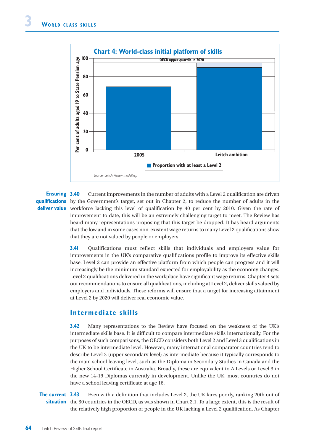

**3.40** Current improvements in the number of adults with a Level 2 qualification are driven qualifications by the Government's target, set out in Chapter 2, to reduce the number of adults in the workforce lacking this level of qualification by 40 per cent by 2010. Given the rate of improvement to date, this will be an extremely challenging target to meet. The Review has heard many representations proposing that this target be dropped. It has heard arguments that the low and in some cases non-existent wage returns to many Level 2 qualifications show that they are not valued by people or employers. **Ensuring deliver value**

> **3.41** Qualifications must reflect skills that individuals and employers value for improvements in the UK's comparative qualifications profile to improve its effective skills base. Level 2 can provide an effective platform from which people can progress and it will increasingly be the minimum standard expected for employability as the economy changes. Level 2 qualifications delivered in the workplace have significant wage returns. Chapter 4 sets out recommendations to ensure all qualifications, including at Level 2, deliver skills valued by employers and individuals. These reforms will ensure that a target for increasing attainment at Level 2 by 2020 will deliver real economic value.

### **Intermediate skills**

**3.42** Many representations to the Review have focused on the weakness of the UK's intermediate skills base. It is difficult to compare intermediate skills internationally. For the purposes of such comparisons, the OECD considers both Level 2 and Level 3 qualifications in the UK to be intermediate level. However, many international comparator countries tend to describe Level 3 (upper secondary level) as intermediate because it typically corresponds to the main school leaving level, such as the Diploma in Secondary Studies in Canada and the Higher School Certificate in Australia. Broadly, these are equivalent to A Levels or Level 3 in the new 14-19 Diplomas currently in development. Unlike the UK, most countries do not have a school leaving certificate at age 16.

**3.43** Even with a definition that includes Level 2, the UK fares poorly, ranking 20th out of the 30 countries in the OECD, as was shown in Chart 2.1. To a large extent, this is the result of the relatively high proportion of people in the UK lacking a Level 2 qualification. As Chapter **The current situation**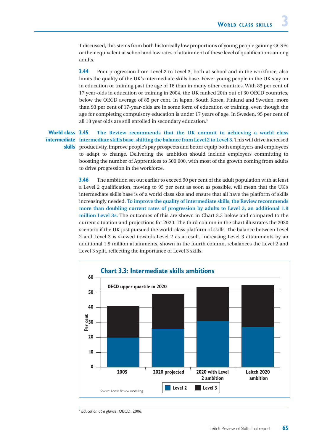1 discussed, this stems from both historically low proportions of young people gaining GCSEs or their equivalent at school and low rates of attainment of these level of qualifications among adults.

**3.44** Poor progression from Level 2 to Level 3, both at school and in the workforce, also limits the quality of the UK's intermediate skills base. Fewer young people in the UK stay on in education or training past the age of 16 than in many other countries. With 83 per cent of 17 year-olds in education or training in 2004, the UK ranked 20th out of 30 OECD countries, below the OECD average of 85 per cent. In Japan, South Korea, Finland and Sweden, more than 93 per cent of 17-year-olds are in some form of education or training, even though the age for completing compulsory education is under 17 years of age. In Sweden, 95 per cent of all 18 year olds are still enrolled in secondary education.<sup>9</sup>

**3.45 The Review recommends that the UK commit to achieving a world class intermediate** intermediate skills base, shifting the balance from Level 2 to Level 3. This will drive increased productivity, improve people's pay prospects and better equip both employers and employees **skills** to adapt to change. Delivering the ambition should include employers committing to boosting the number of Apprentices to 500,000, with most of the growth coming from adults to drive progression in the workforce. **World class**

> **3.46** The ambition set out earlier to exceed 90 per cent of the adult population with at least a Level 2 qualification, moving to 95 per cent as soon as possible, will mean that the UK's intermediate skills base is of a world class size and ensure that all have the platform of skills increasingly needed. **To improve the quality of intermediate skills, the Review recommends more than doubling current rates of progression by adults to Level 3, an additional 1.9 million Level 3s.** The outcomes of this are shown in Chart 3.3 below and compared to the current situation and projections for 2020. The third column in the chart illustrates the 2020 scenario if the UK just pursued the world-class platform of skills. The balance between Level 2 and Level 3 is skewed towards Level 2 as a result. Increasing Level 3 attainments by an additional 1.9 million attainments, shown in the fourth column, rebalances the Level 2 and Level 3 split, reflecting the importance of Level 3 skills.



<sup>9</sup> *Education at a glance*, OECD, 2006.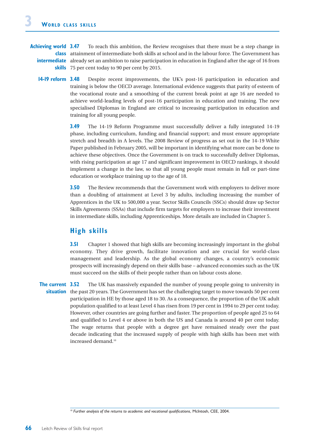**3.47** To reach this ambition, the Review recognises that there must be a step change in attainment of intermediate both skills at school and in the labour force. The Government has **class** intermediate already set an ambition to raise participation in education in England after the age of 16 from 75 per cent today to 90 per cent by 2015. **skills Achieving world**

**3.48** Despite recent improvements, the UK's post-16 participation in education and training is below the OECD average. International evidence suggests that parity of esteem of the vocational route and a smoothing of the current break point at age 16 are needed to achieve world-leading levels of post-16 participation in education and training. The new specialised Diplomas in England are critical to increasing participation in education and training for all young people. **14-19 reform**

> **3.49** The 14-19 Reform Programme must successfully deliver a fully integrated 14-19 phase, including curriculum, funding and financial support; and must ensure appropriate stretch and breadth in A levels. The 2008 Review of progress as set out in the 14-19 White Paper published in February 2005, will be important in identifying what more can be done to achieve these objectives. Once the Government is on track to successfully deliver Diplomas, with rising participation at age 17 and significant improvement in OECD rankings, it should implement a change in the law, so that all young people must remain in full or part-time education or workplace training up to the age of 18.

> **3.50** The Review recommends that the Government work with employers to deliver more than a doubling of attainment at Level 3 by adults, including increasing the number of Apprentices in the UK to 500,000 a year. Sector Skills Councils (SSCs) should draw up Sector Skills Agreements (SSAs) that include firm targets for employers to increase their investment in intermediate skills, including Apprenticeships. More details are included in Chapter 5.

## **High skills**

**3.51** Chapter 1 showed that high skills are becoming increasingly important in the global economy. They drive growth, facilitate innovation and are crucial for world-class management and leadership. As the global economy changes, a country's economic prospects will increasingly depend on their skills base – advanced economies such as the UK must succeed on the skills of their people rather than on labour costs alone.

**3.52** The UK has massively expanded the number of young people going to university in  $s$ ituation the past 20 years. The Government has set the challenging target to move towards 50 per cent participation in HE by those aged 18 to 30. As a consequence, the proportion of the UK adult population qualified to at least Level 4 has risen from 19 per cent in 1994 to 29 per cent today. However, other countries are going further and faster. The proportion of people aged 25 to 64 and qualified to Level 4 or above in both the US and Canada is around 40 per cent today. The wage returns that people with a degree get have remained steady over the past decade indicating that the increased supply of people with high skills has been met with increased demand.<sup>10</sup> **The current**

<sup>10</sup> *Further analysis of the returns to academic and vocational qualifications*, McIntosh, CEE, 2004.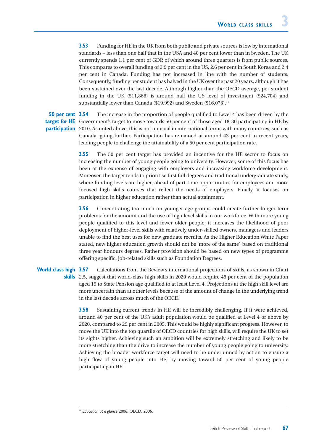**3.53** Funding for HE in the UK from both public and private sources is low by international standards – less than one half that in the USA and 40 per cent lower than in Sweden. The UK currently spends 1.1 per cent of GDP, of which around three quarters is from public sources. This compares to overall funding of 2.9 per cent in the US, 2.6 per cent in South Korea and 2.4 per cent in Canada. Funding has not increased in line with the number of students. Consequently, funding per student has halved in the UK over the past 20 years, although it has been sustained over the last decade. Although higher than the OECD average, per student funding in the UK (\$11,866) is around half the US level of investment (\$24,704) and substantially lower than Canada (\$19,992) and Sweden (\$16,073).<sup>11</sup>

**3.54** The increase in the proportion of people qualified to Level 4 has been driven by the target for HE Government's target to move towards 50 per cent of those aged 18-30 participating in HE by 2010. As noted above, this is not unusual in international terms with many countries, such as **participation** Canada, going further. Participation has remained at around 43 per cent in recent years, leading people to challenge the attainability of a 50 per cent participation rate. **50 per cent**

> **3.55** The 50 per cent target has provided an incentive for the HE sector to focus on increasing the number of young people going to university. However, some of this focus has been at the expense of engaging with employers and increasing workforce development. Moreover, the target tends to prioritise first full degrees and traditional undergraduate study, where funding levels are higher, ahead of part-time opportunities for employees and more focused high skills courses that reflect the needs of employers. Finally, it focuses on participation in higher education rather than actual attainment.

> **3.56** Concentrating too much on younger age groups could create further longer term problems for the amount and the use of high level skills in our workforce. With more young people qualified to this level and fewer older people, it increases the likelihood of poor deployment of higher-level skills with relatively under-skilled owners, managers and leaders unable to find the best uses for new graduate recruits. As the Higher Education White Paper stated, new higher education growth should not be 'more of the same', based on traditional three year honours degrees. Rather provision should be based on new types of programme offering specific, job-related skills such as Foundation Degrees.

**3.57** Calculations from the Review's international projections of skills, as shown in Chart 2.5, suggest that world-class high skills in 2020 would require 45 per cent of the population **skills** aged 19 to State Pension age qualified to at least Level 4. Projections at the high skill level are more uncertain than at other levels because of the amount of change in the underlying trend in the last decade across much of the OECD. **World class high**

> **3.58** Sustaining current trends in HE will be incredibly challenging. If it were achieved, around 40 per cent of the UK's adult population would be qualified at Level 4 or above by 2020, compared to 29 per cent in 2005. This would be highly significant progress. However, to move the UK into the top quartile of OECD countries for high skills, will require the UK to set its sights higher. Achieving such an ambition will be extremely stretching and likely to be more stretching than the drive to increase the number of young people going to university. Achieving the broader workforce target will need to be underpinned by action to ensure a high flow of young people into HE, by moving toward 50 per cent of young people participating in HE.

<sup>11</sup> *Education at a glance* 2006, OECD, 2006.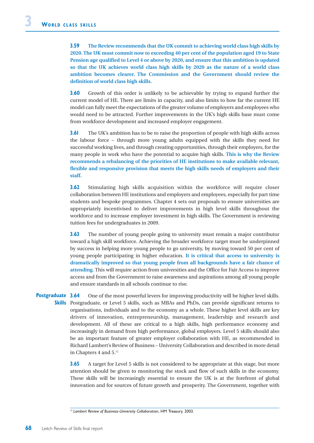**3.59 The Review recommends that the UK commit to achieving world class high skills by 2020. The UK must commit now to exceeding 40 per cent of the population aged 19 to State Pension age qualified to Level 4 or above by 2020, and ensure that this ambition is updated so that the UK achieves world class high skills by 2020 as the nature of a world class ambition becomes clearer. The Commission and the Government should review the definition of world class high skills.**

**3.60** Growth of this order is unlikely to be achievable by trying to expand further the current model of HE. There are limits in capacity, and also limits to how far the current HE model can fully meet the expectations of the greater volume of employers and employees who would need to be attracted. Further improvements in the UK's high skills base must come from workforce development and increased employer engagement.

**3.61** The UK's ambition has to be to raise the proportion of people with high skills across the labour force – through more young adults equipped with the skills they need for successful working lives, and through creating opportunities, through their employers, for the many people in work who have the potential to acquire high skills. **This is why the Review recommends a rebalancing of the priorities of HE institutions to make available relevant, flexible and responsive provision that meets the high skills needs of employers and their staff.**

**3.62** Stimulating high skills acquisition within the workforce will require closer collaboration between HE institutions and employers and employees, especially for part time students and bespoke programmes. Chapter 4 sets out proposals to ensure universities are appropriately incentivised to deliver improvements in high level skills throughout the workforce and to increase employer investment in high skills. The Government is reviewing tuition fees for undergraduates in 2009.

**3.63** The number of young people going to university must remain a major contributor toward a high skill workforce. Achieving the broader workforce target must be underpinned by success in helping more young people to go university, by moving toward 50 per cent of young people participating in higher education. **It is critical that access to university is dramatically improved so that young people from all backgrounds have a fair chance of attending.** This will require action from universities and the Office for Fair Access to improve access and from the Government to raise awareness and aspirations among all young people and ensure standards in all schools continue to rise.

**3.64** One of the most powerful levers for improving productivity will be higher level skills. Skills Postgraduate, or Level 5 skills, such as MBAs and PhDs, can provide significant returns to organisations, individuals and to the economy as a whole. These higher level skills are key drivers of innovation, entrepreneurship, management, leadership and research and development. All of these are critical to a high skills, high performance economy and increasingly in demand from high performance, global employers. Level 5 skills should also be an important feature of greater employer collaboration with HE, as recommended in Richard Lambert's Review of Business – University Collaboration and described in more detail in Chapters 4 and 5.12 **Postgraduate**

> **3.65** A target for Level 5 skills is not considered to be appropriate at this stage, but more attention should be given to monitoring the stock and flow of such skills in the economy. These skills will be increasingly essential to ensure the UK is at the forefront of global innovation and for sources of future growth and prosperity. The Government, together with

<sup>&</sup>lt;sup>12</sup> Lambert Review of Business-University Collaboration, HM Treasury, 2003.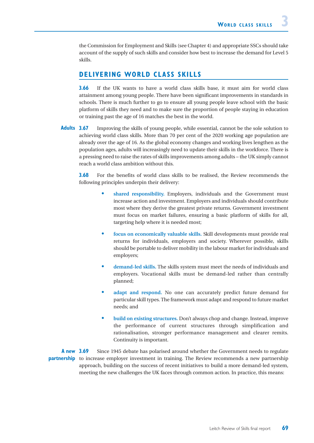the Commission for Employment and Skills (see Chapter 4) and appropriate SSCs should take account of the supply of such skills and consider how best to increase the demand for Level 5 skills.

## **DELIVERING WORLD CLASS SKILLS**

**3.66** If the UK wants to have a world class skills base, it must aim for world class attainment among young people. There have been significant improvements in standards in schools. There is much further to go to ensure all young people leave school with the basic platform of skills they need and to make sure the proportion of people staying in education or training past the age of 16 matches the best in the world.

**3.67** Improving the skills of young people, while essential, cannot be the sole solution to achieving world class skills. More than 70 per cent of the 2020 working age population are already over the age of 16. As the global economy changes and working lives lengthen as the population ages, adults will increasingly need to update their skills in the workforce. There is a pressing need to raise the rates of skills improvements among adults – the UK simply cannot reach a world class ambition without this. **Adults**

**3.68** For the benefits of world class skills to be realised, the Review recommends the following principles underpin their delivery:

- **shared responsibility.** Employers, individuals and the Government must increase action and investment. Employers and individuals should contribute most where they derive the greatest private returns. Government investment must focus on market failures, ensuring a basic platform of skills for all, targeting help where it is needed most;
- **focus on economically valuable skills.** Skill developments must provide real returns for individuals, employers and society. Wherever possible, skills should be portable to deliver mobility in the labour market for individuals and employers;
- **demand-led skills.** The skills system must meet the needs of individuals and employers. Vocational skills must be demand-led rather than centrally planned;
- adapt and respond. No one can accurately predict future demand for particular skill types. The framework must adapt and respond to future market needs; and
- **build on existing structures.** Don't always chop and change. Instead, improve the performance of current structures through simplification and rationalisation, stronger performance management and clearer remits. Continuity is important.

**3.69** Since 1945 debate has polarised around whether the Government needs to regulate partnership to increase employer investment in training. The Review recommends a new partnership approach, building on the success of recent initiatives to build a more demand-led system, meeting the new challenges the UK faces through common action. In practice, this means: **A new**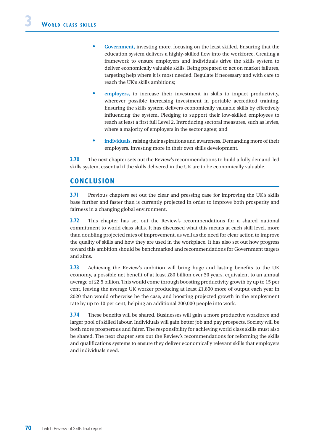- **Government,** investing more, focusing on the least skilled. Ensuring that the education system delivers a highly-skilled flow into the workforce. Creating a framework to ensure employers and individuals drive the skills system to deliver economically valuable skills. Being prepared to act on market failures, targeting help where it is most needed. Regulate if necessary and with care to reach the UK's skills ambitions;
- **employers,** to increase their investment in skills to impact productivity, wherever possible increasing investment in portable accredited training. Ensuring the skills system delivers economically valuable skills by effectively influencing the system. Pledging to support their low-skilled employees to reach at least a first full Level 2. Introducing sectoral measures, such as levies, where a majority of employers in the sector agree; and
- **individuals,**raising their aspirations and awareness. Demanding more of their employers. Investing more in their own skills development.

**3.70** The next chapter sets out the Review's recommendations to build a fully demand-led skills system, essential if the skills delivered in the UK are to be economically valuable.

## **CONCLUSION**

**3.71** Previous chapters set out the clear and pressing case for improving the UK's skills base further and faster than is currently projected in order to improve both prosperity and fairness in a changing global environment.

**3.72** This chapter has set out the Review's recommendations for a shared national commitment to world class skills. It has discussed what this means at each skill level, more than doubling projected rates of improvement, as well as the need for clear action to improve the quality of skills and how they are used in the workplace. It has also set out how progress toward this ambition should be benchmarked and recommendations for Government targets and aims.

**3.73** Achieving the Review's ambition will bring huge and lasting benefits to the UK economy, a possible net benefit of at least £80 billion over 30 years, equivalent to an annual average of £2.5 billion. This would come through boosting productivity growth by up to 15 per cent, leaving the average UK worker producing at least £1,800 more of output each year in 2020 than would otherwise be the case, and boosting projected growth in the employment rate by up to 10 per cent, helping an additional 200,000 people into work.

**3.74** These benefits will be shared. Businesses will gain a more productive workforce and larger pool of skilled labour. Individuals will gain better job and pay prospects. Society will be both more prosperous and fairer. The responsibility for achieving world class skills must also be shared. The next chapter sets out the Review's recommendations for reforming the skills and qualifications systems to ensure they deliver economically relevant skills that employers and individuals need.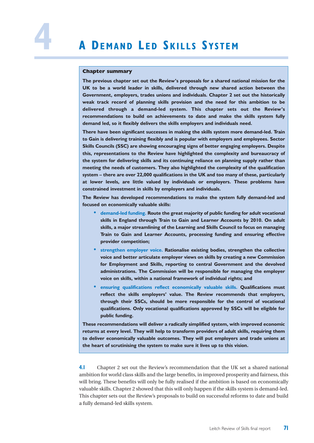#### **Chapter summary**

**The previous chapter set out the Review's proposals for a shared national mission for the UK to be a world leader in skills, delivered through new shared action between the Government, employers, trades unions and individuals. Chapter 2 set out the historically weak track record of planning skills provision and the need for this ambition to be delivered through a demand-led system. This chapter sets out the Review's recommendations to build on achievements to date and make the skills system fully demand led, so it flexibly delivers the skills employers and individuals need.**

**There have been significant successes in making the skills system more demand-led. Train to Gain is delivering training flexibly and is popular with employers and employees. Sector Skills Councils (SSC) are showing encouraging signs of better engaging employers. Despite this, representations to the Review have highlighted the complexity and bureaucracy of the system for delivering skills and its continuing reliance on planning supply rather than meeting the needs of customers. They also highlighted the complexity of the qualification system – there are over 22,000 qualifications in the UK and too many of these, particularly at lower levels, are little valued by individuals or employers. These problems have constrained investment in skills by employers and individuals.** 

**The Review has developed recommendations to make the system fully demand-led and focused on economically valuable skills:** 

- **• demand-led funding. Route the great majority of public funding for adult vocational skills in England through Train to Gain and Learner Accounts by 2010. On adult skills, a major streamlining of the Learning and Skills Council to focus on managing Train to Gain and Learner Accounts, processing funding and ensuring effective provider competition;**
- **• strengthen employer voice. Rationalise existing bodies, strengthen the collective voice and better articulate employer views on skills by creating a new Commission for Employment and Skills, reporting to central Government and the devolved administrations. The Commission will be responsible for managing the employer voice on skills, within a national framework of individual rights; and**
- **• ensuring qualifications reflect economically valuable skills. Qualifications must reflect the skills employers' value. The Review recommends that employers, through their SSCs, should be more responsible for the control of vocational qualifications. Only vocational qualifications approved by SSCs will be eligible for public funding.**

**These recommendations will deliver a radically simplified system, with improved economic returns at every level. They will help to transform providers of adult skills, requiring them to deliver economically valuable outcomes. They will put employers and trade unions at the heart of scrutinising the system to make sure it lives up to this vision.**

**4.1** Chapter 2 set out the Review's recommendation that the UK set a shared national ambition for world class skills and the large benefits, in improved prosperity and fairness, this will bring. These benefits will only be fully realised if the ambition is based on economically valuable skills. Chapter 2 showed that this will only happen if the skills system is demand-led. This chapter sets out the Review's proposals to build on successful reforms to date and build a fully demand-led skills system.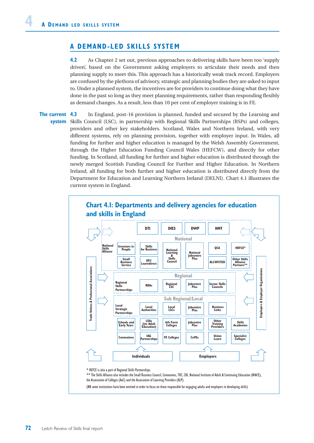# **A DEMAND-LED SKILLS SYSTEM**

**4.2** As Chapter 2 set out, previous approaches to delivering skills have been too 'supply driven', based on the Government asking employers to articulate their needs and then planning supply to meet this. This approach has a historically weak track record. Employers are confused by the plethora of advisory, strategic and planning bodies they are asked to input to. Under a planned system, the incentives are for providers to continue doing what they have done in the past so long as they meet planning requirements, rather than responding flexibly as demand changes. As a result, less than 10 per cent of employer training is in FE.

**The current system**

**4.3** In England, post-16 provision is planned, funded and secured by the Learning and Skills Council (LSC), in partnership with Regional Skills Partnerships (RSPs) and colleges, providers and other key stakeholders. Scotland, Wales and Northern Ireland, with very different systems, rely on planning provision, together with employer input. In Wales, all funding for further and higher education is managed by the Welsh Assembly Government, through the Higher Education Funding Council Wales (HEFCW), and directly for other funding. In Scotland, all funding for further and higher education is distributed through the newly merged Scottish Funding Council for Further and Higher Education. In Northern Ireland, all funding for both further and higher education is distributed directly from the Department for Education and Learning Northern Ireland (DELNI). Chart 4.1 illustrates the current system in England.



(NB some institutions have been omitted in order to focus on those responsible for engaging adults and employers in developing skills)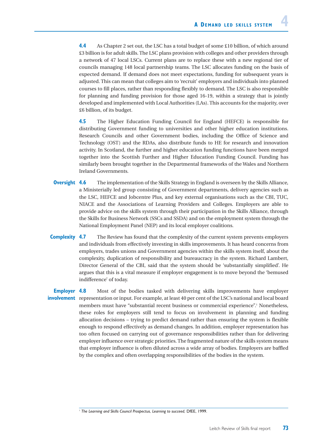**4.4** As Chapter 2 set out, the LSC has a total budget of some £10 billion, of which around £3 billion is for adult skills. The LSC plans provision with colleges and other providers through a network of 47 local LSCs. Current plans are to replace these with a new regional tier of councils managing 148 local partnership teams. The LSC allocates funding on the basis of expected demand. If demand does not meet expectations, funding for subsequent years is adjusted. This can mean that colleges aim to 'recruit' employers and individuals into planned courses to fill places, rather than responding flexibly to demand. The LSC is also responsible for planning and funding provision for those aged 16-19, within a strategy that is jointly developed and implemented with Local Authorities (LAs). This accounts for the majority, over £6 billion, of its budget.

**4.5** The Higher Education Funding Council for England (HEFCE) is responsible for distributing Government funding to universities and other higher education institutions. Research Councils and other Government bodies, including the Office of Science and Technology (OST) and the RDAs, also distribute funds to HE for research and innovation activity. In Scotland, the further and higher education funding functions have been merged together into the Scottish Further and Higher Education Funding Council. Funding has similarly been brought together in the Departmental frameworks of the Wales and Northern Ireland Governments.

**4.6** The implementation of the Skills Strategy in England is overseen by the Skills Alliance, a Ministerially led group consisting of Government departments, delivery agencies such as the LSC, HEFCE and Jobcentre Plus, and key external organisations such as the CBI, TUC, NIACE and the Associations of Learning Providers and Colleges. Employers are able to provide advice on the skills system through their participation in the Skills Alliance, through the Skills for Business Network (SSCs and SSDA) and on the employment system through the National Employment Panel (NEP) and its local employer coalitions. **Oversight**

**4.7** The Review has found that the complexity of the current system prevents employers and individuals from effectively investing in skills improvements. It has heard concerns from employers, trades unions and Government agencies within the skills system itself, about the complexity, duplication of responsibility and bureaucracy in the system. Richard Lambert, Director General of the CBI, said that the system should be 'substantially simplified'. He argues that this is a vital measure if employer engagement is to move beyond the 'bemused indifference' of today. **Complexity**

**4.8** Most of the bodies tasked with delivering skills improvements have employer involvement representation or input. For example, at least 40 per cent of the LSC's national and local board members must have "substantial recent business or commercial experience".<sup>1</sup> Nonetheless, these roles for employers still tend to focus on involvement in planning and funding allocation decisions – trying to predict demand rather than ensuring the system is flexible enough to respond effectively as demand changes. In addition, employer representation has too often focused on carrying out of governance responsibilities rather than for delivering employer influence over strategic priorities. The fragmented nature of the skills system means that employer influence is often diluted across a wide array of bodies. Employers are baffled by the complex and often overlapping responsibilities of the bodies in the system. **Employer**

<sup>1</sup> *The Learning and Skills Council Prospectus, Learning to succeed,* DfEE, 1999.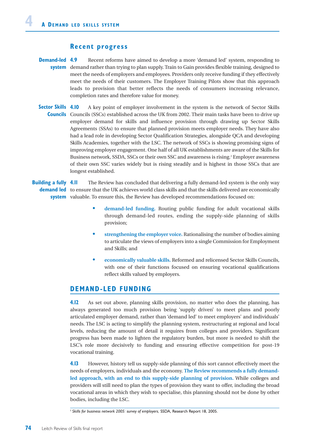#### **Recent progress**

- Recent reforms have aimed to develop a more 'demand led' system, responding to demand rather than trying to plan supply. Train to Gain provides flexible training, designed to **system** meet the needs of employers and employees. Providers only receive funding if they effectively meet the needs of their customers. The Employer Training Pilots show that this approach leads to provision that better reflects the needs of consumers increasing relevance, completion rates and therefore value for money. **Demand-led**
- **4.10** A key point of employer involvement in the system is the network of Sector Skills Councils (SSCs) established across the UK from 2002. Their main tasks have been to drive up **Councils** employer demand for skills and influence provision through drawing up Sector Skills Agreements (SSAs) to ensure that planned provision meets employer needs. They have also had a lead role in developing Sector Qualification Strategies, alongside QCA and developing Skills Academies, together with the LSC. The network of SSCs is showing promising signs of improving employer engagement. One half of all UK establishments are aware of the Skills for Business network, SSDA, SSCs or their own SSC and awareness is rising.2 Employer awareness of their own SSC varies widely but is rising steadily and is highest in those SSCs that are longest established. **Sector Skills**
- **4.11** The Review has concluded that delivering a fully demand-led system is the only way demand led to ensure that the UK achieves world class skills and that the skills delivered are economically **system** valuable. To ensure this, the Review has developed recommendations focused on: **Building a fully**
	- **demand-led funding.** Routing public funding for adult vocational skills through demand-led routes, ending the supply-side planning of skills provision;
	- **strengthening the employer voice.** Rationalising the number of bodies aiming to articulate the views of employers into a single Commission for Employment and Skills; and
	- **economically valuable skills.** Reformed and relicensed Sector Skills Councils, with one of their functions focused on ensuring vocational qualifications reflect skills valued by employers.

#### **DEMAND-LED FUNDING**

**4.12** As set out above, planning skills provision, no matter who does the planning, has always generated too much provision being 'supply driven' to meet plans and poorly articulated employer demand, rather than 'demand led' to meet employers' and individuals' needs. The LSC is acting to simplify the planning system, restructuring at regional and local levels, reducing the amount of detail it requires from colleges and providers. Significant progress has been made to lighten the regulatory burden, but more is needed to shift the LSC's role more decisively to funding and ensuring effective competition for post-19 vocational training.

**4.13** However, history tell us supply-side planning of this sort cannot effectively meet the needs of employers, individuals and the economy. **The Review recommends a fully demandled approach, with an end to this supply-side planning of provision.** While colleges and providers will still need to plan the types of provision they want to offer, including the broad vocational areas in which they wish to specialise, this planning should not be done by other bodies, including the LSC.

<sup>&</sup>lt;sup>2</sup> Skills for business network 2005: survey of employers, SSDA, Research Report 18, 2005.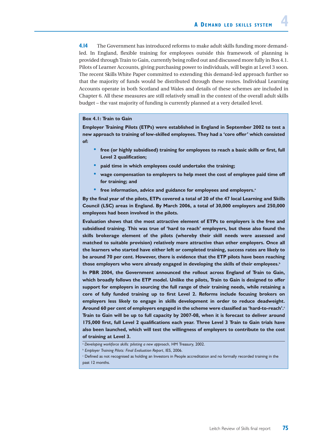**4.14** The Government has introduced reforms to make adult skills funding more demandled. In England, flexible training for employees outside this framework of planning is provided through Train to Gain, currently being rolled out and discussed more fully in Box 4.1. Pilots of Learner Accounts, giving purchasing power to individuals, will begin at Level 3 soon. The recent Skills White Paper committed to extending this demand-led approach further so that the majority of funds would be distributed through these routes. Individual Learning Accounts operate in both Scotland and Wales and details of these schemes are included in Chapter 6. All these measures are still relatively small in the context of the overall adult skills budget – the vast majority of funding is currently planned at a very detailed level.

#### **Box 4.1: Train to Gain**

**Employer Training Pilots (ETPs) were established in England in September 2002 to test a new approach to training of low-skilled employees. They had a 'core offer' which consisted of:**

- **• free (or highly subsidised) training for employees to reach a basic skills or first, full Level 2 qualification;**
- **• paid time in which employees could undertake the training;**
- **• wage compensation to employers to help meet the cost of employee paid time off for training; and**
- free information, advice and guidance for employees and employers.<sup>a</sup>

**By the final year of the pilots, ETPs covered a total of 20 of the 47 local Learning and Skills Council (LSC) areas in England. By March 2006, a total of 30,000 employers and 250,000 employees had been involved in the pilots.** 

**Evaluation shows that the most attractive element of ETPs to employers is the free and subsidised training. This was true of 'hard to reach' employers, but these also found the skills brokerage element of the pilots (whereby their skill needs were assessed and matched to suitable provision) relatively more attractive than other employers. Once all the learners who started have either left or completed training, success rates are likely to be around 70 per cent. However, there is evidence that the ETP pilots have been reaching** those employers who were already engaged in developing the skills of their employees.<sup>b</sup>

**In PBR 2004, the Government announced the rollout across England of Train to Gain, which broadly follows the ETP model. Unlike the pilots, Train to Gain is designed to offer support for employers in sourcing the full range of their training needs, while retaining a core of fully funded training up to first Level 2. Reforms include focusing brokers on employers less likely to engage in skills development in order to reduce deadweight.** Around 60 per cent of employers engaged in the scheme were classified as 'hard-to-reach'.<sup>c</sup> **Train to Gain will be up to full capacity by 2007-08, when it is forecast to deliver around 175,000 first, full Level 2 qualifications each year. Three Level 3 Train to Gain trials have also been launched, which will test the willingness of employers to contribute to the cost of training at Level 3.**

<sup>a</sup> *Developing workforce skills: piloting a new approach*, HM Treasury, 2002.

<sup>b</sup> *Employer Training Pilots: Final Evaluation Report*, IES, 2006.

<sup>c</sup> Defined as not recognised as holding an Investors in People accreditation and no formally recorded training in the past 12 months.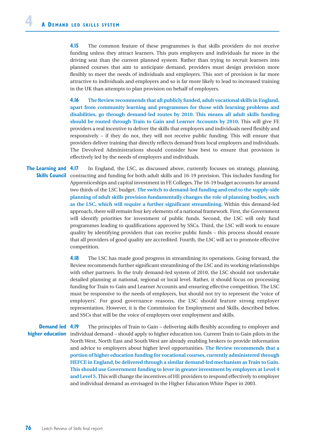**4.15** The common feature of these programmes is that skills providers do not receive funding unless they attract learners. This puts employers and individuals far more in the driving seat than the current planned system. Rather than trying to recruit learners into planned courses that aim to anticipate demand, providers must design provision more flexibly to meet the needs of individuals and employers. This sort of provision is far more attractive to individuals and employers and so is far more likely to lead to increased training in the UK than attempts to plan provision on behalf of employers.

**4.16 The Review recommends that all publicly funded, adult vocational skills in England, apart from community learning and programmes for those with learning problems and disabilities, go through demand-led routes by 2010. This means all adult skills funding should be routed through Train to Gain and Learner Accounts by 2010.** This will give FE providers a real incentive to deliver the skills that employers and individuals need flexibly and responsively – if they do not, they will not receive public funding. This will ensure that providers deliver training that directly reflects demand from local employers and individuals. The Devolved Administrations should consider how best to ensure that provision is effectively led by the needs of employers and individuals.

In England, the LSC, as discussed above, currently focuses on strategy, planning, **Skills Council** contracting and funding for both adult skills and 16-19 provision. This includes funding for Apprenticeships and capital investment in FE Colleges. The 16-19 budget accounts for around two thirds of the LSC budget. **The switch to demand-led funding and end to the supply-side planning of adult skills provision fundamentally changes the role of planning bodies, such as the LSC, which will require a further significant streamlining.** Within this demand-led approach, there will remain four key elements of a national framework. First, the Government will identify priorities for investment of public funds. Second, the LSC will only fund programmes leading to qualifications approved by SSCs. Third, the LSC will work to ensure quality by identifying providers that can receive public funds – this process should ensure that all providers of good quality are accredited. Fourth, the LSC will act to promote effective competition. **The Learning and**

> **4.18** The LSC has made good progress in streamlining its operations. Going forward, the Review recommends further significant streamlining of the LSC and its working relationships with other partners. In the truly demand-led system of 2010, the LSC should not undertake detailed planning at national, regional or local level. Rather, it should focus on processing funding for Train to Gain and Learner Accounts and ensuring effective competition. The LSC must be responsive to the needs of employers, but should not try to represent the 'voice of employers'. For good governance reasons, the LSC should feature strong employer representation. However, it is the Commission for Employment and Skills, described below, and SSCs that will be the voice of employers over employment and skills.

# **Demand led**

The principles of Train to Gain – delivering skills flexibly according to employer and **higher education** individual demand – should apply to higher education too. Current Train to Gain pilots in the North West, North East and South West are already enabling brokers to provide information and advice to employers about higher level opportunities. **The Review recommends that a portion of higher education funding for vocational courses, currently administered through HEFCE in England, be delivered through a similar demand-led mechanism as Train to Gain. This should use Government funding to lever in greater investment by employers at Level 4 and Level 5.** This will change the incentives of HE providers to respond effectively to employer and individual demand as envisaged in the Higher Education White Paper in 2003.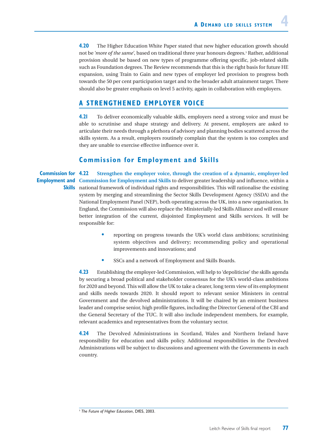**4.20** The Higher Education White Paper stated that new higher education growth should not be *'more of the same'*, based on traditional three year honours degrees.3 Rather, additional provision should be based on new types of programme offering specific, job-related skills such as Foundation degrees. The Review recommends that this is the right basis for future HE expansion, using Train to Gain and new types of employer led provision to progress both towards the 50 per cent participation target and to the broader adult attainment target. There should also be greater emphasis on level 5 activity, again in collaboration with employers.

#### **A STRENGTHENED EMPLOYER VOICE**

**4.21** To deliver economically valuable skills, employers need a strong voice and must be able to scrutinise and shape strategy and delivery. At present, employers are asked to articulate their needs through a plethora of advisory and planning bodies scattered across the skills system. As a result, employers routinely complain that the system is too complex and they are unable to exercise effective influence over it.

#### **Commission for Employment and Skills**

**4.22 Strengthen the employer voice, through the creation of a dynamic, employer-led Employment and** Commission for Employment and Skills to deliver greater leadership and influence, within a **Skills** national framework of individual rights and responsibilities. This will rationalise the existing system by merging and streamlining the Sector Skills Development Agency (SSDA) and the National Employment Panel (NEP), both operating across the UK, into a new organisation. In England, the Commission will also replace the Ministerially-led Skills Alliance and will ensure better integration of the current, disjointed Employment and Skills services. It will be responsible for: **Commission for**

- reporting on progress towards the UK's world class ambitions; scrutinising system objectives and delivery; recommending policy and operational improvements and innovations; and
- SSCs and a network of Employment and Skills Boards.

**4.23** Establishing the employer-led Commission, will help to 'depoliticise' the skills agenda by securing a broad political and stakeholder consensus for the UK's world-class ambitions for 2020 and beyond. This will allow the UK to take a clearer, long term view of its employment and skills needs towards 2020. It should report to relevant senior Ministers in central Government and the devolved administrations. It will be chaired by an eminent business leader and comprise senior, high profile figures, including the Director General of the CBI and the General Secretary of the TUC. It will also include independent members, for example, relevant academics and representatives from the voluntary sector.

**4.24** The Devolved Administrations in Scotland, Wales and Northern Ireland have responsibility for education and skills policy. Additional responsibilities in the Devolved Administrations will be subject to discussions and agreement with the Governments in each country.

<sup>3</sup> *The Future of Higher Education*, DfES, 2003.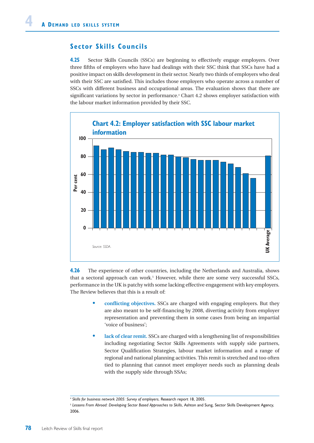# **Sector Skills Councils**

**4.25** Sector Skills Councils (SSCs) are beginning to effectively engage employers. Over three fifths of employers who have had dealings with their SSC think that SSCs have had a positive impact on skills development in their sector. Nearly two thirds of employers who deal with their SSC are satisfied. This includes those employers who operate across a number of SSCs with different business and occupational areas. The evaluation shows that there are significant variations by sector in performance.<sup>4</sup> Chart 4.2 shows employer satisfaction with the labour market information provided by their SSC.



**4.26** The experience of other countries, including the Netherlands and Australia, shows that a sectoral approach can work.<sup>5</sup> However, while there are some very successful SSCs, performance in the UK is patchy with some lacking effective engagement with key employers. The Review believes that this is a result of:

- **conflicting objectives.** SSCs are charged with engaging employers. But they are also meant to be self-financing by 2008, diverting activity from employer representation and preventing them in some cases from being an impartial 'voice of business';
- lack of clear remit. SSCs are charged with a lengthening list of responsibilities including negotiating Sector Skills Agreements with supply side partners, Sector Qualification Strategies, labour market information and a range of regional and national planning activities. This remit is stretched and too often tied to planning that cannot meet employer needs such as planning deals with the supply side through SSAs;

<sup>4</sup> *Skills for business network 2005: Survey of employers,* Research report 18, 2005.

<sup>5</sup> *Lessons From Abroad: Developing Sector Based Approaches to Skills*, Ashton and Sung, Sector Skills Development Agency, 2006.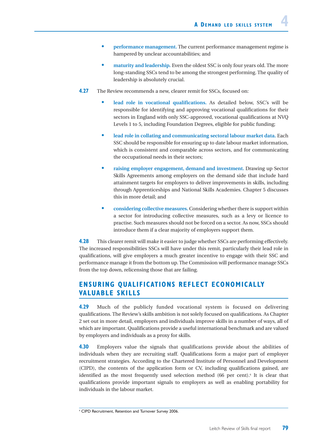- **performance management.** The current performance management regime is hampered by unclear accountabilities; and
- **maturity and leadership.** Even the oldest SSC is only four years old. The more long-standing SSCs tend to be among the strongest performing. The quality of leadership is absolutely crucial.
- **4.27** The Review recommends a new, clearer remit for SSCs, focused on:
	- **lead role in vocational qualifications.** As detailed below, SSC's will be responsible for identifying and approving vocational qualifications for their sectors in England with only SSC-approved, vocational qualifications at NVQ Levels 1 to 5, including Foundation Degrees, eligible for public funding;
	- **lead role in collating and communicating sectoral labour market data.** Each SSC should be responsible for ensuring up to date labour market information, which is consistent and comparable across sectors, and for communicating the occupational needs in their sectors;
	- **raising employer engagement, demand and investment.** Drawing up Sector Skills Agreements among employers on the demand side that include hard attainment targets for employers to deliver improvements in skills, including through Apprenticeships and National Skills Academies. Chapter 5 discusses this in more detail; and
	- **considering collective measures.** Considering whether there is support within a sector for introducing collective measures, such as a levy or licence to practise. Such measures should not be forced on a sector. As now, SSCs should introduce them if a clear majority of employers support them.

**4.28** This clearer remit will make it easier to judge whether SSCs are performing effectively. The increased responsibilities SSCs will have under this remit, particularly their lead role in qualifications, will give employers a much greater incentive to engage with their SSC and performance manage it from the bottom up. The Commission will performance manage SSCs from the top down, relicensing those that are failing.

# **ENSURING QUALIFICATIONS REFLECT ECONOMICALLY VALUABLE SKILLS**

**4.29** Much of the publicly funded vocational system is focused on delivering qualifications. The Review's skills ambition is not solely focused on qualifications. As Chapter 2 set out in more detail, employers and individuals improve skills in a number of ways, all of which are important. Qualifications provide a useful international benchmark and are valued by employers and individuals as a proxy for skills.

**4.30** Employers value the signals that qualifications provide about the abilities of individuals when they are recruiting staff. Qualifications form a major part of employer recruitment strategies. According to the Chartered Institute of Personnel and Development (CIPD), the contents of the application form or CV, including qualifications gained, are identified as the most frequently used selection method  $(66 \text{ per cent})$ .<sup>6</sup> It is clear that qualifications provide important signals to employers as well as enabling portability for individuals in the labour market.

<sup>6</sup> CIPD Recruitment, Retention and Turnover Survey 2006.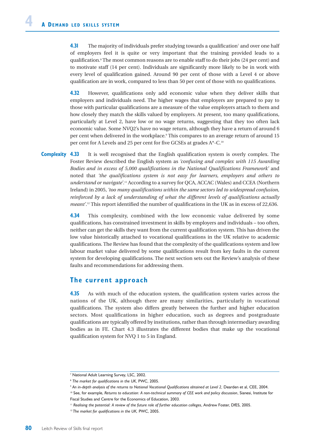**4.31** The majority of individuals prefer studying towards a qualification<sup>7</sup> and over one half of employers feel it is quite or very important that the training provided leads to a qualification.8 The most common reasons are to enable staff to do their jobs (24 per cent) and to motivate staff (14 per cent). Individuals are significantly more likely to be in work with every level of qualification gained. Around 90 per cent of those with a Level 4 or above qualification are in work, compared to less than 50 per cent of those with no qualifications.

**4.32** However, qualifications only add economic value when they deliver skills that employers and individuals need. The higher wages that employers are prepared to pay to those with particular qualifications are a measure of the value employers attach to them and how closely they match the skills valued by employers. At present, too many qualifications, particularly at Level 2, have low or no wage returns, suggesting that they too often lack economic value. Some NVQ2's have no wage return, although they have a return of around 6 per cent when delivered in the workplace.9 This compares to an average return of around 15 per cent for A Levels and 25 per cent for five GCSEs at grades A\*-C.10

**4.33** It is well recognised that the English qualification system is overly complex. The Foster Review described the English system as *'confusing and complex with 115 Awarding Bodies and in excess of 5,000 qualifications in the National Qualifications Framework'* and noted that *'the qualifications system is not easy for learners, employers and others to understand or navigate'*. <sup>11</sup> According to a survey for QCA, ACCAC (Wales) and CCEA (Northern Ireland) in 2005, *'too many qualifications within the same sectors led to widespread confusion, reinforced by a lack of understanding of what the different levels of qualifications actually meant'*. <sup>12</sup> This report identified the number of qualifications in the UK as in excess of 22,636. **Complexity**

> **4.34** This complexity, combined with the low economic value delivered by some qualifications, has constrained investment in skills by employers and individuals – too often, neither can get the skills they want from the current qualification system. This has driven the low value historically attached to vocational qualifications in the UK relative to academic qualifications. The Review has found that the complexity of the qualifications system and low labour market value delivered by some qualifications result from key faults in the current system for developing qualifications. The next section sets out the Review's analysis of these faults and recommendations for addressing them.

#### **The current approach**

**4.35** As with much of the education system, the qualification system varies across the nations of the UK, although there are many similarities, particularly in vocational qualifications. The system also differs greatly between the further and higher education sectors. Most qualifications in higher education, such as degrees and postgraduate qualifications are typically offered by institutions, rather than through intermediary awarding bodies as in FE. Chart 4.3 illustrates the different bodies that make up the vocational qualification system for NVQ 1 to 5 in England.

<sup>7</sup> National Adult Learning Survey, LSC, 2002.

<sup>8</sup> *The market for qualifications in the UK,* PWC, 2005.

<sup>9</sup> *An in-depth analysis of the returns to National Vocational Qualifications obtained at Level 2,* Dearden et al, CEE, 2004. <sup>10</sup> See, for example, *Returns to education: A non-technical summary of CEE work and policy discussion*, Sianesi, Institute for

Fiscal Studies and Centre for the Economics of Education, 2003.

<sup>&</sup>lt;sup>11</sup> Realising the potential: A review of the future role of further education colleges, Andrew Foster, DfES, 2005.

<sup>&</sup>lt;sup>12</sup> The market for qualifications in the UK, PWC, 2005.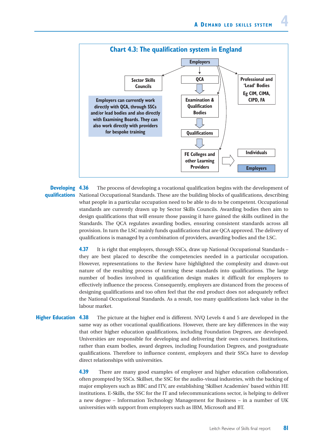

**4.36** The process of developing a vocational qualification begins with the development of National Occupational Standards. These are the building blocks of qualifications, describing what people in a particular occupation need to be able to do to be competent. Occupational standards are currently drawn up by Sector Skills Councils. Awarding bodies then aim to design qualifications that will ensure those passing it have gained the skills outlined in the Standards. The QCA regulates awarding bodies, ensuring consistent standards across all provision. In turn the LSC mainly funds qualifications that are QCA approved. The delivery of qualifications is managed by a combination of providers, awarding bodies and the LSC. **Developing qualifications**

> **4.37** It is right that employers, through SSCs, draw up National Occupational Standards – they are best placed to describe the competencies needed in a particular occupation. However, representations to the Review have highlighted the complexity and drawn-out nature of the resulting process of turning these standards into qualifications. The large number of bodies involved in qualification design makes it difficult for employers to effectively influence the process. Consequently, employers are distanced from the process of designing qualifications and too often feel that the end product does not adequately reflect the National Occupational Standards. As a result, too many qualifications lack value in the labour market.

**4.38** The picture at the higher end is different. NVQ Levels 4 and 5 are developed in the same way as other vocational qualifications. However, there are key differences in the way that other higher education qualifications, including Foundation Degrees, are developed. Universities are responsible for developing and delivering their own courses. Institutions, rather than exam bodies, award degrees, including Foundation Degrees, and postgraduate qualifications. Therefore to influence content, employers and their SSCs have to develop direct relationships with universities. **Higher Education**

> **4.39** There are many good examples of employer and higher education collaboration, often prompted by SSCs. Skillset, the SSC for the audio-visual industries, with the backing of major employers such as BBC and ITV, are establishing 'Skillset Academies' based within HE institutions. E-Skills, the SSC for the IT and telecommunications sector, is helping to deliver a new degree – Information Technology Management for Business – in a number of UK universities with support from employers such as IBM, Microsoft and BT.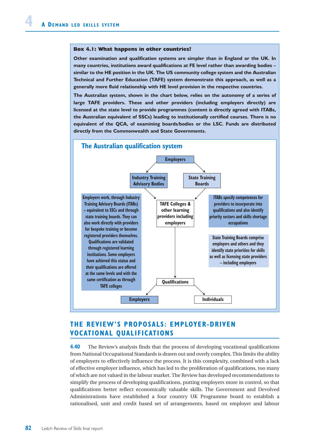#### **Box 4.1: What happens in other countries?**

**Other examination and qualification systems are simpler than in England or the UK. In many countries, institutions award qualifications at FE level rather than awarding bodies – similar to the HE position in the UK. The US community college system and the Australian Technical and Further Education (TAFE) system demonstrate this approach, as well as a generally more fluid relationship with HE level provision in the respective countries.**

**The Australian system, shown in the chart below, relies on the autonomy of a series of large TAFE providers. These and other providers (including employers directly) are licensed at the state level to provide programmes (content is directly agreed with ITABs, the Australian equivalent of SSCs) leading to institutionally certified courses. There is no equivalent of the QCA, of examining boards/bodies or the LSC. Funds are distributed directly from the Commonwealth and State Governments.**



# **THE REVIEW'S PROPOSALS: EMPLOYER-DRIVEN VOCATIONAL QUALIFICATIONS**

**4.40** The Review's analysis finds that the process of developing vocational qualifications from National Occupational Standards is drawn out and overly complex. This limits the ability of employers to effectively influence the process. It is this complexity, combined with a lack of effective employer influence, which has led to the proliferation of qualifications, too many of which are not valued in the labour market. The Review has developed recommendations to simplify the process of developing qualifications, putting employers more in control, so that qualifications better reflect economically valuable skills. The Government and Devolved Administrations have established a four country UK Programme board to establish a rationalised, unit and credit based set of arrangements, based on employer and labour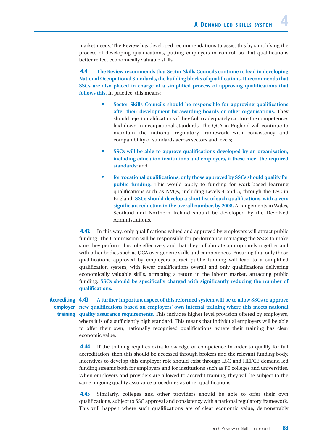market needs. The Review has developed recommendations to assist this by simplifying the process of developing qualifications, putting employers in control, so that qualifications better reflect economically valuable skills.

**4.41 The Review recommends that Sector Skills Councils continue to lead in developing National Occupational Standards, the building blocks of qualifications. It recommends that SSCs are also placed in charge of a simplified process of approving qualifications that follows this.** In practice, this means:

- **Sector Skills Councils should be responsible for approving qualifications after their development by awarding boards or other organisations.** They should reject qualifications if they fail to adequately capture the competences laid down in occupational standards. The QCA in England will continue to maintain the national regulatory framework with consistency and comparability of standards across sectors and levels;
- **SSCs will be able to approve qualifications developed by an organisation, including education institutions and employers, if these meet the required standards;** and
- **for vocational qualifications, only those approved by SSCs should qualify for public funding.** This would apply to funding for work-based learning qualifications such as NVQs, including Levels 4 and 5, through the LSC in England. **SSCs should develop a short list of such qualifications, with a very significant reduction in the overall number, by 2008.** Arrangements in Wales, Scotland and Northern Ireland should be developed by the Devolved Administrations.

**4.42** In this way, only qualifications valued and approved by employers will attract public funding. The Commission will be responsible for performance managing the SSCs to make sure they perform this role effectively and that they collaborate appropriately together and with other bodies such as QCA over generic skills and competences. Ensuring that only those qualifications approved by employers attract public funding will lead to a simplified qualification system, with fewer qualifications overall and only qualifications delivering economically valuable skills, attracting a return in the labour market, attracting public funding. **SSCs should be specifically charged with significantly reducing the number of qualifications.**

**4.43 A further important aspect of this reformed system will be to allow SSCs to approve new qualifications based on employers' own internal training where this meets national quality assurance requirements.** This includes higher level provision offered by employers, where it is of a sufficiently high standard. This means that individual employers will be able to offer their own, nationally recognised qualifications, where their training has clear economic value. **Accrediting employer training**

> **4.44** If the training requires extra knowledge or competence in order to qualify for full accreditation, then this should be accessed through brokers and the relevant funding body. Incentives to develop this employer role should exist through LSC and HEFCE demand led funding streams both for employers and for institutions such as FE colleges and universities. When employers and providers are allowed to accredit training, they will be subject to the same ongoing quality assurance procedures as other qualifications.

> **4.45** Similarly, colleges and other providers should be able to offer their own qualifications, subject to SSC approval and consistency with a national regulatory framework. This will happen where such qualifications are of clear economic value, demonstrably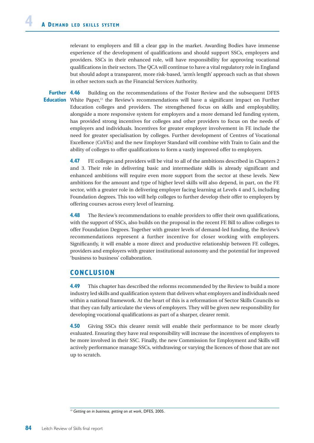relevant to employers and fill a clear gap in the market. Awarding Bodies have immense experience of the development of qualifications and should support SSCs, employers and providers. SSCs in their enhanced role, will have responsibility for approving vocational qualifications in their sectors. The QCA will continue to have a vital regulatory role in England but should adopt a transparent, more risk-based, 'arm's length' approach such as that shown in other sectors such as the Financial Services Authority.

**4.46** Building on the recommendations of the Foster Review and the subsequent DFES **Education** White Paper,<sup>13</sup> the Review's recommendations will have a significant impact on Further Education colleges and providers. The strengthened focus on skills and employability, alongside a more responsive system for employers and a more demand led funding system, has provided strong incentives for colleges and other providers to focus on the needs of employers and individuals. Incentives for greater employer involvement in FE include the need for greater specialisation by colleges. Further development of Centres of Vocational Excellence (CoVEs) and the new Employer Standard will combine with Train to Gain and the ability of colleges to offer qualifications to form a vastly improved offer to employers. **Further**

> **4.47** FE colleges and providers will be vital to all of the ambitions described in Chapters 2 and 3. Their role in delivering basic and intermediate skills is already significant and enhanced ambitions will require even more support from the sector at these levels. New ambitions for the amount and type of higher level skills will also depend, in part, on the FE sector, with a greater role in delivering employer facing learning at Levels 4 and 5, including Foundation degrees. This too will help colleges to further develop their offer to employers by offering courses across every level of learning.

> **4.48** The Review's recommendations to enable providers to offer their own qualifications, with the support of SSCs, also builds on the proposal in the recent FE Bill to allow colleges to offer Foundation Degrees. Together with greater levels of demand-led funding, the Review's recommendations represent a further incentive for closer working with employers. Significantly, it will enable a more direct and productive relationship between FE colleges, providers and employers with greater institutional autonomy and the potential for improved 'business to business' collaboration.

## **CONCLUSION**

**4.49** This chapter has described the reforms recommended by the Review to build a more industry led skills and qualification system that delivers what employers and individuals need within a national framework. At the heart of this is a reformation of Sector Skills Councils so that they can fully articulate the views of employers. They will be given new responsibility for developing vocational qualifications as part of a sharper, clearer remit.

**4.50** Giving SSCs this clearer remit will enable their performance to be more clearly evaluated. Ensuring they have real responsibility will increase the incentives of employers to be more involved in their SSC. Finally, the new Commission for Employment and Skills will actively performance manage SSCs, withdrawing or varying the licences of those that are not up to scratch.

<sup>13</sup> *Getting on in business, getting on at work*, DFES, 2005.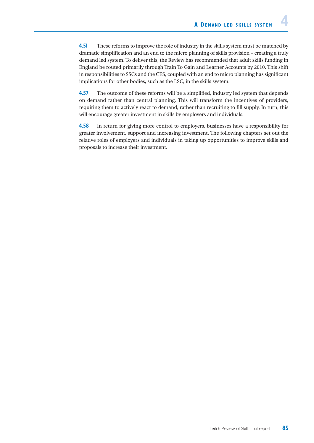**4.51** These reforms to improve the role of industry in the skills system must be matched by dramatic simplification and an end to the micro planning of skills provision – creating a truly demand led system. To deliver this, the Review has recommended that adult skills funding in England be routed primarily through Train To Gain and Learner Accounts by 2010. This shift in responsibilities to SSCs and the CES, coupled with an end to micro planning has significant implications for other bodies, such as the LSC, in the skills system.

**4.57** The outcome of these reforms will be a simplified, industry led system that depends on demand rather than central planning. This will transform the incentives of providers, requiring them to actively react to demand, rather than recruiting to fill supply. In turn, this will encourage greater investment in skills by employers and individuals.

**4.58** In return for giving more control to employers, businesses have a responsibility for greater involvement, support and increasing investment. The following chapters set out the relative roles of employers and individuals in taking up opportunities to improve skills and proposals to increase their investment.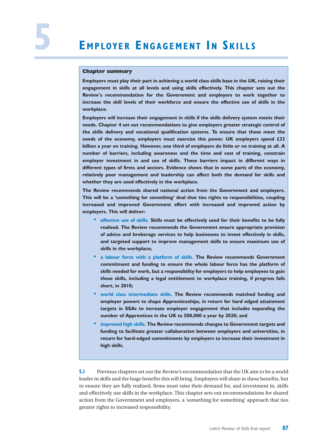#### **Chapter summary**

**Employers must play their part in achieving a world class skills base in the UK, raising their engagement in skills at all levels and using skills effectively. This chapter sets out the Review's recommendation for the Government and employers to work together to increase the skill levels of their workforce and ensure the effective use of skills in the workplace.**

**Employers will increase their engagement in skills if the skills delivery system meets their needs. Chapter 4 set out recommendations to give employers greater strategic control of the skills delivery and vocational qualification systems. To ensure that these meet the needs of the economy, employers must exercise this power. UK employers spend £33 billion a year on training. However, one third of employers do little or no training at all. A number of barriers, including awareness and the time and cost of training, constrain employer investment in and use of skills. These barriers impact in different ways in different types of firms and sectors. Evidence shows that in some parts of the economy, relatively poor management and leadership can affect both the demand for skills and whether they are used effectively in the workplace.** 

**The Review recommends shared national action from the Government and employers. This will be a 'something for something' deal that ties rights to responsibilities, coupling increased and improved Government effort with increased and improved action by employers. This will deliver:** 

- **• effective use of skills. Skills must be effectively used for their benefits to be fully realised. The Review recommends the Government ensure appropriate provision of advice and brokerage services to help businesses to invest effectively in skills, and targeted support to improve management skills to ensure maximum use of skills in the workplace;**
- **• a labour force with a platform of skills. The Review recommends Government commitment and funding to ensure the whole labour force has the platform of skills needed for work, but a responsibility for employers to help employees to gain these skills, including a legal entitlement to workplace training, if progress falls short, in 2010;**
- **• world class intermediate skills. The Review recommends matched funding and employer powers to shape Apprenticeships, in return for hard edged attainment targets in SSAs to increase employer engagement that includes expanding the number of Apprentices in the UK to 500,000 a year by 2020; and**
- **• improved high skills. The Review recommends changes to Government targets and funding to facilitate greater collaboration between employers and universities, in return for hard-edged commitments by employers to increase their investment in high skills.**

**5.1** Previous chapters set out the Review's recommendation that the UK aim to be a world leader in skills and the huge benefits this will bring. Employers will share in these benefits, but to ensure they are fully realised, firms must raise their demand for, and investment in, skills and effectively use skills in the workplace. This chapter sets out recommendations for shared action from the Government and employers, a 'something for something' approach that ties greater rights to increased responsibility.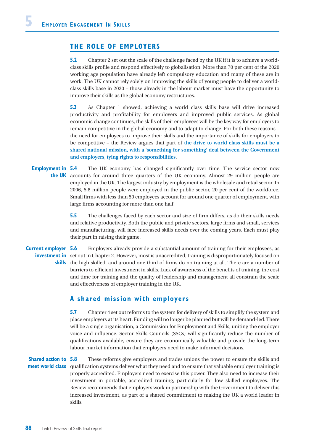# **THE ROLE OF EMPLOYERS**

**5.2** Chapter 2 set out the scale of the challenge faced by the UK if it is to achieve a worldclass skills profile and respond effectively to globalisation. More than 70 per cent of the 2020 working age population have already left compulsory education and many of these are in work. The UK cannot rely solely on improving the skills of young people to deliver a worldclass skills base in 2020 – those already in the labour market must have the opportunity to improve their skills as the global economy restructures.

**5.3** As Chapter 1 showed, achieving a world class skills base will drive increased productivity and profitability for employers and improved public services. As global economic change continues, the skills of their employees will be the key way for employers to remain competitive in the global economy and to adapt to change. For both these reasons – the need for employees to improve their skills and the importance of skills for employers to be competitive – the Review argues that part of **the drive to world class skills must be a shared national mission, with a 'something for something' deal between the Government and employers, tying rights to responsibilities**.

**5.4** The UK economy has changed significantly over time. The service sector now the UK accounts for around three quarters of the UK economy. Almost 29 million people are employed in the UK. The largest industry by employment is the wholesale and retail sector. In 2006, 5.8 million people were employed in the public sector, 20 per cent of the workforce. Small firms with less than 50 employees account for around one quarter of employment, with large firms accounting for more than one half. **Employment in**

> **5.5** The challenges faced by each sector and size of firm differs, as do their skills needs and relative productivity. Both the public and private sectors, large firms and small, services and manufacturing, will face increased skills needs over the coming years. Each must play their part in raising their game.

**5.6** Employers already provide a substantial amount of training for their employees, as investment in set out in Chapter 2. However, most is unaccredited, training is disproportionately focused on skills the high skilled, and around one third of firms do no training at all. There are a number of barriers to efficient investment in skills. Lack of awareness of the benefits of training, the cost and time for training and the quality of leadership and management all constrain the scale and effectiveness of employer training in the UK. **Current employer**

## **A shared mission with employers**

**5.7** Chapter 4 set out reforms to the system for delivery of skills to simplify the system and place employers at its heart. Funding will no longer be planned but will be demand-led. There will be a single organisation, a Commission for Employment and Skills, uniting the employer voice and influence. Sector Skills Councils (SSCs) will significantly reduce the number of qualifications available, ensure they are economically valuable and provide the long-term labour market information that employers need to make informed decisions.

**5.8** These reforms give employers and trades unions the power to ensure the skills and qualification systems deliver what they need and to ensure that valuable employer training is properly accredited. Employers need to exercise this power. They also need to increase their investment in portable, accredited training, particularly for low skilled employees. The Review recommends that employers work in partnership with the Government to deliver this increased investment, as part of a shared commitment to making the UK a world leader in skills. **Shared action to meet world class**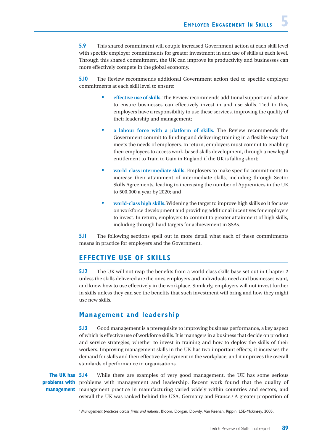**5.9** This shared commitment will couple increased Government action at each skill level with specific employer commitments for greater investment in and use of skills at each level. Through this shared commitment, the UK can improve its productivity and businesses can more effectively compete in the global economy.

**5.10** The Review recommends additional Government action tied to specific employer commitments at each skill level to ensure:

- **effective use of skills.** The Review recommends additional support and advice to ensure businesses can effectively invest in and use skills. Tied to this, employers have a responsibility to use these services, improving the quality of their leadership and management;
- **a labour force with a platform of skills.** The Review recommends the Government commit to funding and delivering training in a flexible way that meets the needs of employers. In return, employers must commit to enabling their employees to access work-based skills development, through a new legal entitlement to Train to Gain in England if the UK is falling short;
- **world-class intermediate skills.** Employers to make specific commitments to increase their attainment of intermediate skills, including through Sector Skills Agreements, leading to increasing the number of Apprentices in the UK to 500,000 a year by 2020; and
- **world-class high skills.**Widening the target to improve high skills so it focuses on workforce development and providing additional incentives for employers to invest. In return, employers to commit to greater attainment of high skills, including through hard targets for achievement in SSAs.

**5.11** The following sections spell out in more detail what each of these commitments means in practice for employers and the Government.

# **EFFECTIVE USE OF SKILLS**

**5.12** The UK will not reap the benefits from a world class skills base set out in Chapter 2 unless the skills delivered are the ones employers and individuals need and businesses want, and know how to use effectively in the workplace. Similarly, employers will not invest further in skills unless they can see the benefits that such investment will bring and how they might use new skills.

## **Management and leadership**

**5.13** Good management is a prerequisite to improving business performance, a key aspect of which is effective use of workforce skills. It is managers in a business that decide on product and service strategies, whether to invest in training and how to deploy the skills of their workers. Improving management skills in the UK has two important effects; it increases the demand for skills and their effective deployment in the workplace, and it improves the overall standards of performance in organisations.

**The UK has**

**5.14** While there are examples of very good management, the UK has some serious problems with problems with management and leadership. Recent work found that the quality of management practice in manufacturing varied widely within countries and sectors, and **management** overall the UK was ranked behind the USA, Germany and France.<sup>1</sup> A greater proportion of

<sup>1</sup> *Management practices across firms and nations*, Bloom, Dorgan, Dowdy, Van Reenan, Rippin, LSE-Mckinsey, 2005.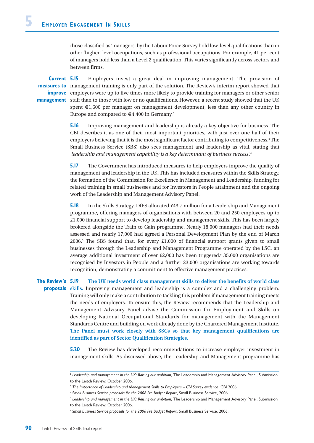those classified as 'managers' by the Labour Force Survey hold low-level qualifications than in other 'higher' level occupations, such as professional occupations. For example, 41 per cent of managers hold less than a Level 2 qualification. This varies significantly across sectors and between firms.

**Current**

**5.15** Employers invest a great deal in improving management. The provision of measures to management training is only part of the solution. The Review's interim report showed that improve employers were up to five times more likely to provide training for managers or other senior management staff than to those with low or no qualifications. However, a recent study showed that the UK spent €1,600 per manager on management development, less than any other country in Europe and compared to  $\in 4,400$  in Germany.<sup>2</sup>

> **5.16** Improving management and leadership is already a key objective for business. The CBI describes it as one of their most important priorities, with just over one half of their employers believing that it is the most significant factor contributing to competitiveness.<sup>3</sup> The Small Business Service (SBS) also sees management and leadership as vital, stating that *'leadership and management capability is a key determinant of business success'*. 4

> **5.17** The Government has introduced measures to help employers improve the quality of management and leadership in the UK. This has included measures within the Skills Strategy, the formation of the Commission for Excellence in Management and Leadership, funding for related training in small businesses and for Investors in People attainment and the ongoing work of the Leadership and Management Advisory Panel.

> **5.18** In the Skills Strategy, DfES allocated £43.7 million for a Leadership and Management programme, offering managers of organisations with between 20 and 250 employees up to £1,000 financial support to develop leadership and management skills. This has been largely brokered alongside the Train to Gain programme. Nearly 18,000 managers had their needs assessed and nearly 17,000 had agreed a Personal Development Plan by the end of March  $2006$ .<sup>5</sup> The SBS found that, for every  $£1,000$  of financial support grants given to small businesses through the Leadership and Management Programme operated by the LSC, an average additional investment of over £2,000 has been triggered.6 35,000 organisations are recognised by Investors in People and a further 23,000 organisations are working towards recognition, demonstrating a commitment to effective management practices.

**5.19 The UK needs world class management skills to deliver the benefits of world class skills.** Improving management and leadership is a complex and a challenging problem. **proposals** Training will only make a contribution to tackling this problem if management training meets the needs of employers. To ensure this, the Review recommends that the Leadership and Management Advisory Panel advise the Commission for Employment and Skills on developing National Occupational Standards for management with the Management Standards Centre and building on work already done by the Chartered Management Institute. **The Panel must work closely with SSCs so that key management qualifications are identified as part of Sector Qualification Strategies. The Review's**

> **5.20** The Review has developed recommendations to increase employer investment in management skills. As discussed above, the Leadership and Management programme has

<sup>2</sup> *Leadership and management in the UK: Raising our ambition*, The Leadership and Management Advisory Panel, Submission to the Leitch Review, October 2006.

<sup>3</sup> *The Importance of Leadership and Management Skills to Employers – CBI Survey evidence*, CBI 2006.

<sup>4</sup> S*mall Business Service proposals for the 2006 Pre Budget Report*, Small Business Service, 2006.

<sup>5</sup> *Leadership and management in the UK: Raising our ambition*, The Leadership and Management Advisory Panel, Submission to the Leitch Review, October 2006.

<sup>6</sup> *Small Business Service proposals for the 2006 Pre Budget Report*, Small Business Service, 2006.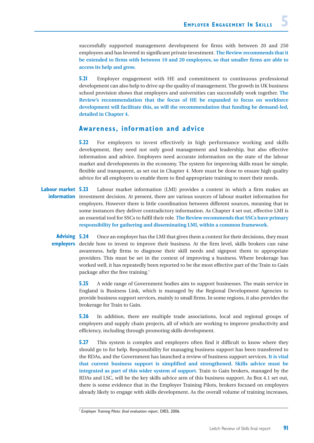successfully supported management development for firms with between 20 and 250 employees and has levered in significant private investment. **The Review recommends that it be extended to firms with between 10 and 20 employees, so that smaller firms are able to access its help and grow.**

**5.21** Employer engagement with HE and commitment to continuous professional development can also help to drive up the quality of management. The growth in UK business school provision shows that employers and universities can successfully work together. **The Review's recommendation that the focus of HE be expanded to focus on workforce development will facilitate this, as will the recommendation that funding be demand-led, detailed in Chapter 4.**

#### **Awareness, information and advice**

**5.22** For employers to invest effectively in high performance working and skills development, they need not only good management and leadership, but also effective information and advice. Employers need accurate information on the state of the labour market and developments in the economy. The system for improving skills must be simple, flexible and transparent, as set out in Chapter 4. More must be done to ensure high quality advice for all employers to enable them to find appropriate training to meet their needs.

**5.23** Labour market information (LMI) provides a context in which a firm makes an information investment decision. At present, there are various sources of labour market information for employers. However there is little coordination between different sources, meaning that in some instances they deliver contradictory information. As Chapter 4 set out, effective LMI is an essential tool for SSCs to fulfil their role. **The Review recommends that SSCs have primary responsibility for gathering and disseminating LMI, within a common framework. Labour market**

**5.24** Once an employer has the LMI that gives them a context for their decisions, they must decide how to invest to improve their business. At the firm level, skills brokers can raise awareness, help firms to diagnose their skill needs and signpost them to appropriate providers. This must be set in the context of improving a business. Where brokerage has worked well, it has repeatedly been reported to be the most effective part of the Train to Gain package after the free training.<sup>7</sup> **Advising employers**

> **5.25** A wide range of Government bodies aim to support businesses. The main service in England is Business Link, which is managed by the Regional Development Agencies to provide business support services, mainly to small firms. In some regions, it also provides the brokerage for Train to Gain.

> **5.26** In addition, there are multiple trade associations, local and regional groups of employers and supply chain projects, all of which are working to improve productivity and efficiency, including through promoting skills development.

> **5.27** This system is complex and employers often find it difficult to know where they should go to for help. Responsibility for managing business support has been transferred to the RDAs, and the Government has launched a review of business support services. **It is vital that current business support is simplified and strengthened. Skills advice must be integrated as part of this wider system of support.** Train to Gain brokers, managed by the RDAs and LSC, will be the key skills advice arm of this business support. As Box 4.1 set out, there is some evidence that in the Employer Training Pilots, brokers focused on employers already likely to engage with skills development. As the overall volume of training increases,

<sup>7</sup> *Employer Training Pilots: final evaluation report*, DfES, 2006.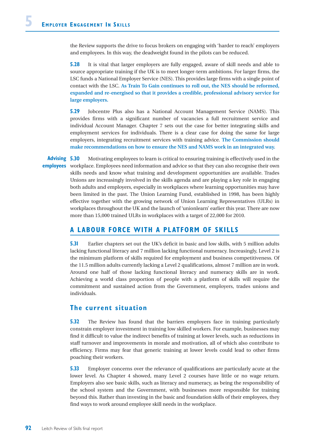the Review supports the drive to focus brokers on engaging with 'harder to reach' employers and employees. In this way, the deadweight found in the pilots can be reduced.

**5.28** It is vital that larger employers are fully engaged, aware of skill needs and able to source appropriate training if the UK is to meet longer-term ambitions. For larger firms, the LSC funds a National Employer Service (NES). This provides large firms with a single point of contact with the LSC. **As Train To Gain continues to roll out, the NES should be reformed, expanded and re-energised so that it provides a credible, professional advisory service for large employers.**

**5.29** Jobcentre Plus also has a National Account Management Service (NAMS). This provides firms with a significant number of vacancies a full recruitment service and individual Account Manager. Chapter 7 sets out the case for better integrating skills and employment services for individuals. There is a clear case for doing the same for large employers, integrating recruitment services with training advice. **The Commission should make recommendations on how to ensure the NES and NAMS work in an integrated way.**

**5.30** Motivating employees to learn is critical to ensuring training is effectively used in the employees workplace. Employees need information and advice so that they can also recognise their own skills needs and know what training and development opportunities are available. Trades Unions are increasingly involved in the skills agenda and are playing a key role in engaging both adults and employers, especially in workplaces where learning opportunities may have been limited in the past. The Union Learning Fund, established in 1998, has been highly effective together with the growing network of Union Learning Representatives (ULRs) in workplaces throughout the UK and the launch of 'unionlearn' earlier this year. There are now more than 15,000 trained ULRs in workplaces with a target of 22,000 for 2010. **Advising**

## **A LABOUR FORCE WITH A PLATFORM OF SKILLS**

**5.31** Earlier chapters set out the UK's deficit in basic and low skills, with 5 million adults lacking functional literacy and 7 million lacking functional numeracy. Increasingly, Level 2 is the minimum platform of skills required for employment and business competitiveness. Of the 11.5 million adults currently lacking a Level 2 qualifications, almost 7 million are in work. Around one half of those lacking functional literacy and numeracy skills are in work. Achieving a world class proportion of people with a platform of skills will require the commitment and sustained action from the Government, employers, trades unions and individuals.

#### **The current situation**

**5.32** The Review has found that the barriers employers face in training particularly constrain employer investment in training low skilled workers. For example, businesses may find it difficult to value the indirect benefits of training at lower levels, such as reductions in staff turnover and improvements in morale and motivation, all of which also contribute to efficiency. Firms may fear that generic training at lower levels could lead to other firms poaching their workers.

**5.33** Employer concerns over the relevance of qualifications are particularly acute at the lower level. As Chapter 4 showed, many Level 2 courses have little or no wage return. Employers also see basic skills, such as literacy and numeracy, as being the responsibility of the school system and the Government, with businesses more responsible for training beyond this. Rather than investing in the basic and foundation skills of their employees, they find ways to work around employee skill needs in the workplace.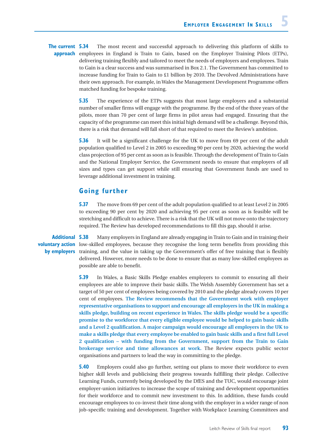**5.34** The most recent and successful approach to delivering this platform of skills to approach employees in England is Train to Gain, based on the Employer Training Pilots (ETPs), delivering training flexibly and tailored to meet the needs of employers and employees. Train to Gain is a clear success and was summarised in Box 2.1. The Government has committed to increase funding for Train to Gain to £1 billion by 2010. The Devolved Administrations have their own approach. For example, in Wales the Management Development Programme offers matched funding for bespoke training. **The current**

> **5.35** The experience of the ETPs suggests that most large employers and a substantial number of smaller firms will engage with the programme. By the end of the three years of the pilots, more than 70 per cent of large firms in pilot areas had engaged. Ensuring that the capacity of the programme can meet this initial high demand will be a challenge. Beyond this, there is a risk that demand will fall short of that required to meet the Review's ambition.

> **5.36** It will be a significant challenge for the UK to move from 69 per cent of the adult population qualified to Level 2 in 2005 to exceeding 90 per cent by 2020, achieving the world class projection of 95 per cent as soon as is feasible. Through the development of Train to Gain and the National Employer Service, the Government needs to ensure that employers of all sizes and types can get support while still ensuring that Government funds are used to leverage additional investment in training.

## **Going further**

**5.37** The move from 69 per cent of the adult population qualified to at least Level 2 in 2005 to exceeding 90 per cent by 2020 and achieving 95 per cent as soon as is feasible will be stretching and difficult to achieve. There is a risk that the UK will not move onto the trajectory required. The Review has developed recommendations to fill this gap, should it arise.

**Additional**

**5.38** Many employers in England are already engaging in Train to Gain and in training their **voluntary action** low-skilled employees, because they recognise the long term benefits from providing this by employers training, and the value in taking up the Government's offer of free training that is flexibly delivered. However, more needs to be done to ensure that as many low-skilled employees as possible are able to benefit.

> **5.39** In Wales, a Basic Skills Pledge enables employers to commit to ensuring all their employees are able to improve their basic skills. The Welsh Assembly Government has set a target of 50 per cent of employees being covered by 2010 and the pledge already covers 10 per cent of employees. **The Review recommends that the Government work with employer representative organisations to support and encourage all employers in the UK in making a skills pledge, building on recent experience in Wales. The skills pledge would be a specific promise to the workforce that every eligible employee would be helped to gain basic skills and a Level 2 qualification. A major campaign would encourage all employers in the UK to make a skills pledge that every employee be enabled to gain basic skills and a first full Level 2 qualification – with funding from the Government, support from the Train to Gain brokerage service and time allowances at work.** The Review expects public sector organisations and partners to lead the way in committing to the pledge.

> **5.40** Employers could also go further, setting out plans to move their workforce to even higher skill levels and publicising their progress towards fulfilling their pledge. Collective Learning Funds, currently being developed by the DfES and the TUC, would encourage joint employer-union initiatives to increase the scope of training and development opportunities for their workforce and to commit new investment to this. In addition, these funds could encourage employees to co-invest their time along with the employer in a wider range of non job-specific training and development. Together with Workplace Learning Committees and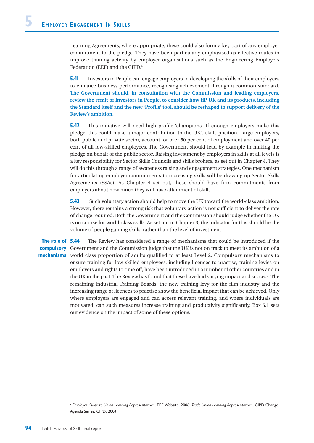Learning Agreements, where appropriate, these could also form a key part of any employer commitment to the pledge. They have been particularly emphasised as effective routes to improve training activity by employer organisations such as the Engineering Employers Federation (EEF) and the CIPD.<sup>8</sup>

**5.41** Investors in People can engage employers in developing the skills of their employees to enhance business performance, recognising achievement through a common standard. **The Government should, in consultation with the Commission and leading employers, review the remit of Investors in People, to consider how IiP UK and its products, including the Standard itself and the new 'Profile' tool, should be reshaped to support delivery of the Review's ambition.**

**5.42** This initiative will need high profile 'champions'. If enough employers make this pledge, this could make a major contribution to the UK's skills position. Large employers, both public and private sector, account for over 50 per cent of employment and over 40 per cent of all low-skilled employees. The Government should lead by example in making the pledge on behalf of the public sector. Raising investment by employers in skills at all levels is a key responsibility for Sector Skills Councils and skills brokers, as set out in Chapter 4. They will do this through a range of awareness raising and engagement strategies. One mechanism for articulating employer commitments to increasing skills will be drawing up Sector Skills Agreements (SSAs). As Chapter 4 set out, these should have firm commitments from employers about how much they will raise attainment of skills.

**5.43** Such voluntary action should help to move the UK toward the world-class ambition. However, there remains a strong risk that voluntary action is not sufficient to deliver the rate of change required. Both the Government and the Commission should judge whether the UK is on course for world-class skills. As set out in Chapter 3, the indicator for this should be the volume of people gaining skills, rather than the level of investment.

**5.44** The Review has considered a range of mechanisms that could be introduced if the compulsory Government and the Commission judge that the UK is not on track to meet its ambition of a mechanisms world class proportion of adults qualified to at least Level 2. Compulsory mechanisms to ensure training for low-skilled employees, including licences to practise, training levies on employers and rights to time off, have been introduced in a number of other countries and in the UK in the past. The Review has found that these have had varying impact and success. The remaining Industrial Training Boards, the new training levy for the film industry and the increasing range of licences to practise show the beneficial impact that can be achieved. Only where employers are engaged and can access relevant training, and where individuals are motivated, can such measures increase training and productivity significantly. Box 5.1 sets out evidence on the impact of some of these options. **The role of**

<sup>8</sup> *Employer Guide to Union Learning Representatives*, EEF Website, 2006; *Trade Union Learning Representatives*, CIPD Change Agenda Series, CIPD, 2004.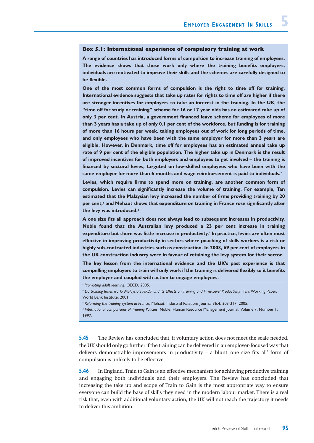#### **Box 5.1: International experience of compulsory training at work**

**A range of countries has introduced forms of compulsion to increase training of employees. The evidence shows that these work only where the training benefits employers, individuals are motivated to improve their skills and the schemes are carefully designed to be flexible.**

**One of the most common forms of compulsion is the right to time off for training. International evidence suggests that take up rates for rights to time off are higher if there are stronger incentives for employers to take an interest in the training. In the UK, the "time off for study or training" scheme for 16 or 17 year olds has an estimated take up of only 3 per cent. In Austria, a government financed leave scheme for employees of more than 3 years has a take up of only 0.1 per cent of the workforce, but funding is for training of more than 16 hours per week, taking employees out of work for long periods of time, and only employees who have been with the same employer for more than 3 years are eligible. However, in Denmark, time off for employees has an estimated annual take up rate of 9 per cent of the eligible population. The higher take up in Denmark is the result of improved incentives for both employers and employees to get involved – the training is financed by sectoral levies, targeted on low-skilled employees who have been with the** same employer for more than 6 months and wage reimbursement is paid to individuals.<sup>a</sup>

**Levies, which require firms to spend more on training, are another common form of compulsion. Levies can significantly increase the volume of training. For example, Tan estimated that the Malaysian levy increased the number of firms providing training by 20** per cent,<sup>b</sup> and Mehaut shows that expenditure on training in France rose significantly after the levy was introduced.<sup>c</sup>

**A one size fits all approach does not always lead to subsequent increases in productivity. Noble found that the Australian levy produced a 23 per cent increase in training** expenditure but there was little increase in productivity.<sup>d</sup> In practice, levies are often most **effective in improving productivity in sectors where poaching of skills workers is a risk or highly sub-contracted industries such as construction. In 2003, 69 per cent of employers in the UK construction industry were in favour of retaining the levy system for their sector.** 

**The key lesson from the international evidence and the UK's past experience is that compelling employers to train will only work if the training is delivered flexibly so it benefits the employer and coupled with action to engage employees.**

<sup>a</sup> *Promoting adult learning*, OECD, 2005.

<sup>b</sup> *Do training levies work? Malaysia's HRDF and its Effects on Training and Firm-Level Productivity*, Tan, Working Paper, World Bank Institute, 2001.

<sup>c</sup> *Reforming the training system in France,* Mehaut, Industrial Relations Journal 36:4, 303-317, 2005.

<sup>d</sup> *International comparisons of Training Policies*, Noble, Human Resource Management Journal, Volume 7, Number 1, 1997.

**5.45** The Review has concluded that, if voluntary action does not meet the scale needed, the UK should only go further if the training can be delivered in an employer-focused way that delivers demonstrable improvements in productivity – a blunt 'one size fits all' form of compulsion is unlikely to be effective.

**5.46** In England, Train to Gain is an effective mechanism for achieving productive training and engaging both individuals and their employers. The Review has concluded that increasing the take up and scope of Train to Gain is the most appropriate way to ensure everyone can build the base of skills they need in the modern labour market. There is a real risk that, even with additional voluntary action, the UK will not reach the trajectory it needs to deliver this ambition.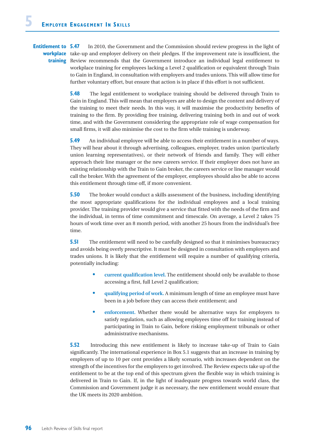**5.47** In 2010, the Government and the Commission should review progress in the light of workplace take-up and employer delivery on their pledges. If the improvement rate is insufficient, the training Review recommends that the Government introduce an individual legal entitlement to workplace training for employees lacking a Level 2 qualification or equivalent through Train to Gain in England, in consultation with employers and trades unions. This will allow time for further voluntary effort, but ensure that action is in place if this effort is not sufficient. **Entitlement to**

> **5.48** The legal entitlement to workplace training should be delivered through Train to Gain in England. This will mean that employers are able to design the content and delivery of the training to meet their needs. In this way, it will maximise the productivity benefits of training to the firm. By providing free training, delivering training both in and out of work time, and with the Government considering the appropriate role of wage compensation for small firms, it will also minimise the cost to the firm while training is underway.

> **5.49** An individual employee will be able to access their entitlement in a number of ways. They will hear about it through advertising, colleagues, employer, trades union (particularly union learning representatives), or their network of friends and family. They will either approach their line manager or the new careers service. If their employer does not have an existing relationship with the Train to Gain broker, the careers service or line manager would call the broker. With the agreement of the employer, employees should also be able to access this entitlement through time off, if more convenient.

> **5.50** The broker would conduct a skills assessment of the business, including identifying the most appropriate qualifications for the individual employees and a local training provider. The training provider would give a service that fitted with the needs of the firm and the individual, in terms of time commitment and timescale. On average, a Level 2 takes 75 hours of work time over an 8 month period, with another 25 hours from the individual's free time.

> **5.51** The entitlement will need to be carefully designed so that it minimises bureaucracy and avoids being overly prescriptive. It must be designed in consultation with employers and trades unions. It is likely that the entitlement will require a number of qualifying criteria, potentially including:

- **current qualification level.** The entitlement should only be available to those accessing a first, full Level 2 qualification;
- **qualifying period of work.** A minimum length of time an employee must have been in a job before they can access their entitlement; and
- **enforcement.** Whether there would be alternative ways for employers to satisfy regulation, such as allowing employees time off for training instead of participating in Train to Gain, before risking employment tribunals or other administrative mechanisms.

**5.52** Introducing this new entitlement is likely to increase take-up of Train to Gain significantly. The international experience in Box 5.1 suggests that an increase in training by employers of up to 10 per cent provides a likely scenario, with increases dependent on the strength of the incentives for the employers to get involved. The Review expects take up of the entitlement to be at the top end of this spectrum given the flexible way in which training is delivered in Train to Gain. If, in the light of inadequate progress towards world class, the Commission and Government judge it as necessary, the new entitlement would ensure that the UK meets its 2020 ambition.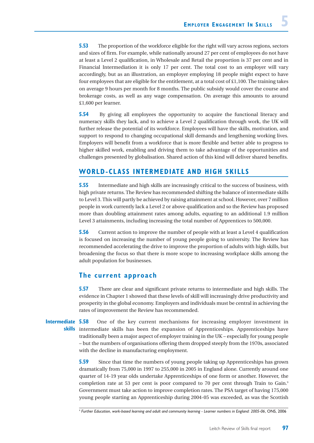**5.53** The proportion of the workforce eligible for the right will vary across regions, sectors and sizes of firm. For example, while nationally around 27 per cent of employees do not have at least a Level 2 qualification, in Wholesale and Retail the proportion is 37 per cent and in Financial Intermediation it is only 17 per cent. The total cost to an employer will vary accordingly, but as an illustration, an employer employing 18 people might expect to have four employees that are eligible for the entitlement, at a total cost of  $\pounds$ 1,100. The training takes on average 9 hours per month for 8 months. The public subsidy would cover the course and brokerage costs, as well as any wage compensation. On average this amounts to around £1,600 per learner.

**5.54** By giving all employees the opportunity to acquire the functional literacy and numeracy skills they lack, and to achieve a Level 2 qualification through work, the UK will further release the potential of its workforce. Employees will have the skills, motivation, and support to respond to changing occupational skill demands and lengthening working lives. Employers will benefit from a workforce that is more flexible and better able to progress to higher skilled work, enabling and driving them to take advantage of the opportunities and challenges presented by globalisation. Shared action of this kind will deliver shared benefits.

## **WORLD-CLASS INTERMEDIATE AND HIGH SKILLS**

**5.55** Intermediate and high skills are increasingly critical to the success of business, with high private returns. The Review has recommended shifting the balance of intermediate skills to Level 3. This will partly be achieved by raising attainment at school. However, over 7 million people in work currently lack a Level 2 or above qualification and so the Review has proposed more than doubling attainment rates among adults, equating to an additional 1.9 million Level 3 attainments, including increasing the total number of Apprentices to 500,000.

**5.56** Current action to improve the number of people with at least a Level 4 qualification is focused on increasing the number of young people going to university. The Review has recommended accelerating the drive to improve the proportion of adults with high skills, but broadening the focus so that there is more scope to increasing workplace skills among the adult population for businesses.

#### **The current approach**

**5.57** There are clear and significant private returns to intermediate and high skills. The evidence in Chapter 1 showed that these levels of skill will increasingly drive productivity and prosperity in the global economy. Employers and individuals must be central in achieving the rates of improvement the Review has recommended.

**5.58** One of the key current mechanisms for increasing employer investment in skills intermediate skills has been the expansion of Apprenticeships. Apprenticeships have traditionally been a major aspect of employer training in the UK – especially for young people – but the numbers of organisations offering them dropped steeply from the 1970s, associated with the decline in manufacturing employment. **Intermediate**

> **5.59** Since that time the numbers of young people taking up Apprenticeships has grown dramatically from 75,000 in 1997 to 255,000 in 2005 in England alone. Currently around one quarter of 14-19 year olds undertake Apprenticeships of one form or another. However, the completion rate at 53 per cent is poor compared to 70 per cent through Train to Gain.<sup>9</sup> Government must take action to improve completion rates. The PSA target of having 175,000 young people starting an Apprenticeship during 2004-05 was exceeded, as was the Scottish

<sup>9</sup> *Further Education, work-based learning and adult and community learning - Learner numbers in England: 2005-06*, ONS, 2006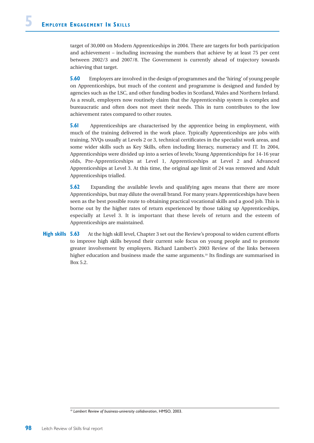target of 30,000 on Modern Apprenticeships in 2004. There are targets for both participation and achievement – including increasing the numbers that achieve by at least 75 per cent between 2002/3 and 2007/8. The Government is currently ahead of trajectory towards achieving that target.

**5.60** Employers are involved in the design of programmes and the 'hiring' of young people on Apprenticeships, but much of the content and programme is designed and funded by agencies such as the LSC, and other funding bodies in Scotland, Wales and Northern Ireland. As a result, employers now routinely claim that the Apprenticeship system is complex and bureaucratic and often does not meet their needs. This in turn contributes to the low achievement rates compared to other routes.

**5.61** Apprenticeships are characterised by the apprentice being in employment, with much of the training delivered in the work place. Typically Apprenticeships are jobs with training, NVQs usually at Levels 2 or 3, technical certificates in the specialist work areas, and some wider skills such as Key Skills, often including literacy, numeracy and IT. In 2004, Apprenticeships were divided up into a series of levels; Young Apprenticeships for 14-16 year olds, Pre-Apprenticeships at Level 1, Apprenticeships at Level 2 and Advanced Apprenticeships at Level 3. At this time, the original age limit of 24 was removed and Adult Apprenticeships trialled.

**5.62** Expanding the available levels and qualifying ages means that there are more Apprenticeships, but may dilute the overall brand. For many years Apprenticeships have been seen as the best possible route to obtaining practical vocational skills and a good job. This is borne out by the higher rates of return experienced by those taking up Apprenticeships, especially at Level 3. It is important that these levels of return and the esteem of Apprenticeships are maintained.

**5.63** At the high skill level, Chapter 3 set out the Review's proposal to widen current efforts to improve high skills beyond their current sole focus on young people and to promote greater involvement by employers. Richard Lambert's 2003 Review of the links between higher education and business made the same arguments.<sup>10</sup> Its findings are summarised in Box 5.2. **High skills**

<sup>10</sup> *Lambert Review of business-university collaboration*, HMSO, 2003.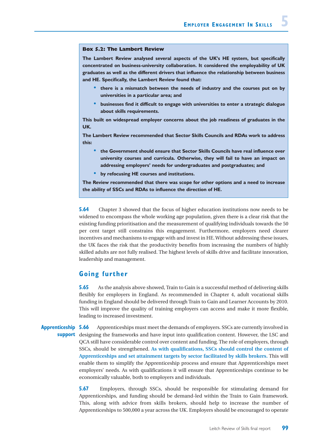#### **Box 5.2: The Lambert Review**

**The Lambert Review analysed several aspects of the UK's HE system, but specifically concentrated on business-university collaboration. It considered the employability of UK graduates as well as the different drivers that influence the relationship between business and HE. Specifically, the Lambert Review found that:** 

- **• there is a mismatch between the needs of industry and the courses put on by universities in a particular area; and**
- **• businesses find it difficult to engage with universities to enter a strategic dialogue about skills requirements.**

**This built on widespread employer concerns about the job readiness of graduates in the UK.**

**The Lambert Review recommended that Sector Skills Councils and RDAs work to address this:**

- **• the Government should ensure that Sector Skills Councils have real influence over university courses and curricula. Otherwise, they will fail to have an impact on addressing employers' needs for undergraduates and postgraduates; and**
- **• by refocusing HE courses and institutions.**

**The Review recommended that there was scope for other options and a need to increase the ability of SSCs and RDAs to influence the direction of HE.**

**5.64** Chapter 3 showed that the focus of higher education institutions now needs to be widened to encompass the whole working age population, given there is a clear risk that the existing funding prioritisation and the measurement of qualifying individuals towards the 50 per cent target still constrains this engagement. Furthermore, employers need clearer incentives and mechanisms to engage with and invest in HE. Without addressing these issues, the UK faces the risk that the productivity benefits from increasing the numbers of highly skilled adults are not fully realised. The highest levels of skills drive and facilitate innovation, leadership and management.

#### **Going further**

**5.65** As the analysis above showed, Train to Gain is a successful method of delivering skills flexibly for employers in England. As recommended in Chapter 4, adult vocational skills funding in England should be delivered through Train to Gain and Learner Accounts by 2010. This will improve the quality of training employers can access and make it more flexible, leading to increased investment.

**5.66** Apprenticeships must meet the demands of employers. SSCs are currently involved in support designing the frameworks and have input into qualification content. However, the LSC and QCA still have considerable control over content and funding. The role of employers, through SSCs, should be strengthened. **As with qualifications, SSCs should control the content of Apprenticeships and set attainment targets by sector facilitated by skills brokers.** This will enable them to simplify the Apprenticeship process and ensure that Apprenticeships meet employers' needs. As with qualifications it will ensure that Apprenticeships continue to be economically valuable, both to employers and individuals. **Apprenticeship**

> **5.67** Employers, through SSCs, should be responsible for stimulating demand for Apprenticeships, and funding should be demand-led within the Train to Gain framework. This, along with advice from skills brokers, should help to increase the number of Apprenticeships to 500,000 a year across the UK. Employers should be encouraged to operate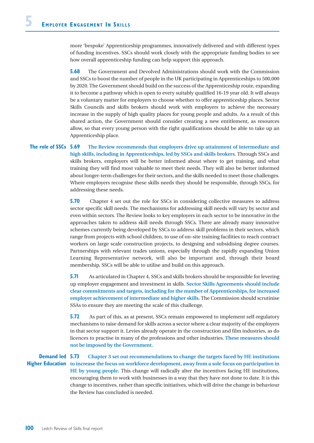more 'bespoke' Apprenticeship programmes, innovatively delivered and with different types of funding incentives. SSCs should work closely with the appropriate funding bodies to see how overall apprenticeship funding can help support this approach.

**5.68** The Government and Devolved Administrations should work with the Commission and SSCs to boost the number of people in the UK participating in Apprenticeships to 500,000 by 2020. The Government should build on the success of the Apprenticeship route, expanding it to become a pathway which is open to every suitably qualified 16-19 year old. It will always be a voluntary matter for employers to choose whether to offer apprenticeship places. Sector Skills Councils and skills brokers should work with employers to achieve the necessary increase in the supply of high quality places for young people and adults. As a result of this shared action, the Government should consider creating a new entitlement, as resources allow, so that every young person with the right qualifications should be able to take up an Apprenticeship place.

**5.69 The Review recommends that employers drive up attainment of intermediate and high skills, including in Apprenticeships, led by SSCs and skills brokers.** Through SSCs and skills brokers, employers will be better informed about where to get training, and what training they will find most valuable to meet their needs. They will also be better informed about longer-term challenges for their sectors, and the skills needed to meet those challenges. Where employers recognise these skills needs they should be responsible, through SSCs, for addressing these needs. **The role of SSCs**

> **5.70** Chapter 4 set out the role for SSCs in considering collective measures to address sector specific skill needs. The mechanisms for addressing skill needs will vary by sector and even within sectors. The Review looks to key employers in each sector to be innovative in the approaches taken to address skill needs through SSCs. There are already many innovative schemes currently being developed by SSCs to address skill problems in their sectors, which range from projects with school children, to use of on-site training facilities to reach contract workers on large scale construction projects, to designing and subsidising degree courses. Partnerships with relevant trades unions, especially through the rapidly expanding Union Learning Representative network, will also be important and, through their board membership, SSCs will be able to utilise and build on this approach.

> **5.71** As articulated in Chapter 4, SSCs and skills brokers should be responsible for levering up employer engagement and investment in skills. **Sector Skills Agreements should include clear commitments and targets, including for the number of Apprenticeships, for increased employer achievement of intermediate and higher skills.** The Commission should scrutinise SSAs to ensure they are meeting the scale of this challenge.

> **5.72** As part of this, as at present, SSCs remain empowered to implement self-regulatory mechanisms to raise demand for skills across a sector where a clear majority of the employers in that sector support it. Levies already operate in the construction and film industries, as do licences to practise in many of the professions and other industries. **These measures should not be imposed by the Government.**

**5.73 Chapter 3 set out recommendations to change the targets faced by HE institutions** Higher Education to increase the focus on workforce development, away from a sole focus on participation in **HE by young people.** This change will radically alter the incentives facing HE institutions, encouraging them to work with businesses in a way that they have not done to date. It is this change to incentives, rather than specific initiatives, which will drive the change in behaviour the Review has concluded is needed. **Demand led**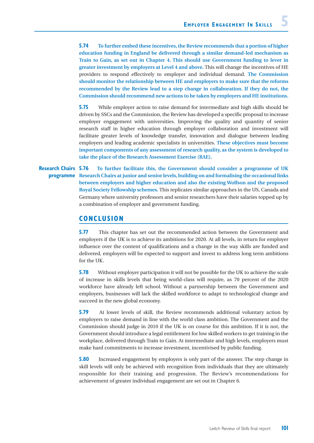**5.74 To further embed these incentives, the Review recommends that a portion of higher education funding in England be delivered through a similar demand-led mechanism as Train to Gain, as set out in Chapter 4. This should use Government funding to lever in greater investment by employers at Level 4 and above.** This will change the incentives of HE providers to respond effectively to employer and individual demand. **The Commission should monitor the relationship between HE and employers to make sure that the reforms recommended by the Review lead to a step change in collaboration. If they do not, the Commission should recommend new actions to be taken by employers and HE institutions.**

**5.75** While employer action to raise demand for intermediate and high skills should be driven by SSCs and the Commission, the Review has developed a specific proposal to increase employer engagement with universities. Improving the quality and quantity of senior research staff in higher education through employer collaboration and investment will facilitate greater levels of knowledge transfer, innovation and dialogue between leading employers and leading academic specialists in universities. **These objectives must become important components of any assessment of research quality, as the system is developed to take the place of the Research Assessment Exercise (RAE).**

**5.76 To further facilitate this, the Government should consider a programme of UK Research Chairs at junior and senior levels, building on and formalising the occasional links programme between employers and higher education and also the existing Wolfson and the proposed Royal Society Fellowship schemes.** This replicates similar approaches in the US, Canada and Germany where university professors and senior researchers have their salaries topped up by a combination of employer and government funding. **Research Chairs**

#### **CONCLUSION**

**5.77** This chapter has set out the recommended action between the Government and employers if the UK is to achieve its ambitions for 2020. At all levels, in return for employer influence over the content of qualifications and a change in the way skills are funded and delivered, employers will be expected to support and invest to address long term ambitions for the UK.

**5.78** Without employer participation it will not be possible for the UK to achieve the scale of increase in skills levels that being world-class will require, as 70 percent of the 2020 workforce have already left school. Without a partnership between the Government and employers, businesses will lack the skilled workforce to adapt to technological change and succeed in the new global economy.

**5.79** At lower levels of skill, the Review recommends additional voluntary action by employers to raise demand in line with the world class ambition. The Government and the Commission should judge in 2010 if the UK is on course for this ambition. If it is not, the Government should introduce a legal entitlement for low skilled workers to get training in the workplace, delivered through Train to Gain. At intermediate and high levels, employers must make hard commitments to increase investment, incentivised by public funding.

**5.80** Increased engagement by employers is only part of the answer. The step change in skill levels will only be achieved with recognition from individuals that they are ultimately responsible for their training and progression. The Review's recommendations for achievement of greater individual engagement are set out in Chapter 6.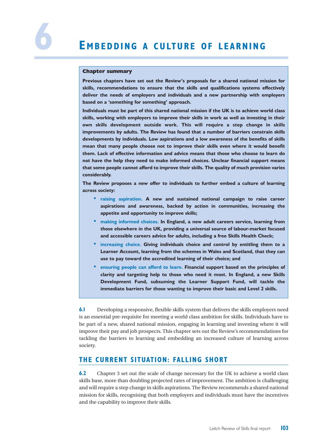#### **Chapter summary**

**Previous chapters have set out the Review's proposals for a shared national mission for skills, recommendations to ensure that the skills and qualifications systems effectively deliver the needs of employers and individuals and a new partnership with employers based on a 'something for something' approach.** 

**Individuals must be part of this shared national mission if the UK is to achieve world class skills, working with employers to improve their skills in work as well as investing in their own skills development outside work. This will require a step change in skills improvements by adults. The Review has found that a number of barriers constrain skills developments by individuals. Low aspirations and a low awareness of the benefits of skills mean that many people choose not to improve their skills even where it would benefit them. Lack of effective information and advice means that those who choose to learn do not have the help they need to make informed choices. Unclear financial support means that some people cannot afford to improve their skills. The quality of much provision varies considerably.**

**The Review proposes a new offer to individuals to further embed a culture of learning across society:**

- **• raising aspiration. A new and sustained national campaign to raise career aspirations and awareness, backed by action in communities, increasing the appetite and opportunity to improve skills;**
- **• making informed choices. In England, a new adult careers service, learning from those elsewhere in the UK, providing a universal source of labour-market focused and accessible careers advice for adults, including a free Skills Health Check;**
- **• increasing choice. Giving individuals choice and control by entitling them to a Learner Account, learning from the schemes in Wales and Scotland, that they can use to pay toward the accredited learning of their choice; and**
- **• ensuring people can afford to learn. Financial support based on the principles of clarity and targeting help to those who need it most. In England, a new Skills Development Fund, subsuming the Learner Support Fund, will tackle the immediate barriers for those wanting to improve their basic and Level 2 skills.**

**6.1** Developing a responsive, flexible skills system that delivers the skills employers need is an essential pre-requisite for meeting a world class ambition for skills. Individuals have to be part of a new, shared national mission, engaging in learning and investing where it will improve their pay and job prospects. This chapter sets out the Review's recommendations for tackling the barriers to learning and embedding an increased culture of learning across society.

## **THE CURRENT SITUATION: FALLING SHORT**

**6.2** Chapter 3 set out the scale of change necessary for the UK to achieve a world class skills base, more than doubling projected rates of improvement. The ambition is challenging and will require a step change in skills aspirations. The Review recommends a shared national mission for skills, recognising that both employers and individuals must have the incentives and the capability to improve their skills.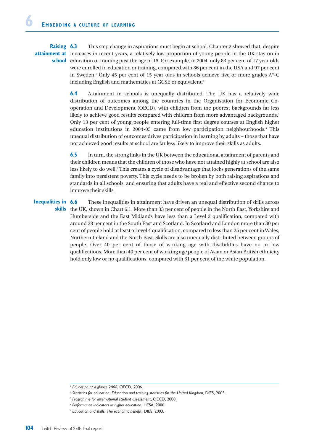**6.3** This step change in aspirations must begin at school. Chapter 2 showed that, despite attainment at increases in recent years, a relatively low proportion of young people in the UK stay on in education or training past the age of 16. For example, in 2004, only 83 per cent of 17 year olds were enrolled in education or training, compared with 86 per cent in the USA and 97 per cent in Sweden.<sup>1</sup> Only 45 per cent of 15 year olds in schools achieve five or more grades  $A^*$ -C including English and mathematics at GCSE or equivalent.<sup>2</sup> **Raising school**

> **6.4** Attainment in schools is unequally distributed. The UK has a relatively wide distribution of outcomes among the countries in the Organisation for Economic Cooperation and Development (OECD), with children from the poorest backgrounds far less likely to achieve good results compared with children from more advantaged backgrounds.<sup>3</sup> Only 13 per cent of young people entering full-time first degree courses at English higher education institutions in 2004-05 came from low participation neighbourhoods.<sup>4</sup> This unequal distribution of outcomes drives participation in learning by adults – those that have not achieved good results at school are far less likely to improve their skills as adults.

> **6.5** In turn, the strong links in the UK between the educational attainment of parents and their children means that the children of those who have not attained highly at school are also less likely to do well.<sup>5</sup> This creates a cycle of disadvantage that locks generations of the same family into persistent poverty. This cycle needs to be broken by both raising aspirations and standards in all schools, and ensuring that adults have a real and effective second chance to improve their skills.

**6.6** These inequalities in attainment have driven an unequal distribution of skills across <mark>skills</mark> the UK, shown in Chart 6.1. More than 33 per cent of people in the North East, Yorkshire and Humberside and the East Midlands have less than a Level 2 qualification, compared with around 28 per cent in the South East and Scotland. In Scotland and London more than 30 per cent of people hold at least a Level 4 qualification, compared to less than 25 per cent in Wales, Northern Ireland and the North East. Skills are also unequally distributed between groups of people. Over 40 per cent of those of working age with disabilities have no or low qualifications. More than 40 per cent of working age people of Asian or Asian British ethnicity hold only low or no qualifications, compared with 31 per cent of the white population. **Inequalities in**

<sup>1</sup> *Education at a glance 2006*, OECD, 2006.

<sup>&</sup>lt;sup>2</sup> Statistics for education: Education and training statistics for the United Kingdom, DfES, 2005.

<sup>3</sup> *Programme for international student assessment*, OECD, 2000.

<sup>4</sup> *Performance indicators in higher education*, HESA, 2006.

<sup>5</sup> *Education and skills: The economic benefit*, DfES, 2003.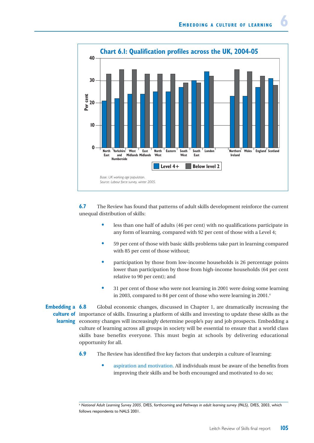

**6.7** The Review has found that patterns of adult skills development reinforce the current unequal distribution of skills:

- less than one half of adults (46 per cent) with no qualifications participate in any form of learning, compared with 92 per cent of those with a Level 4;
- 59 per cent of those with basic skills problems take part in learning compared with 85 per cent of those without;
- participation by those from low-income households is 26 percentage points lower than participation by those from high-income households (64 per cent relative to 90 per cent); and
- 31 per cent of those who were not learning in 2001 were doing some learning in 2003, compared to 84 per cent of those who were learning in 2001.<sup>6</sup>

**6.8** Global economic changes, discussed in Chapter 1, are dramatically increasing the culture of importance of skills. Ensuring a platform of skills and investing to update these skills as the learning economy changes will increasingly determine people's pay and job prospects. Embedding a culture of learning across all groups in society will be essential to ensure that a world class skills base benefits everyone. This must begin at schools by delivering educational opportunity for all. **Embedding a**

**6.9** The Review has identified five key factors that underpin a culture of learning:

• aspiration and motivation. All individuals must be aware of the benefits from improving their skills and be both encouraged and motivated to do so;

<sup>6</sup> *National Adult Learning Survey 2005,* DfES, forthcoming and *Pathways in adult learning survey (PALS),* DfES, 2003, which follows respondents to NALS 2001.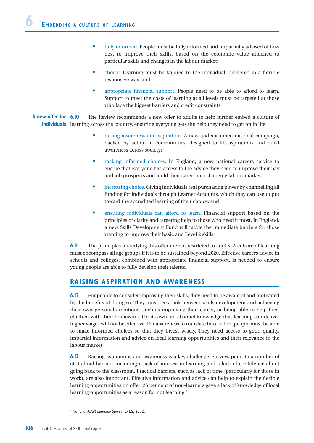- fully informed. People must be fully informed and impartially advised of how best to improve their skills, based on the economic value attached to particular skills and changes in the labour market;
- choice. Learning must be tailored to the individual, delivered in a flexible responsive way; and
- appropriate financial support. People need to be able to afford to learn. Support to meet the costs of learning at all levels must be targeted at those who face the biggest barriers and credit constraints.

**6.10** The Review recommends a new offer to adults to help further embed a culture of individuals learning across the country, ensuring everyone gets the help they need to get on in life: **A new offer for**

- raising awareness and aspiration. A new and sustained national campaign, backed by action in communities, designed to lift aspirations and build awareness across society;
- making informed choices. In England, a new national careers service to ensure that everyone has access to the advice they need to improve their pay and job prospects and build their career in a changing labour market;
- increasing choice. Giving individuals real purchasing power by channelling all funding for individuals through Learner Accounts, which they can use to put toward the accredited learning of their choice; and
- ensuring individuals can afford to learn. Financial support based on the principles of clarity and targeting help to those who need it most. In England, a new Skills Development Fund will tackle the immediate barriers for those wanting to improve their basic and Level 2 skills.

**6.11** The principles underlying this offer are not restricted to adults. A culture of learning must encompass all age groups if it is to be sustained beyond 2020. Effective careers advice in schools and colleges, combined with appropriate financial support, is needed to ensure young people are able to fully develop their talents.

# **RAISING ASPIRATION AND AWARENESS**

**6.12** For people to consider improving their skills, they need to be aware of and motivated by the benefits of doing so. They must see a link between skills development and achieving their own personal ambitions, such as improving their career, or being able to help their children with their homework. On its own, an abstract knowledge that learning can deliver higher wages will not be effective. For awareness to translate into action, people must be able to make informed choices so that they invest wisely. They need access to good quality, impartial information and advice on local learning opportunities and their relevance in the labour market.

**6.13** Raising aspirations and awareness is a key challenge. Surveys point to a number of attitudinal barriers including a lack of interest in learning and a lack of confidence about going back to the classroom. Practical barriers, such as lack of time (particularly for those in work), are also important. Effective information and advice can help to explain the flexible learning opportunities on offer. 26 per cent of non-learners gave a lack of knowledge of local learning opportunities as a reason for not learning.<sup>7</sup>

<sup>7</sup> *National Adult Learning Survey*, DfES, 2002.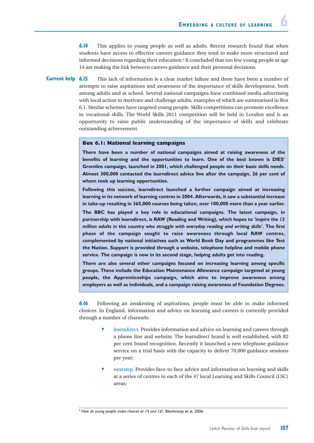**6.14** This applies to young people as well as adults. Recent research found that when students have access to effective careers guidance they tend to make more structured and informed decisions regarding their education.8 It concluded that too few young people at age 14 are making the link between careers guidance and their personal decisions.

**6.15** This lack of information is a clear market failure and there have been a number of attempts to raise aspirations and awareness of the importance of skills development, both among adults and at school. Several national campaigns have combined media advertising with local action to motivate and challenge adults, examples of which are summarised in Box 6.1. Similar schemes have targeted young people. Skills competitions can promote excellence in vocational skills. The World Skills 2011 competition will be held in London and is an opportunity to raise public understanding of the importance of skills and celebrate outstanding achievement. **Current help** 

#### **Box 6.1: National learning campaigns**

**There have been a number of national campaigns aimed at raising awareness of the benefits of learning and the opportunities to learn. One of the best known is DfES' Gremlins campaign, launched in 2001, which challenged people on their basic skills needs. Almost 300,000 contacted the learndirect advice line after the campaign, 26 per cent of whom took up learning opportunities.** 

**Following this success, learndirect launched a further campaign aimed at increasing learning in its network of learning centres in 2004. Afterwards, it saw a substantial increase in take-up resulting in 365,000 courses being taken, over 100,000 more than a year earlier. The BBC has played a key role in educational campaigns. The latest campaign, in partnership with learndirect, is RAW (Reading and Writing), which hopes to** *'inspire the 12 million adults in this country who struggle with everyday reading and writing skills'***. The first phase of the campaign sought to raise awareness through local RAW centres, complemented by national initiatives such as World Book Day and programmes like Test the Nation. Support is provided through a website, telephone helpline and mobile phone service. The campaign is now in its second stage, helping adults get into reading.** 

**There are also several other campaigns focused on increasing learning among specific groups. These include the Education Maintenance Allowance campaign targeted at young people, the Apprenticeships campaign, which aims to improve awareness among employers as well as individuals, and a campaign raising awareness of Foundation Degrees.** 

**6.16** Following an awakening of aspirations, people must be able to make informed choices. In England, information and advice on learning and careers is currently provided through a number of channels:

- learndirect. Provides information and advice on learning and careers through a phone line and website. The learndirect brand is well established, with 82 per cent brand recognition. Recently it launched a new telephone guidance service on a trial basis with the capacity to deliver 70,000 guidance sessions per year;
- nextstep. Provides face-to-face advice and information on learning and skills at a series of centres in each of the 47 local Learning and Skills Council (LSC) areas;

<sup>8</sup> *How do young people make choices at 14 and 16?*, Blenkinsop et al, 2006.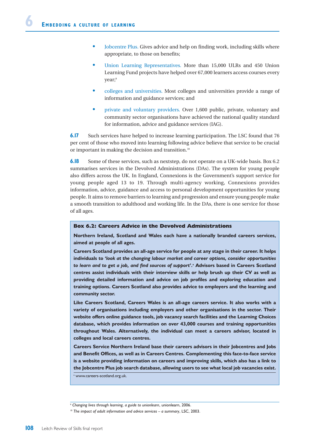- Jobcentre Plus. Gives advice and help on finding work, including skills where appropriate, to those on benefits;
- Union Learning Representatives. More than 15,000 ULRs and 450 Union Learning Fund projects have helped over 67,000 learners access courses every vear:<sup>9</sup>
- colleges and universities. Most colleges and universities provide a range of information and guidance services; and
- private and voluntary providers. Over 1,600 public, private, voluntary and community sector organisations have achieved the national quality standard for information, advice and guidance services (IAG).

**6.17** Such services have helped to increase learning participation. The LSC found that 76 per cent of those who moved into learning following advice believe that service to be crucial or important in making the decision and transition.10

**6.18** Some of these services, such as nextstep, do not operate on a UK-wide basis. Box 6.2 summarises services in the Devolved Administrations (DAs). The system for young people also differs across the UK. In England, Connexions is the Government's support service for young people aged 13 to 19. Through multi-agency working, Connexions provides information, advice, guidance and access to personal development opportunities for young people. It aims to remove barriers to learning and progression and ensure young people make a smooth transition to adulthood and working life. In the DAs, there is one service for those of all ages.

#### **Box 6.2: Careers Advice in the Devolved Administrations**

**Northern Ireland, Scotland and Wales each have a nationally branded careers services, aimed at people of all ages.** 

**Careers Scotland provides an all-age service for people at any stage in their career. It helps individuals to '***look at the changing labour market and career options, consider opportunities to learn and to get a job, and find sources of support***'.a Advisors based in Careers Scotland centres assist individuals with their interview skills or help brush up their CV as well as providing detailed information and advice on job profiles and exploring education and training options. Careers Scotland also provides advice to employers and the learning and community sector.** 

**Like Careers Scotland, Careers Wales is an all-age careers service. It also works with a variety of organisations including employers and other organisations in the sector. Their website offers online guidance tools, job vacancy search facilities and the Learning Choices database, which provides information on over 43,000 courses and training opportunities throughout Wales. Alternatively, the individual can meet a careers advisor, located in colleges and local careers centres.** 

**Careers Service Northern Ireland base their careers advisors in their Jobcentres and Jobs and Benefit Offices, as well as in Careers Centres. Complementing this face-to-face service is a website providing information on careers and improving skills, which also has a link to the Jobcentre Plus job search database, allowing users to see what local job vacancies exist.**  a www.careers-scotland.org.uk.

<sup>9</sup> *Changing lives through learning, a guide to unionlearn*, unionlearn, 2006.

<sup>&</sup>lt;sup>10</sup> The impact of adult information and advice services - a summary, LSC, 2003.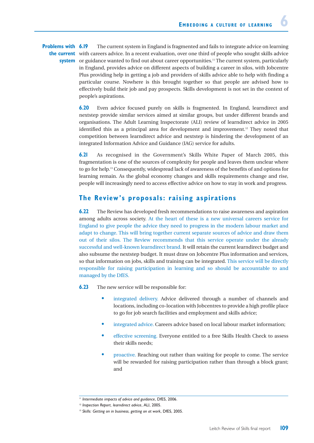**6.19** The current system in England is fragmented and fails to integrate advice on learning the current with careers advice. In a recent evaluation, over one third of people who sought skills advice <mark>system</mark> or guidance wanted to find out about career opportunities.<sup>11</sup> The current system, particularly in England, provides advice on different aspects of building a career in silos, with Jobcentre Plus providing help in getting a job and providers of skills advice able to help with finding a particular course. Nowhere is this brought together so that people are advised how to effectively build their job and pay prospects. Skills development is not set in the context of people's aspirations. **Problems with**

> **6.20** Even advice focused purely on skills is fragmented. In England, learndirect and nextstep provide similar services aimed at similar groups, but under different brands and organisations. The Adult Learning Inspectorate (ALI) review of learndirect advice in 2005 identified this as a principal area for development and improvement.<sup>12</sup> They noted that competition between learndirect advice and nextstep is hindering the development of an integrated Information Advice and Guidance (IAG) service for adults.

> **6.21** As recognised in the Government's Skills White Paper of March 2005, this fragmentation is one of the sources of complexity for people and leaves them unclear where to go for help.13 Consequently, widespread lack of awareness of the benefits of and options for learning remain. As the global economy changes and skills requirements change and rise, people will increasingly need to access effective advice on how to stay in work and progress.

# **The Review's proposals: raising aspirations**

**6.22** The Review has developed fresh recommendations to raise awareness and aspiration among adults across society. At the heart of these is a new universal careers service for England to give people the advice they need to progress in the modern labour market and adapt to change. This will bring together current separate sources of advice and draw them out of their silos. The Review recommends that this service operate under the already successful and well-known learndirect brand. It will retain the current learndirect budget and also subsume the nextstep budget. It must draw on Jobcentre Plus information and services, so that information on jobs, skills and training can be integrated. This service will be directly responsible for raising participation in learning and so should be accountable to and managed by the DfES.

**6.23** The new service will be responsible for:

- integrated delivery. Advice delivered through a number of channels and locations, including co-location with Jobcentres to provide a high profile place to go for job search facilities and employment and skills advice;
- integrated advice. Careers advice based on local labour market information;
- effective screening. Everyone entitled to a free Skills Health Check to assess their skills needs;
- proactive. Reaching out rather than waiting for people to come. The service will be rewarded for raising participation rather than through a block grant; and

<sup>11</sup> *Intermediate impacts of advice and guidance*, DfES, 2006.

<sup>12</sup> *Inspection Report, learndirect advice*, ALI, 2005.

<sup>13</sup> *Skills: Getting on in business, getting on at work*, DfES, 2005.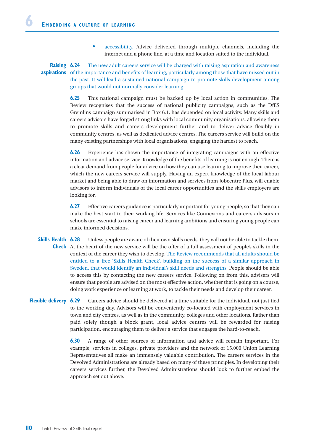• accessibility. Advice delivered through multiple channels, including the internet and a phone line, at a time and location suited to the individual.

**6.24** The new adult careers service will be charged with raising aspiration and awareness aspirations of the importance and benefits of learning, particularly among those that have missed out in the past. It will lead a sustained national campaign to promote skills development among groups that would not normally consider learning. **Raising**

> **6.25** This national campaign must be backed up by local action in communities. The Review recognises that the success of national publicity campaigns, such as the DfES Gremlins campaign summarised in Box 6.1, has depended on local activity. Many skills and careers advisors have forged strong links with local community organisations, allowing them to promote skills and careers development further and to deliver advice flexibly in community centres, as well as dedicated advice centres. The careers service will build on the many existing partnerships with local organisations, engaging the hardest to reach.

> **6.26** Experience has shown the importance of integrating campaigns with an effective information and advice service. Knowledge of the benefits of learning is not enough. There is a clear demand from people for advice on how they can use learning to improve their career, which the new careers service will supply. Having an expert knowledge of the local labour market and being able to draw on information and services from Jobcentre Plus, will enable advisors to inform individuals of the local career opportunities and the skills employers are looking for.

> **6.27** Effective careers guidance is particularly important for young people, so that they can make the best start to their working life. Services like Connexions and careers advisors in schools are essential to raising career and learning ambitions and ensuring young people can make informed decisions.

Unless people are aware of their own skills needs, they will not be able to tackle them. At the heart of the new service will be the offer of a full assessment of people's skills in the **Check** context of the career they wish to develop. The Review recommends that all adults should be entitled to a free 'Skills Health Check', building on the success of a similar approach in Sweden, that would identify an individual's skill needs and strengths. People should be able to access this by contacting the new careers service. Following on from this, advisers will ensure that people are advised on the most effective action, whether that is going on a course, doing work experience or learning at work, to tackle their needs and develop their career. **Skills Health**

**6.29** Careers advice should be delivered at a time suitable for the individual, not just tied to the working day. Advisors will be conveniently co-located with employment services in town and city centres, as well as in the community, colleges and other locations. Rather than paid solely though a block grant, local advice centres will be rewarded for raising participation, encouraging them to deliver a service that engages the hard-to-reach. **Flexible delivery**

> **6.30** A range of other sources of information and advice will remain important. For example, services in colleges, private providers and the network of 15,000 Union Learning Representatives all make an immensely valuable contribution. The careers services in the Devolved Administrations are already based on many of these principles. In developing their careers services further, the Devolved Administrations should look to further embed the approach set out above.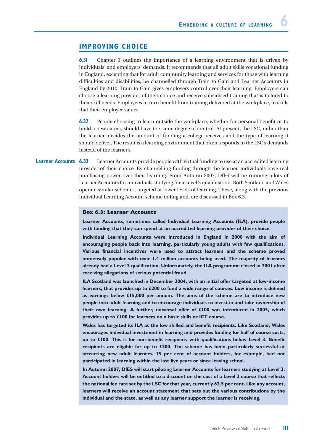### **IMPROVING CHOICE**

**6.31** Chapter 3 outlines the importance of a learning environment that is driven by individuals' and employers' demands. It recommends that all adult skills vocational funding in England, excepting that for adult community learning and services for those with learning difficulties and disabilities, be channelled through Train to Gain and Learner Accounts in England by 2010. Train to Gain gives employers control over their learning. Employers can choose a learning provider of their choice and receive subsidised training that is tailored to their skill needs. Employees in turn benefit from training delivered at the workplace, in skills that their employer values.

**6.32** People choosing to learn outside the workplace, whether for personal benefit or to build a new career, should have the same degree of control. At present, the LSC, rather than the learner, decides the amount of funding a college receives and the type of learning it should deliver. The result is a learning environment that often responds to the LSC's demands instead of the learner's.

**6.33** Learner Accounts provide people with virtual funding to use at an accredited learning provider of their choice. By channelling funding through the learner, individuals have real purchasing power over their learning. From Autumn 2007, DfES will be running pilots of Learner Accounts for individuals studying for a Level 3 qualification. Both Scotland and Wales operate similar schemes, targeted at lower levels of learning. These, along with the previous Individual Learning Account scheme in England, are discussed in Box 6.3. **Learner Accounts**

#### **Box 6.3: Learner Accounts**

**Learner Accounts, sometimes called Individual Learning Accounts (ILA), provide people with funding that they can spend at an accredited learning provider of their choice.** 

**Individual Learning Accounts were introduced in England in 2000 with the aim of encouraging people back into learning, particularly young adults with few qualifications. Various financial incentives were used to attract learners and the scheme proved immensely popular with over 1.4 million accounts being used. The majority of learners already had a Level 2 qualification. Unfortunately, the ILA programme closed in 2001 after receiving allegations of serious potential fraud.** 

**ILA Scotland was launched in December 2004, with an initial offer targeted at low-income learners, that provides up to £200 to fund a wide range of courses. Low income is defined as earnings below £15,000 per annum. The aims of the scheme are to introduce new people into adult learning and to encourage individuals to invest in and take ownership of their own learning. A further, universal offer of £100 was introduced in 2005, which provides up to £100 for learners on a basic skills or ICT course.**

**Wales has targeted its ILA at the low skilled and benefit recipients. Like Scotland, Wales encourages individual investment in learning and provides funding for half of course costs, up to £100. This is for non-benefit recipients with qualifications below Level 3. Benefit recipients are eligible for up to £200. The scheme has been particularly successful at attracting new adult learners. 35 per cent of account holders, for example, had not participated in learning within the last five years or since leaving school.**

**In Autumn 2007, DfES will start piloting Learner Accounts for learners studying at Level 3. Account holders will be entitled to a discount on the cost of a Level 3 course that reflects the national fee rate set by the LSC for that year, currently 62.5 per cent. Like any account, learners will receive an account statement that sets out the various contributions by the individual and the state, as well as any learner support the learner is receiving.**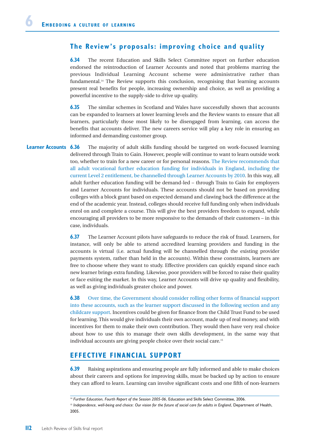### **The Review's proposals: improving choice and quality**

**6.34** The recent Education and Skills Select Committee report on further education endorsed the reintroduction of Learner Accounts and noted that problems marring the previous Individual Learning Account scheme were administrative rather than fundamental.14 The Review supports this conclusion, recognising that learning accounts present real benefits for people, increasing ownership and choice, as well as providing a powerful incentive to the supply-side to drive up quality.

**6.35** The similar schemes in Scotland and Wales have successfully shown that accounts can be expanded to learners at lower learning levels and the Review wants to ensure that all learners, particularly those most likely to be disengaged from learning, can access the benefits that accounts deliver. The new careers service will play a key role in ensuring an informed and demanding customer group.

**6.36** The majority of adult skills funding should be targeted on work-focused learning delivered through Train to Gain. However, people will continue to want to learn outside work too, whether to train for a new career or for personal reasons. The Review recommends that all adult vocational further education funding for individuals in England, including the current Level 2 entitlement, be channelled through Learner Accounts by 2010. In this way, all adult further education funding will be demand-led – through Train to Gain for employers and Learner Accounts for individuals. These accounts should not be based on providing colleges with a block grant based on expected demand and clawing back the difference at the end of the academic year. Instead, colleges should receive full funding only when individuals enrol on and complete a course. This will give the best providers freedom to expand, while encouraging all providers to be more responsive to the demands of their customers – in this case, individuals. **Learner Accounts**

> **6.37** The Learner Account pilots have safeguards to reduce the risk of fraud. Learners, for instance, will only be able to attend accredited learning providers and funding in the accounts is virtual (i.e. actual funding will be channelled through the existing provider payments system, rather than held in the accounts). Within these constraints, learners are free to choose where they want to study. Effective providers can quickly expand since each new learner brings extra funding. Likewise, poor providers will be forced to raise their quality or face exiting the market. In this way, Learner Accounts will drive up quality and flexibility, as well as giving individuals greater choice and power.

> **6.38** Over time, the Government should consider rolling other forms of financial support into these accounts, such as the learner support discussed in the following section and any childcare support. Incentives could be given for finance from the Child Trust Fund to be used for learning. This would give individuals their own account, made up of real money, and with incentives for them to make their own contribution. They would then have very real choice about how to use this to manage their own skills development, in the same way that individual accounts are giving people choice over their social care.15

### **EFFECTIVE FINANCIAL SUPPORT**

**6.39** Raising aspirations and ensuring people are fully informed and able to make choices about their careers and options for improving skills, must be backed up by action to ensure they can afford to learn. Learning can involve significant costs and one fifth of non-learners

<sup>&</sup>lt;sup>14</sup> Further Education, Fourth Report of the Session 2005-06, Education and Skills Select Committee, 2006.

<sup>&</sup>lt;sup>15</sup> Independence, well-being and choice: Our vision for the future of social care for adults in England, Department of Health, 2005.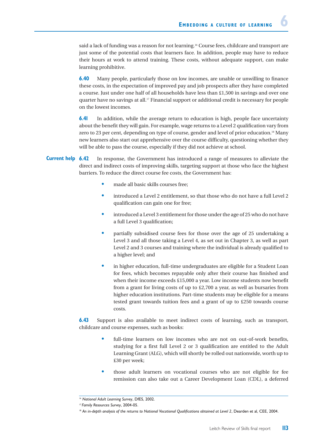said a lack of funding was a reason for not learning.16 Course fees, childcare and transport are just some of the potential costs that learners face. In addition, people may have to reduce their hours at work to attend training. These costs, without adequate support, can make learning prohibitive.

**6.40** Many people, particularly those on low incomes, are unable or unwilling to finance these costs, in the expectation of improved pay and job prospects after they have completed a course. Just under one half of all households have less than £1,500 in savings and over one quarter have no savings at all.<sup>17</sup> Financial support or additional credit is necessary for people on the lowest incomes.

**6.41** In addition, while the average return to education is high, people face uncertainty about the benefit they will gain. For example, wage returns to a Level 2 qualification vary from zero to 23 per cent, depending on type of course, gender and level of prior education.18 Many new learners also start out apprehensive over the course difficulty, questioning whether they will be able to pass the course, especially if they did not achieve at school.

**6.42** In response, the Government has introduced a range of measures to alleviate the direct and indirect costs of improving skills, targeting support at those who face the highest barriers. To reduce the direct course fee costs, the Government has: **Current help**

- made all basic skills courses free:
- introduced a Level 2 entitlement, so that those who do not have a full Level 2 qualification can gain one for free;
- introduced a Level 3 entitlement for those under the age of 25 who do not have a full Level 3 qualification;
- partially subsidised course fees for those over the age of 25 undertaking a Level 3 and all those taking a Level 4, as set out in Chapter 3, as well as part Level 2 and 3 courses and training where the individual is already qualified to a higher level; and
- in higher education, full-time undergraduates are eligible for a Student Loan for fees, which becomes repayable only after their course has finished and when their income exceeds £15,000 a year. Low income students now benefit from a grant for living costs of up to £2,700 a year, as well as bursaries from higher education institutions. Part-time students may be eligible for a means tested grant towards tuition fees and a grant of up to £250 towards course costs.

**6.43** Support is also available to meet indirect costs of learning, such as transport, childcare and course expenses, such as books:

- full-time learners on low incomes who are not on out-of-work benefits, studying for a first full Level 2 or 3 qualification are entitled to the Adult Learning Grant (ALG), which will shortly be rolled out nationwide, worth up to £30 per week;
- those adult learners on vocational courses who are not eligible for fee remission can also take out a Career Development Loan (CDL), a deferred

<sup>16</sup> *National Adult Learning Survey*, DfES, 2002.

<sup>17</sup> *Family Resources Survey*, 2004-05.

<sup>&</sup>lt;sup>18</sup> An in-depth analysis of the returns to National Vocational Qualifications obtained at Level 2, Dearden et al, CEE, 2004.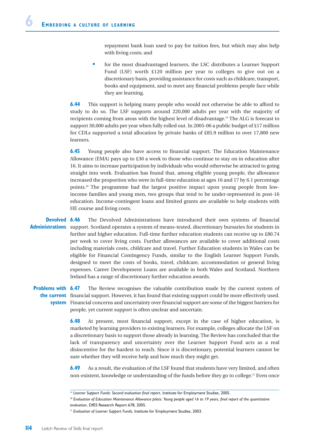repayment bank loan used to pay for tuition fees, but which may also help with living costs; and

• for the most disadvantaged learners, the LSC distributes a Learner Support Fund (LSF) worth £120 million per year to colleges to give out on a discretionary basis, providing assistance for costs such as childcare, transport, books and equipment, and to meet any financial problems people face while they are learning.

**6.44** This support is helping many people who would not otherwise be able to afford to study to do so. The LSF supports around 220,000 adults per year with the majority of recipients coming from areas with the highest level of disadvantage.19 The ALG is forecast to support 30,000 adults per year when fully rolled out. In 2005-06 a public budget of £17 million for CDLs supported a total allocation by private banks of £85.9 million to over 17,800 new learners.

**6.45** Young people also have access to financial support. The Education Maintenance Allowance (EMA) pays up to £30 a week to those who continue to stay on in education after 16. It aims to increase participation by individuals who would otherwise be attracted to going straight into work. Evaluation has found that, among eligible young people, the allowance increased the proportion who were in full-time education at ages 16 and 17 by 6.1 percentage points.20 The programme had the largest positive impact upon young people from lowincome families and young men, two groups that tend to be under-represented in post-16 education. Income-contingent loans and limited grants are available to help students with HE course and living costs.

**6.46** The Devolved Administrations have introduced their own systems of financial Administrations support. Scotland operates a system of means-tested, discretionary bursaries for students in further and higher education. Full-time further education students can receive up to £80.74 per week to cover living costs. Further allowances are available to cover additional costs including materials costs, childcare and travel. Further Education students in Wales can be eligible for Financial Contingency Funds, similar to the English Learner Support Funds, designed to meet the costs of books, travel, childcare, accommodation or general living expenses. Career Development Loans are available in both Wales and Scotland. Northern Ireland has a range of discretionary further education awards. **Devolved**

**6.47** The Review recognises the valuable contribution made by the current system of the current financial support. However, it has found that existing support could be more effectively used. **system** Financial concerns and uncertainty over financial support are some of the biggest barriers for people, yet current support is often unclear and uncertain. **Problems with**

> **6.48** At present, most financial support, except in the case of higher education, is marketed by learning providers to existing learners. For example, colleges allocate the LSF on a discretionary basis to support those already in learning. The Review has concluded that the lack of transparency and uncertainty over the Learner Support Fund acts as a real disincentive for the hardest to reach. Since it is discretionary, potential learners cannot be sure whether they will receive help and how much they might get.

> **6.49** As a result, the evaluation of the LSF found that students have very limited, and often non-existent, knowledge or understanding of the funds before they go to college.<sup>21</sup> Even once

<sup>19</sup> *Learner Support Funds: Second evaluation final report*, Institute for Employment Studies, 2005.

<sup>&</sup>lt;sup>20</sup> Evaluation of Education Maintenance Allowance pilots: Young people aged 16 to 19 years, final report of the quantitative *evaluation*, DfES Research Report 678, 2005.

<sup>&</sup>lt;sup>21</sup> Evaluation of Learner Support Funds, Institute for Employment Studies, 2003.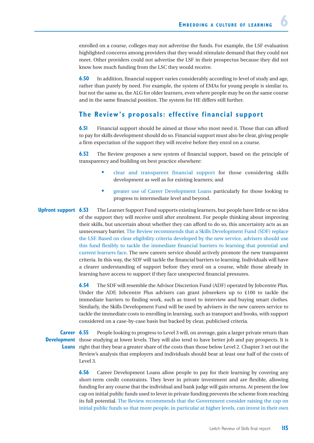enrolled on a course, colleges may not advertise the funds. For example, the LSF evaluation highlighted concerns among providers that they would stimulate demand that they could not meet. Other providers could not advertise the LSF in their prospectus because they did not know how much funding from the LSC they would receive.

**6.50** In addition, financial support varies considerably according to level of study and age, rather than purely by need. For example, the system of EMAs for young people is similar to, but not the same as, the ALG for older learners, even where people may be on the same course and in the same financial position. The system for HE differs still further.

# **The Review's proposals: effective financial support**

**6.51** Financial support should be aimed at those who most need it. Those that can afford to pay for skills development should do so. Financial support must also be clear, giving people a firm expectation of the support they will receive before they enrol on a course.

**6.52** The Review proposes a new system of financial support, based on the principle of transparency and building on best practice elsewhere:

- clear and transparent financial support for those considering skills development as well as for existing learners; and
- greater use of Career Development Loans particularly for those looking to progress to intermediate level and beyond.

**6.53** The Learner Support Fund supports existing learners, but people have little or no idea of the support they will receive until after enrolment. For people thinking about improving their skills, but uncertain about whether they can afford to do so, this uncertainty acts as an unnecessary barrier. The Review recommends that a Skills Development Fund (SDF) replace the LSF. Based on clear eligibility criteria developed by the new service, advisers should use this fund flexibly to tackle the immediate financial barriers to learning that potential and current learners face. The new careers service should actively promote the new transparent criteria. In this way, the SDF will tackle the financial barriers to learning. Individuals will have a clearer understanding of support before they enrol on a course, while those already in learning have access to support if they face unexpected financial pressures. **Upfront support**

> **6.54** The SDF will resemble the Advisor Discretion Fund (ADF) operated by Jobcentre Plus. Under the ADF, Jobcentre Plus advisers can grant jobseekers up to £100 to tackle the immediate barriers to finding work, such as travel to interview and buying smart clothes. Similarly, the Skills Development Fund will be used by advisers in the new careers service to tackle the immediate costs to enrolling in learning, such as transport and books, with support considered on a case-by-case basis but backed by clear, publicised criteria.

**6.55** People looking to progress to Level 3 will, on average, gain a larger private return than **Development** those studying at lower levels. They will also tend to have better job and pay prospects. It is right that they bear a greater share of the costs than those below Level 2. Chapter 3 set out the Review's analysis that employers and individuals should bear at least one half of the costs of Level 3. **Career Loans**

> **6.56** Career Development Loans allow people to pay for their learning by covering any short-term credit constraints. They lever in private investment and are flexible, allowing funding for any course that the individual and bank judge will gain returns. At present the low cap on initial public funds used to lever in private funding prevents the scheme from reaching its full potential. The Review recommends that the Government consider raising the cap on initial public funds so that more people, in particular at higher levels, can invest in their own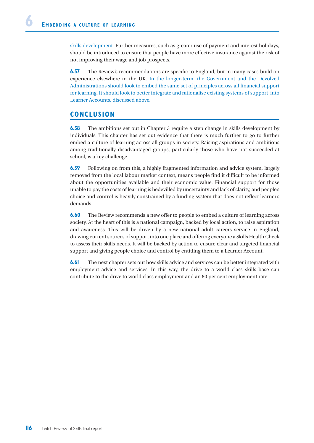skills development. Further measures, such as greater use of payment and interest holidays, should be introduced to ensure that people have more effective insurance against the risk of not improving their wage and job prospects.

**6.57** The Review's recommendations are specific to England, but in many cases build on experience elsewhere in the UK. In the longer-term, the Government and the Devolved Administrations should look to embed the same set of principles across all financial support for learning. It should look to better integrate and rationalise existing systems of support into Learner Accounts, discussed above.

# **CONCLUSION**

**6.58** The ambitions set out in Chapter 3 require a step change in skills development by individuals. This chapter has set out evidence that there is much further to go to further embed a culture of learning across all groups in society. Raising aspirations and ambitions among traditionally disadvantaged groups, particularly those who have not succeeded at school, is a key challenge.

**6.59** Following on from this, a highly fragmented information and advice system, largely removed from the local labour market context, means people find it difficult to be informed about the opportunities available and their economic value. Financial support for those unable to pay the costs of learning is bedevilled by uncertainty and lack of clarity, and people's choice and control is heavily constrained by a funding system that does not reflect learner's demands.

**6.60** The Review recommends a new offer to people to embed a culture of learning across society. At the heart of this is a national campaign, backed by local action, to raise aspiration and awareness. This will be driven by a new national adult careers service in England, drawing current sources of support into one place and offering everyone a Skills Health Check to assess their skills needs. It will be backed by action to ensure clear and targeted financial support and giving people choice and control by entitling them to a Learner Account.

**6.61** The next chapter sets out how skills advice and services can be better integrated with employment advice and services. In this way, the drive to a world class skills base can contribute to the drive to world class employment and an 80 per cent employment rate.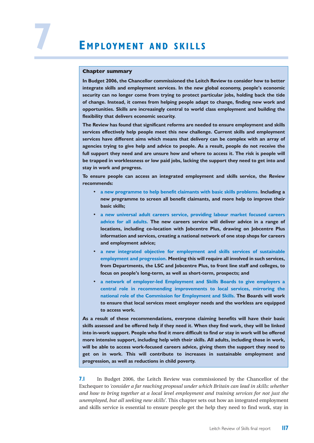#### **Chapter summary**

**In Budget 2006, the Chancellor commissioned the Leitch Review to consider how to better integrate skills and employment services. In the new global economy, people's economic security can no longer come from trying to protect particular jobs, holding back the tide of change. Instead, it comes from helping people adapt to change, finding new work and opportunities. Skills are increasingly central to world class employment and building the flexibility that delivers economic security.**

**The Review has found that significant reforms are needed to ensure employment and skills services effectively help people meet this new challenge. Current skills and employment services have different aims which means that delivery can be complex with an array of agencies trying to give help and advice to people. As a result, people do not receive the full support they need and are unsure how and where to access it. The risk is people will be trapped in worklessness or low paid jobs, lacking the support they need to get into and stay in work and progress.**

**To ensure people can access an integrated employment and skills service, the Review recommends:**

- **• a new programme to help benefit claimants with basic skills problems. Including a new programme to screen all benefit claimants, and more help to improve their basic skills;**
- **• a new universal adult careers service, providing labour market focused careers advice for all adults. The new careers service will deliver advice in a range of locations, including co-location with Jobcentre Plus, drawing on Jobcentre Plus information and services, creating a national network of one stop shops for careers and employment advice;**
- **• a new integrated objective for employment and skills services of sustainable employment and progression. Meeting this will require all involved in such services, from Departments, the LSC and Jobcentre Plus, to front line staff and colleges, to focus on people's long-term, as well as short-term, prospects; and**
- **• a network of employer-led Employment and Skills Boards to give employers a central role in recommending improvements to local services, mirroring the national role of the Commission for Employment and Skills. The Boards will work to ensure that local services meet employer needs and the workless are equipped to access work.**

**As a result of these recommendations, everyone claiming benefits will have their basic skills assessed and be offered help if they need it. When they find work, they will be linked into in-work support. People who find it more difficult to find or stay in work will be offered more intensive support, including help with their skills. All adults, including those in work, will be able to access work-focused careers advice, giving them the support they need to get on in work. This will contribute to increases in sustainable employment and progression, as well as reductions in child poverty.**

**7.1** In Budget 2006, the Leitch Review was commissioned by the Chancellor of the Exchequer to *'consider a far reaching proposal under which Britain can lead in skills: whether and how to bring together at a local level employment and training services for not just the unemployed, but all seeking new skills'*. This chapter sets out how an integrated employment and skills service is essential to ensure people get the help they need to find work, stay in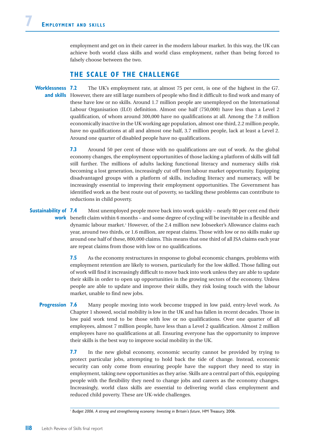employment and get on in their career in the modern labour market. In this way, the UK can achieve both world class skills and world class employment, rather than being forced to falsely choose between the two.

# **THE SCALE OF THE CHALLENGE**

**7.2** The UK's employment rate, at almost 75 per cent, is one of the highest in the G7. and skills However, there are still large numbers of people who find it difficult to find work and many of these have low or no skills. Around 1.7 million people are unemployed on the International Labour Organisation (ILO) definition. Almost one half (750,000) have less than a Level 2 qualification, of whom around 300,000 have no qualifications at all. Among the 7.8 million economically inactive in the UK working age population, almost one third, 2.2 million people, have no qualifications at all and almost one half, 3.7 million people, lack at least a Level 2. Around one quarter of disabled people have no qualifications. **Worklessness**

> **7.3** Around 50 per cent of those with no qualifications are out of work. As the global economy changes, the employment opportunities of those lacking a platform of skills will fall still further. The millions of adults lacking functional literacy and numeracy skills risk becoming a lost generation, increasingly cut off from labour market opportunity. Equipping disadvantaged groups with a platform of skills, including literacy and numeracy, will be increasingly essential to improving their employment opportunities. The Government has identified work as the best route out of poverty, so tackling these problems can contribute to reductions in child poverty.

**7.4** Most unemployed people move back into work quickly – nearly 80 per cent end their benefit claim within 6 months – and some degree of cycling will be inevitable in a flexible and **work** dynamic labour market.<sup>1</sup> However, of the 2.4 million new Jobseeker's Allowance claims each year, around two thirds, or 1.6 million, are repeat claims. Those with low or no skills make up around one half of these, 800,000 claims. This means that one third of all JSA claims each year are repeat claims from those with low or no qualifications. **Sustainability of**

> **7.5** As the economy restructures in response to global economic changes, problems with employment retention are likely to worsen, particularly for the low skilled. Those falling out of work will find it increasingly difficult to move back into work unless they are able to update their skills in order to open up opportunities in the growing sectors of the economy. Unless people are able to update and improve their skills, they risk losing touch with the labour market, unable to find new jobs.

**7.6** Many people moving into work become trapped in low paid, entry-level work. As Chapter 1 showed, social mobility is low in the UK and has fallen in recent decades. Those in low paid work tend to be those with low or no qualifications. Over one quarter of all employees, almost 7 million people, have less than a Level 2 qualification. Almost 2 million employees have no qualifications at all. Ensuring everyone has the opportunity to improve their skills is the best way to improve social mobility in the UK. **Progression**

> **7.7** In the new global economy, economic security cannot be provided by trying to protect particular jobs, attempting to hold back the tide of change. Instead, economic security can only come from ensuring people have the support they need to stay in employment, taking new opportunities as they arise. Skills are a central part of this, equipping people with the flexibility they need to change jobs and careers as the economy changes. Increasingly, world class skills are essential to delivering world class employment and reduced child poverty. These are UK-wide challenges.

<sup>1</sup> *Budget 2006, A strong and strengthening economy: Investing in Britain's future*, HM Treasury, 2006.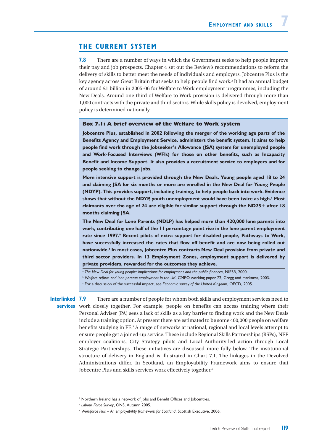### **THE CURRENT SYSTEM**

**7.8** There are a number of ways in which the Government seeks to help people improve their pay and job prospects. Chapter 4 set out the Review's recommendations to reform the delivery of skills to better meet the needs of individuals and employers. Jobcentre Plus is the key agency across Great Britain that seeks to help people find work.2 It had an annual budget of around £1 billion in 2005-06 for Welfare to Work employment programmes, including the New Deals. Around one third of Welfare to Work provision is delivered through more than 1,000 contracts with the private and third sectors. While skills policy is devolved, employment policy is determined nationally.

#### **Box 7.1: A brief overview of the Welfare to Work system**

**Jobcentre Plus, established in 2002 following the merger of the working age parts of the Benefits Agency and Employment Service, administers the benefit system. It aims to help people find work through the Jobseeker's Allowance (JSA) system for unemployed people and Work-Focused Interviews (WFIs) for those on other benefits, such as Incapacity Benefit and Income Support. It also provides a recruitment service to employers and for people seeking to change jobs.**

**More intensive support is provided through the New Deals. Young people aged 18 to 24 and claiming JSA for six months or more are enrolled in the New Deal for Young People (NDYP). This provides support, including training, to help people back into work. Evidence** shows that without the NDYP, youth unemployment would have been twice as high.<sup>a</sup> Most **claimants over the age of 24 are eligible for similar support through the ND25+ after 18 months claiming JSA.** 

**The New Deal for Lone Parents (NDLP) has helped more than 420,000 lone parents into work, contributing one half of the 11 percentage point rise in the lone parent employment** rate since 1997.<sup>8</sup> Recent pilots of extra support for disabled people, Pathways to Work, **have successfully increased the rates that flow off benefit and are now being rolled out** nationwide.<sup>*c*</sup> In most cases, Jobcentre Plus contracts New Deal provision from private and **third sector providers. In 13 Employment Zones, employment support is delivered by private providers, rewarded for the outcomes they achieve.**

<sup>a</sup> *The New Deal for young people: implications for employment and the public finances*, NIESR, 2000.

<sup>b</sup> *Welfare reform and lone parents employment in the UK*, CMPO working paper 72, Gregg and Harkness, 2003.

<sup>c</sup> For a discussion of the successful impact, see *Economic survey of the United Kingdom*, OECD, 2005.

There are a number of people for whom both skills and employment services need to services work closely together. For example, people on benefits can access training where their Personal Adviser (PA) sees a lack of skills as a key barrier to finding work and the New Deals include a training option. At present there are estimated to be some 400,000 people on welfare benefits studying in FE.3 A range of networks at national, regional and local levels attempt to ensure people get a joined-up service. These include Regional Skills Partnerships (RSPs), NEP employer coalitions, City Strategy pilots and Local Authority-led action through Local Strategic Partnerships. These initiatives are discussed more fully below. The institutional structure of delivery in England is illustrated in Chart 7.1. The linkages in the Devolved Administrations differ. In Scotland, an Employability Framework aims to ensure that Jobcentre Plus and skills services work effectively together.4 **Interlinked**

<sup>&</sup>lt;sup>2</sup> Northern Ireland has a network of Jobs and Benefit Offices and Jobcentres.

<sup>3</sup> *Labour Force Survey*, ONS, Autumn 2005.

<sup>4</sup> *Workforce Plus – An employability framework for Scotland*, Scottish Executive, 2006.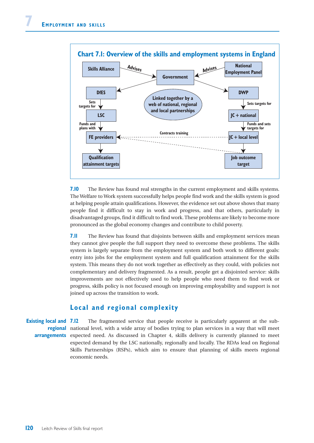

**7.10** The Review has found real strengths in the current employment and skills systems. The Welfare to Work system successfully helps people find work and the skills system is good at helping people attain qualifications. However, the evidence set out above shows that many people find it difficult to stay in work and progress, and that others, particularly in disadvantaged groups, find it difficult to find work. These problems are likely to become more pronounced as the global economy changes and contribute to child poverty.

**7.11** The Review has found that disjoints between skills and employment services mean they cannot give people the full support they need to overcome these problems. The skills system is largely separate from the employment system and both work to different goals: entry into jobs for the employment system and full qualification attainment for the skills system. This means they do not work together as effectively as they could, with policies not complementary and delivery fragmented. As a result, people get a disjointed service: skills improvements are not effectively used to help people who need them to find work or progress, skills policy is not focused enough on improving employability and support is not joined up across the transition to work.

### **Local and regional complexity**

**Existing local and**

**7.12** The fragmented service that people receive is particularly apparent at the subregional national level, with a wide array of bodies trying to plan services in a way that will meet arrangements expected need. As discussed in Chapter 4, skills delivery is currently planned to meet expected demand by the LSC nationally, regionally and locally. The RDAs lead on Regional Skills Partnerships (RSPs), which aim to ensure that planning of skills meets regional economic needs.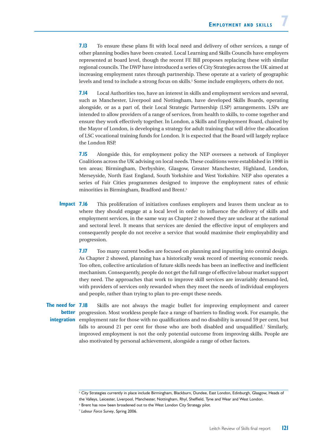**7.13** To ensure these plans fit with local need and delivery of other services, a range of other planning bodies have been created. Local Learning and Skills Councils have employers represented at board level, though the recent FE Bill proposes replacing these with similar regional councils. The DWP have introduced a series of City Strategies across the UK aimed at increasing employment rates through partnership. These operate at a variety of geographic levels and tend to include a strong focus on skills.<sup>5</sup> Some include employers, others do not.

**7.14** Local Authorities too, have an interest in skills and employment services and several, such as Manchester, Liverpool and Nottingham, have developed Skills Boards, operating alongside, or as a part of, their Local Strategic Partnership (LSP) arrangements. LSPs are intended to allow providers of a range of services, from health to skills, to come together and ensure they work effectively together. In London, a Skills and Employment Board, chaired by the Mayor of London, is developing a strategy for adult training that will drive the allocation of LSC vocational training funds for London. It is expected that the Board will largely replace the London RSP.

**7.15** Alongside this, for employment policy the NEP oversees a network of Employer Coalitions across the UK advising on local needs. These coalitions were established in 1998 in ten areas; Birmingham, Derbyshire, Glasgow, Greater Manchester, Highland, London, Merseyside, North East England, South Yorkshire and West Yorkshire. NEP also operates a series of Fair Cities programmes designed to improve the employment rates of ethnic minorities in Birmingham, Bradford and Brent.<sup>6</sup>

This proliferation of initiatives confuses employers and leaves them unclear as to where they should engage at a local level in order to influence the delivery of skills and employment services, in the same way as Chapter 2 showed they are unclear at the national and sectoral level. It means that services are denied the effective input of employers and consequently people do not receive a service that would maximise their employability and progression. **Impact**

**7.17** Too many current bodies are focused on planning and inputting into central design. As Chapter 2 showed, planning has a historically weak record of meeting economic needs. Too often, collective articulation of future skills needs has been an ineffective and inefficient mechanism. Consequently, people do not get the full range of effective labour market support they need. The approaches that work to improve skill services are invariably demand-led, with providers of services only rewarded when they meet the needs of individual employers and people, rather than trying to plan to pre-empt these needs.

**7.18** Skills are not always the magic bullet for improving employment and career **better** progression. Most workless people face a range of barriers to finding work. For example, the employment rate for those with no qualifications and no disability is around 59 per cent, but falls to around 21 per cent for those who are both disabled and unqualified.<sup>7</sup> Similarly, improved employment is not the only potential outcome from improving skills. People are also motivated by personal achievement, alongside a range of other factors. **The need for integration**

<sup>5</sup> City Strategies currently in place include Birmingham, Blackburn, Dundee, East London, Edinburgh, Glasgow, Heads of the Valleys, Leicester, Liverpool, Manchester, Nottingham, Rhyl, Sheffield, Tyne and Wear and West London.

<sup>&</sup>lt;sup>6</sup> Brent has now been broadened out to the West London City Strategy pilot.

<sup>7</sup> *Labour Force Survey*, Spring 2006.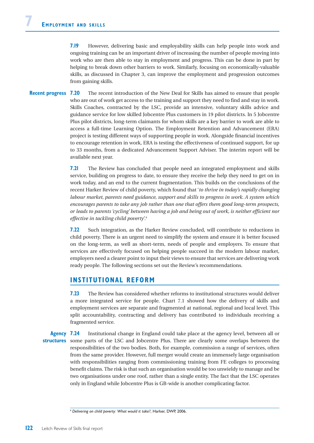**7.19** However, delivering basic and employability skills can help people into work and ongoing training can be an important driver of increasing the number of people moving into work who are then able to stay in employment and progress. This can be done in part by helping to break down other barriers to work. Similarly, focusing on economically-valuable skills, as discussed in Chapter 3, can improve the employment and progression outcomes from gaining skills.

**7.20** The recent introduction of the New Deal for Skills has aimed to ensure that people who are out of work get access to the training and support they need to find and stay in work. Skills Coaches, contracted by the LSC, provide an intensive, voluntary skills advice and guidance service for low skilled Jobcentre Plus customers in 19 pilot districts. In 5 Jobcentre Plus pilot districts, long-term claimants for whom skills are a key barrier to work are able to access a full-time Learning Option. The Employment Retention and Advancement (ERA) project is testing different ways of supporting people in work. Alongside financial incentives to encourage retention in work, ERA is testing the effectiveness of continued support, for up to 33 months, from a dedicated Advancement Support Adviser. The interim report will be available next year. **Recent progress**

> **7.21** The Review has concluded that people need an integrated employment and skills service, building on progress to date, to ensure they receive the help they need to get on in work today, and an end to the current fragmentation. This builds on the conclusions of the recent Harker Review of child poverty, which found that '*to thrive in today's rapidly changing labour market, parents need guidance, support and skills to progress in work. A system which encourages parents to take any job rather than one that offers them good long-term prospects, or leads to parents 'cycling' between having a job and being out of work, is neither efficient nor effective in tackling child poverty*'.8

> **7.22** Such integration, as the Harker Review concluded, will contribute to reductions in child poverty. There is an urgent need to simplify the system and ensure it is better focused on the long-term, as well as short-term, needs of people and employers. To ensure that services are effectively focused on helping people succeed in the modern labour market, employers need a clearer point to input their views to ensure that services are delivering work ready people. The following sections set out the Review's recommendations.

### **INSTITUTIONAL REFORM**

**7.23** The Review has considered whether reforms to institutional structures would deliver a more integrated service for people. Chart 7.1 showed how the delivery of skills and employment services are separate and fragmented at national, regional and local level. This split accountability, contracting and delivery has contributed to individuals receiving a fragmented service.

**7.24** Institutional change in England could take place at the agency level, between all or structures some parts of the LSC and Jobcentre Plus. There are clearly some overlaps between the responsibilities of the two bodies. Both, for example, commission a range of services, often from the same provider. However, full merger would create an immensely large organisation with responsibilities ranging from commissioning training from FE colleges to processing benefit claims. The risk is that such an organisation would be too unwieldy to manage and be two organisations under one roof, rather than a single entity. The fact that the LSC operates only in England while Jobcentre Plus is GB-wide is another complicating factor. **Agency**

<sup>8</sup> *Delivering on child poverty: What would it take?*, Harker, DWP, 2006.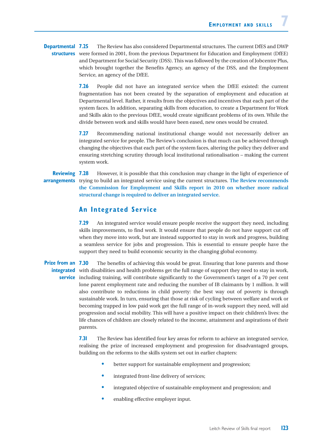**7.25** The Review has also considered Departmental structures. The current DfES and DWP structures were formed in 2001, from the previous Department for Education and Employment (DfEE) and Department for Social Security (DSS). This was followed by the creation of Jobcentre Plus, which brought together the Benefits Agency, an agency of the DSS, and the Employment Service, an agency of the DfEE. **Departmental**

> **7.26** People did not have an integrated service when the DfEE existed: the current fragmentation has not been created by the separation of employment and education at Departmental level. Rather, it results from the objectives and incentives that each part of the system faces. In addition, separating skills from education, to create a Department for Work and Skills akin to the previous DfEE, would create significant problems of its own. While the divide between work and skills would have been eased, new ones would be created.

> **7.27** Recommending national institutional change would not necessarily deliver an integrated service for people. The Review's conclusion is that much can be achieved through changing the objectives that each part of the system faces, altering the policy they deliver and ensuring stretching scrutiny through local institutional rationalisation – making the current system work.

**7.28** However, it is possible that this conclusion may change in the light of experience of arrangements trying to build an integrated service using the current structures. The Review recommends **the Commission for Employment and Skills report in 2010 on whether more radical structural change is required to deliver an integrated service**. **Reviewing**

### **An Integrated Service**

**7.29** An integrated service would ensure people receive the support they need, including skills improvements, to find work. It would ensure that people do not have support cut off when they move into work, but are instead supported to stay in work and progress, building a seamless service for jobs and progression. This is essential to ensure people have the support they need to build economic security in the changing global economy.

**Prize from an**

The benefits of achieving this would be great. Ensuring that lone parents and those integrated with disabilities and health problems get the full range of support they need to stay in work, **service** including training, will contribute significantly to the Government's target of a 70 per cent lone parent employment rate and reducing the number of IB claimants by 1 million. It will also contribute to reductions in child poverty: the best way out of poverty is through sustainable work. In turn, ensuring that those at risk of cycling between welfare and work or becoming trapped in low paid work get the full range of in-work support they need, will aid progression and social mobility. This will have a positive impact on their children's lives: the life chances of children are closely related to the income, attainment and aspirations of their parents.

> **7.31** The Review has identified four key areas for reform to achieve an integrated service, realising the prize of increased employment and progression for disadvantaged groups, building on the reforms to the skills system set out in earlier chapters:

- better support for sustainable employment and progression;
- integrated front-line delivery of services;
- integrated objective of sustainable employment and progression; and
- enabling effective employer input.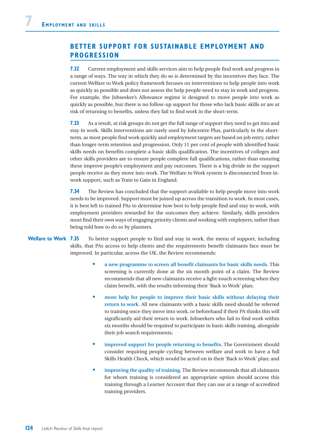# **BETTER SUPPORT FOR SUSTAINABLE EMPLOYMENT AND PROGRESSION**

**7.32** Current employment and skills services aim to help people find work and progress in a range of ways. The way in which they do so is determined by the incentives they face. The current Welfare to Work policy framework focuses on interventions to help people into work as quickly as possible and does not assess the help people need to stay in work and progress. For example, the Jobseeker's Allowance regime is designed to move people into work as quickly as possible, but there is no follow-up support for those who lack basic skills or are at risk of returning to benefits, unless they fail to find work in the short-term.

**7.33** As a result, at risk groups do not get the full range of support they need to get into and stay in work. Skills interventions are rarely used by Jobcentre Plus, particularly in the shortterm, as most people find work quickly and employment targets are based on job entry, rather than longer-term retention and progression. Only 11 per cent of people with identified basic skills needs on benefits complete a basic skills qualification. The incentives of colleges and other skills providers are to ensure people complete full qualifications, rather than ensuring these improve people's employment and pay outcomes. There is a big divide in the support people receive as they move into work. The Welfare to Work system is disconnected from inwork support, such as Train to Gain in England.

**7.34** The Review has concluded that the support available to help people move into work needs to be improved. Support must be joined up across the transition to work. In most cases, it is best left to trained PAs to determine how best to help people find and stay in work, with employment providers rewarded for the outcomes they achieve. Similarly, skills providers must find their own ways of engaging priority clients and working with employers, rather than being told how to do so by planners.

- **7.35** To better support people to find and stay in work, the menu of support, including skills, that PAs access to help clients and the requirements benefit claimants face must be improved. In particular, across the UK, the Review recommends: **Welfare to Work**
	- **a new programme to screen all benefit claimants for basic skills needs.** This screening is currently done at the six month point of a claim. The Review recommends that all new claimants receive a light-touch screening when they claim benefit, with the results informing their 'Back to Work' plan;
	- **more help for people to improve their basic skills without delaying their return to work.** All new claimants with a basic skills need should be referred to training once they move into work, or beforehand if their PA thinks this will significantly aid their return to work. Jobseekers who fail to find work within six months should be required to participate in basic skills training, alongside their job search requirements;
	- **improved support for people returning to benefits.** The Government should consider requiring people cycling between welfare and work to have a full Skills Health Check, which would be acted on in their 'Back to Work' plan; and
	- **improving the quality of training.** The Review recommends that all claimants for whom training is considered an appropriate option should access this training through a Learner Account that they can use at a range of accredited training providers.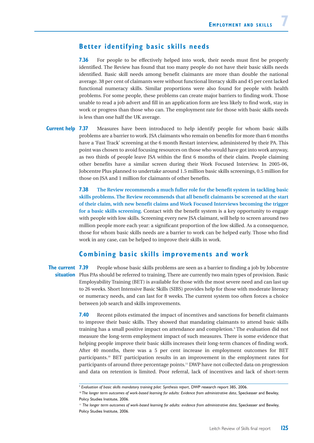### **Better identifying basic skills needs**

**7.36** For people to be effectively helped into work, their needs must first be properly identified. The Review has found that too many people do not have their basic skills needs identified. Basic skill needs among benefit claimants are more than double the national average. 38 per cent of claimants were without functional literacy skills and 45 per cent lacked functional numeracy skills. Similar proportions were also found for people with health problems. For some people, these problems can create major barriers to finding work. Those unable to read a job advert and fill in an application form are less likely to find work, stay in work or progress than those who can. The employment rate for those with basic skills needs is less than one half the UK average.

**7.37** Measures have been introduced to help identify people for whom basic skills problems are a barrier to work. JSA claimants who remain on benefits for more than 6 months have a 'Fast Track' screening at the 6 month Restart interview, administered by their PA. This point was chosen to avoid focusing resources on those who would have got into work anyway, as two thirds of people leave JSA within the first 6 months of their claim. People claiming other benefits have a similar screen during their Work Focused Interview. In 2005-06, Jobcentre Plus planned to undertake around 1.5 million basic skills screenings, 0.5 million for those on JSA and 1 million for claimants of other benefits. **Current help**

> **7.38 The Review recommends a much fuller role for the benefit system in tackling basic skills problems. The Review recommends that all benefit claimants be screened at the start of their claim, with new benefit claims and Work Focused Interviews becoming the trigger for a basic skills screening.** Contact with the benefit system is a key opportunity to engage with people with low skills. Screening every new JSA claimant, will help to screen around two million people more each year: a significant proportion of the low skilled. As a consequence, those for whom basic skills needs are a barrier to work can be helped early. Those who find work in any case, can be helped to improve their skills in work.

### **Combining basic skills improvements and work**

**7.39** People whose basic skills problems are seen as a barrier to finding a job by Jobcentre situation Plus PAs should be referred to training. There are currently two main types of provision. Basic Employability Training (BET) is available for those with the most severe need and can last up to 26 weeks. Short Intensive Basic Skills (SIBS) provides help for those with moderate literacy or numeracy needs, and can last for 8 weeks. The current system too often forces a choice between job search and skills improvements. **The current**

> **7.40** Recent pilots estimated the impact of incentives and sanctions for benefit claimants to improve their basic skills. They showed that mandating claimants to attend basic skills training has a small positive impact on attendance and completion.9 The evaluation did not measure the long-term employment impact of such measures. There is some evidence that helping people improve their basic skills increases their long-term chances of finding work. After 40 months, there was a 5 per cent increase in employment outcomes for BET participants.10 BET participation results in an improvement in the employment rates for participants of around three percentage points.11 DWP have not collected data on progression and data on retention is limited. Poor referral, lack of incentives and lack of short-term

<sup>9</sup> *Evaluation of basic skills mandatory training pilot: Synthesis report*, DWP research report 385, 2006.

<sup>10</sup> *The longer term outcomes of work-based learning for adults: Evidence from administrative data*, Speckesser and Bewley, Policy Studies Institute, 2006.

<sup>&</sup>lt;sup>11</sup> The longer term outcomes of work-based learning for adults: evidence from administrative data, Speckesser and Bewley, Policy Studies Institute, 2006.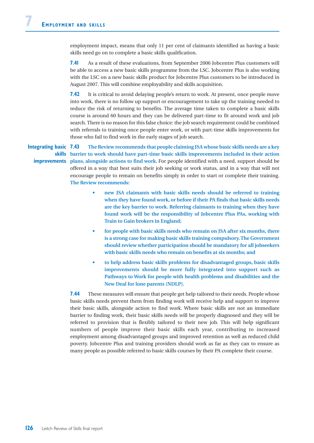employment impact, means that only 11 per cent of claimants identified as having a basic skills need go on to complete a basic skills qualification.

**7.41** As a result of these evaluations, from September 2006 Jobcentre Plus customers will be able to access a new basic skills programme from the LSC. Jobcentre Plus is also working with the LSC on a new basic skills product for Jobcentre Plus customers to be introduced in August 2007. This will combine employability and skills acquisition.

**7.42** It is critical to avoid delaying people's return to work. At present, once people move into work, there is no follow up support or encouragement to take up the training needed to reduce the risk of returning to benefits. The average time taken to complete a basic skills course is around 60 hours and they can be delivered part-time to fit around work and job search. There is no reason for this false choice: the job search requirement could be combined with referrals to training once people enter work, or with part-time skills improvements for those who fail to find work in the early stages of job search.

**7.43 The Review recommends that people claiming JSA whose basic skills needs are a key barrier to work should have part-time basic skills improvements included in their action skills plans, alongside actions to find work.** For people identified with a need, support should be offered in a way that best suits their job seeking or work status, and in a way that will not encourage people to remain on benefits simply in order to start or complete their training. **The Review recommends: Integrating basic improvements**

- **new JSA claimants with basic skills needs should be referred to training when they have found work, or before if their PA finds that basic skills needs are the key barrier to work. Referring claimants to training when they have found work will be the responsibility of Jobcentre Plus PAs, working with Train to Gain brokers in England;**
- **for people with basic skills needs who remain on JSA after six months, there is a strong case for making basic skills training compulsory. The Government should review whether participation should be mandatory for all jobseekers with basic skills needs who remain on benefits at six months; and**
- **to help address basic skills problems for disadvantaged groups, basic skills improvements should be more fully integrated into support such as Pathways to Work for people with health problems and disabilities and the New Deal for lone parents (NDLP).**

**7.44** These measures will ensure that people get help tailored to their needs. People whose basic skills needs prevent them from finding work will receive help and support to improve their basic skills, alongside action to find work. Where basic skills are not an immediate barrier to finding work, their basic skills needs will be properly diagnosed and they will be referred to provision that is flexibly tailored to their new job. This will help significant numbers of people improve their basic skills each year, contributing to increased employment among disadvantaged groups and improved retention as well as reduced child poverty. Jobcentre Plus and training providers should work as far as they can to ensure as many people as possible referred to basic skills courses by their PA complete their course.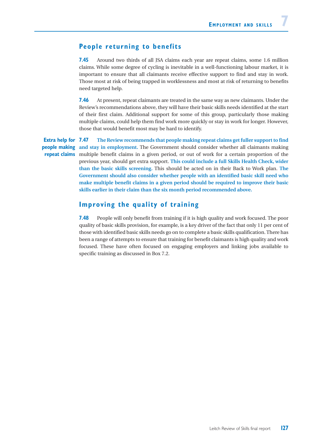# **People returning to benefits**

**7.45** Around two thirds of all JSA claims each year are repeat claims, some 1.6 million claims. While some degree of cycling is inevitable in a well-functioning labour market, it is important to ensure that all claimants receive effective support to find and stay in work. Those most at risk of being trapped in worklessness and most at risk of returning to benefits need targeted help.

**7.46** At present, repeat claimants are treated in the same way as new claimants. Under the Review's recommendations above, they will have their basic skills needs identified at the start of their first claim. Additional support for some of this group, particularly those making multiple claims, could help them find work more quickly or stay in work for longer. However, those that would benefit most may be hard to identify.

**7.47 The Review recommends that people making repeat claims get fuller support to find and stay in employment.** The Government should consider whether all claimants making multiple benefit claims in a given period, or out of work for a certain proportion of the previous year, should get extra support. **This could include a full Skills Health Check, wider than the basic skills screening.** This should be acted on in their Back to Work plan. **The Government should also consider whether people with an identified basic skill need who make multiple benefit claims in a given period should be required to improve their basic skills earlier in their claim than the six month period recommended above. Extra help for people making repeat claims**

### **Improving the quality of training**

**7.48** People will only benefit from training if it is high quality and work focused. The poor quality of basic skills provision, for example, is a key driver of the fact that only 11 per cent of those with identified basic skills needs go on to complete a basic skills qualification. There has been a range of attempts to ensure that training for benefit claimants is high quality and work focused. These have often focused on engaging employers and linking jobs available to specific training as discussed in Box 7.2.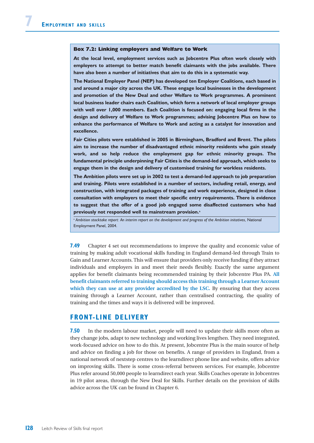#### **Box 7.2: Linking employers and Welfare to Work**

**At the local level, employment services such as Jobcentre Plus often work closely with employers to attempt to better match benefit claimants with the jobs available. There have also been a number of initiatives that aim to do this in a systematic way.**

**The National Employer Panel (NEP) has developed ten Employer Coalitions, each based in and around a major city across the UK. These engage local businesses in the development and promotion of the New Deal and other Welfare to Work programmes. A prominent local business leader chairs each Coalition, which form a network of local employer groups with well over 1,000 members. Each Coalition is focused on: engaging local firms in the design and delivery of Welfare to Work programmes; advising Jobcentre Plus on how to enhance the performance of Welfare to Work and acting as a catalyst for innovation and excellence.** 

**Fair Cities pilots were established in 2005 in Birmingham, Bradford and Brent. The pilots aim to increase the number of disadvantaged ethnic minority residents who gain steady work, and so help reduce the employment gap for ethnic minority groups. The fundamental principle underpinning Fair Cities is the demand-led approach, which seeks to engage them in the design and delivery of customised training for workless residents.** 

**The Ambition pilots were set up in 2002 to test a demand-led approach to job preparation and training. Pilots were established in a number of sectors, including retail, energy, and construction, with integrated packages of training and work experience, designed in close consultation with employers to meet their specific entry requirements. There is evidence to suggest that the offer of a good job engaged some disaffected customers who had** previously not responded well to mainstream provision.<sup>a</sup>

<sup>a</sup> *Ambition stocktake report: An interim report on the development and progress of the Ambition initatives*, National Employment Panel, 2004.

**7.49** Chapter 4 set out recommendations to improve the quality and economic value of training by making adult vocational skills funding in England demand-led through Train to Gain and Learner Accounts. This will ensure that providers only receive funding if they attract individuals and employers in and meet their needs flexibly. Exactly the same argument applies for benefit claimants being recommended training by their Jobcentre Plus PA. **All benefit claimants referred to training should access this training through a Learner Account which they can use at any provider accredited by the LSC.** By ensuring that they access training through a Learner Account, rather than centralised contracting, the quality of training and the times and ways it is delivered will be improved.

#### **FRONT-LINE DELIVERY**

**7.50** In the modern labour market, people will need to update their skills more often as they change jobs, adapt to new technology and working lives lengthen. They need integrated, work-focused advice on how to do this. At present, Jobcentre Plus is the main source of help and advice on finding a job for those on benefits. A range of providers in England, from a national network of nextstep centres to the learndirect phone line and website, offers advice on improving skills. There is some cross-referral between services. For example, Jobcentre Plus refer around 50,000 people to learndirect each year. Skills Coaches operate in Jobcentres in 19 pilot areas, through the New Deal for Skills. Further details on the provision of skills advice across the UK can be found in Chapter 6.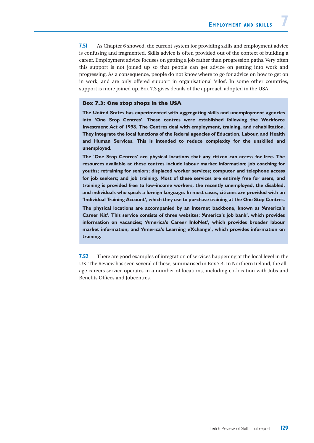**7.51** As Chapter 6 showed, the current system for providing skills and employment advice is confusing and fragmented. Skills advice is often provided out of the context of building a career. Employment advice focuses on getting a job rather than progression paths. Very often this support is not joined up so that people can get advice on getting into work and progressing. As a consequence, people do not know where to go for advice on how to get on in work, and are only offered support in organisational 'silos'. In some other countries, support is more joined up. Box 7.3 gives details of the approach adopted in the USA.

#### **Box 7.3: One stop shops in the USA**

**The United States has experimented with aggregating skills and unemployment agencies into 'One Stop Centres'. These centres were established following the Workforce Investment Act of 1998. The Centres deal with employment, training, and rehabilitation. They integrate the local functions of the federal agencies of Education, Labour, and Health and Human Services. This is intended to reduce complexity for the unskilled and unemployed.**

**The 'One Stop Centres' are physical locations that any citizen can access for free. The resources available at these centres include labour market information; job coaching for youths; retraining for seniors; displaced worker services; computer and telephone access for job seekers; and job training. Most of these services are entirely free for users, and training is provided free to low-income workers, the recently unemployed, the disabled, and individuals who speak a foreign language. In most cases, citizens are provided with an 'Individual Training Account', which they use to purchase training at the One Stop Centres.** 

**The physical locations are accompanied by an internet backbone, known as 'America's Career Kit'. This service consists of three websites: 'America's job bank', which provides information on vacancies; 'America's Career InfoNet', which provides broader labour market information; and 'America's Learning eXchange', which provides information on training.**

**7.52** There are good examples of integration of services happening at the local level in the UK. The Review has seen several of these, summarised in Box 7.4. In Northern Ireland, the allage careers service operates in a number of locations, including co-location with Jobs and Benefits Offices and Jobcentres.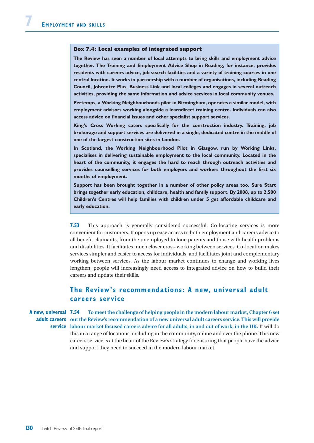#### **Box 7.4: Local examples of integrated support**

**The Review has seen a number of local attempts to bring skills and employment advice together. The Training and Employment Advice Shop in Reading, for instance, provides residents with careers advice, job search facilities and a variety of training courses in one central location. It works in partnership with a number of organisations, including Reading Council, Jobcentre Plus, Business Link and local colleges and engages in several outreach activities, providing the same information and advice services in local community venues.**

**Pertemps, a Working Neighbourhoods pilot in Birmingham, operates a similar model, with employment advisors working alongside a learndirect training centre. Individuals can also access advice on financial issues and other specialist support services.**

**King's Cross Working caters specifically for the construction industry. Training, job brokerage and support services are delivered in a single, dedicated centre in the middle of one of the largest construction sites in London.** 

**In Scotland, the Working Neighbourhood Pilot in Glasgow, run by Working Links, specialises in delivering sustainable employment to the local community. Located in the heart of the community, it engages the hard to reach through outreach activities and provides counselling services for both employers and workers throughout the first six months of employment.**

**Support has been brought together in a number of other policy areas too. Sure Start brings together early education, childcare, health and family support. By 2008, up to 2,500 Children's Centres will help families with children under 5 get affordable childcare and early education.**

**7.53** This approach is generally considered successful. Co-locating services is more convenient for customers. It opens up easy access to both employment and careers advice to all benefit claimants, from the unemployed to lone parents and those with health problems and disabilities. It facilitates much closer cross-working between services. Co-location makes services simpler and easier to access for individuals, and facilitates joint and complementary working between services. As the labour market continues to change and working lives lengthen, people will increasingly need access to integrated advice on how to build their careers and update their skills.

#### **The Review 's recommendations: A new, universal adult careers service**

**7.54 To meet the challenge of helping people in the modern labour market, Chapter 6 set** adult careers out the Review's recommendation of a new universal adult careers service. This will provide **labour market focused careers advice for all adults, in and out of work, in the UK.** It will do **service** this in a range of locations, including in the community, online and over the phone. This new careers service is at the heart of the Review's strategy for ensuring that people have the advice and support they need to succeed in the modern labour market. **A new, universal**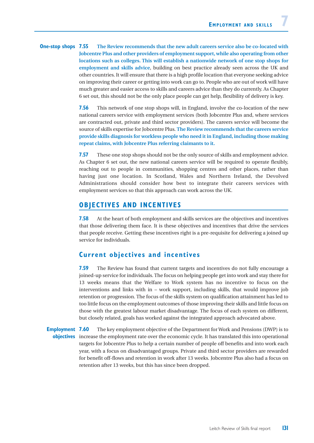**7.55 The Review recommends that the new adult careers service also be co-located with Jobcentre Plus and other providers of employment support, while also operating from other locations such as colleges. This will establish a nationwide network of one stop shops for employment and skills advice**, building on best practice already seen across the UK and other countries. It will ensure that there is a high profile location that everyone seeking advice on improving their career or getting into work can go to. People who are out of work will have much greater and easier access to skills and careers advice than they do currently. As Chapter 6 set out, this should not be the only place people can get help, flexibility of delivery is key. **One-stop shops**

> **7.56** This network of one stop shops will, in England, involve the co-location of the new national careers service with employment services (both Jobcentre Plus and, where services are contracted out, private and third sector providers). The careers service will become the source of skills expertise for Jobcentre Plus. **The Review recommends that the careers service provide skills diagnosis for workless people who need it in England, including those making repeat claims, with Jobcentre Plus referring claimants to it.**

> **7.57** These one stop shops should not be the only source of skills and employment advice. As Chapter 6 set out, the new national careers service will be required to operate flexibly, reaching out to people in communities, shopping centres and other places, rather than having just one location. In Scotland, Wales and Northern Ireland, the Devolved Administrations should consider how best to integrate their careers services with employment services so that this approach can work across the UK.

# **OBJECTIVES AND INCENTIVES**

**7.58** At the heart of both employment and skills services are the objectives and incentives that those delivering them face. It is these objectives and incentives that drive the services that people receive. Getting these incentives right is a pre-requisite for delivering a joined up service for individuals.

# **Current objectives and incentives**

**7.59** The Review has found that current targets and incentives do not fully encourage a joined-up service for individuals. The focus on helping people get into work and stay there for 13 weeks means that the Welfare to Work system has no incentive to focus on the interventions and links with in – work support, including skills, that would improve job retention or progression. The focus of the skills system on qualification attainment has led to too little focus on the employment outcomes of those improving their skills and little focus on those with the greatest labour market disadvantage. The focus of each system on different, but closely related, goals has worked against the integrated approach advocated above.

**7.60** The key employment objective of the Department for Work and Pensions (DWP) is to increase the employment rate over the economic cycle. It has translated this into operational targets for Jobcentre Plus to help a certain number of people off benefits and into work each year, with a focus on disadvantaged groups. Private and third sector providers are rewarded for benefit off-flows and retention in work after 13 weeks. Jobcentre Plus also had a focus on retention after 13 weeks, but this has since been dropped. **Employment objectives**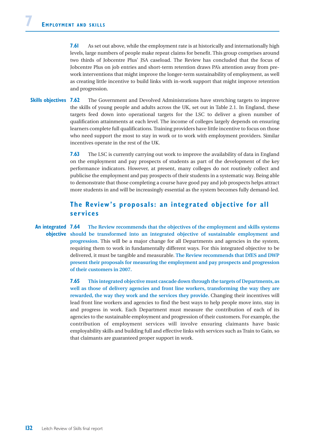**7.61** As set out above, while the employment rate is at historically and internationally high levels, large numbers of people make repeat claims for benefit. This group comprises around two thirds of Jobcentre Plus' JSA caseload. The Review has concluded that the focus of Jobcentre Plus on job entries and short-term retention draws PA's attention away from prework interventions that might improve the longer-term sustainability of employment, as well as creating little incentive to build links with in-work support that might improve retention and progression.

**7.62** The Government and Devolved Administrations have stretching targets to improve the skills of young people and adults across the UK, set out in Table 2.1. In England, these targets feed down into operational targets for the LSC to deliver a given number of qualification attainments at each level. The income of colleges largely depends on ensuring learners complete full qualifications. Training providers have little incentive to focus on those who need support the most to stay in work or to work with employment providers. Similar incentives operate in the rest of the UK. **Skills objectives** 7.62

> **7.63** The LSC is currently carrying out work to improve the availability of data in England on the employment and pay prospects of students as part of the development of the key performance indicators. However, at present, many colleges do not routinely collect and publicise the employment and pay prospects of their students in a systematic way. Being able to demonstrate that those completing a course have good pay and job prospects helps attract more students in and will be increasingly essential as the system becomes fully demand-led.

# **The Review's proposals: an integrated objective for all services**

**7.64 The Review recommends that the objectives of the employment and skills systems objective** should be transformed into an integrated objective of sustainable employment and **progression.** This will be a major change for all Departments and agencies in the system, requiring them to work in fundamentally different ways. For this integrated objective to be delivered, it must be tangible and measurable. **The Review recommends that DfES and DWP present their proposals for measuring the employment and pay prospects and progression of their customers in 2007. An integrated**

> **7.65 This integrated objective must cascade down through the targets of Departments, as well as those of delivery agencies and front line workers, transforming the way they are rewarded, the way they work and the services they provide.** Changing their incentives will lead front line workers and agencies to find the best ways to help people move into, stay in and progress in work. Each Department must measure the contribution of each of its agencies to the sustainable employment and progression of their customers. For example, the contribution of employment services will involve ensuring claimants have basic employability skills and building full and effective links with services such as Train to Gain, so that claimants are guaranteed proper support in work.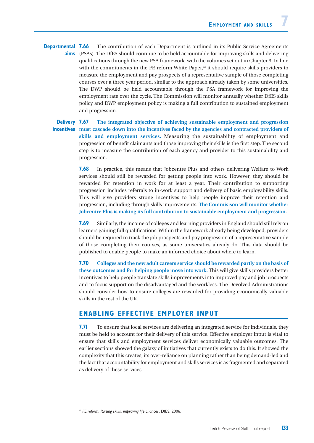**7.66** The contribution of each Department is outlined in its Public Service Agreements (PSAs). The DfES should continue to be held accountable for improving skills and delivering qualifications through the new PSA framework, with the volumes set out in Chapter 3. In line with the commitments in the FE reform White Paper, $12$  it should require skills providers to measure the employment and pay prospects of a representative sample of those completing courses over a three year period, similar to the approach already taken by some universities. The DWP should be held accountable through the PSA framework for improving the employment rate over the cycle. The Commission will monitor annually whether DfES skills policy and DWP employment policy is making a full contribution to sustained employment and progression. **Departmental aims**

**7.67 The integrated objective of achieving sustainable employment and progression incentives** must cascade down into the incentives faced by the agencies and contracted providers of **skills and employment services.** Measuring the sustainability of employment and progression of benefit claimants and those improving their skills is the first step. The second step is to measure the contribution of each agency and provider to this sustainability and progression. **Delivery**

> **7.68** In practice, this means that Jobcentre Plus and others delivering Welfare to Work services should still be rewarded for getting people into work. However, they should be rewarded for retention in work for at least a year. Their contribution to supporting progression includes referrals to in-work support and delivery of basic employability skills. This will give providers strong incentives to help people improve their retention and progression, including through skills improvements. **The Commisison will monitor whether Jobcentre Plus is making its full contribution to sustainable employment and progression.**

> **7.69** Similarly, the income of colleges and learning providers in England should still rely on learners gaining full qualifications. Within the framework already being developed, providers should be required to track the job prospects and pay progression of a representative sample of those completing their courses, as some universities already do. This data should be published to enable people to make an informed choice about where to learn.

> **7.70 Colleges and the new adult careers service should be rewarded partly on the basis of these outcomes and for helping people move into work.** This will give skills providers better incentives to help people translate skills improvements into improved pay and job prospects and to focus support on the disadvantaged and the workless. The Devolved Administrations should consider how to ensure colleges are rewarded for providing economically valuable skills in the rest of the UK.

# **ENABLING EFFECTIVE EMPLOYER INPUT**

**7.71** To ensure that local services are delivering an integrated service for individuals, they must be held to account for their delivery of this service. Effective employer input is vital to ensure that skills and employment services deliver economically valuable outcomes. The earlier sections showed the galaxy of initiatives that currently exists to do this. It showed the complexity that this creates, its over-reliance on planning rather than being demand-led and the fact that accountability for employment and skills services is as fragmented and separated as delivery of these services.

<sup>&</sup>lt;sup>12</sup> FE reform: Raising skills, improving life chances, DfES, 2006.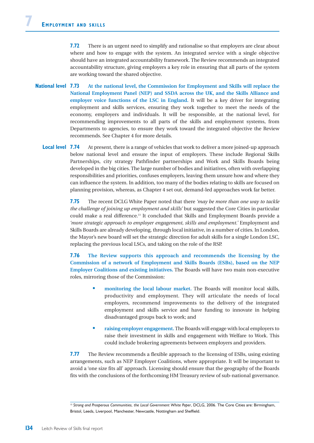**7.72** There is an urgent need to simplify and rationalise so that employers are clear about where and how to engage with the system. An integrated service with a single objective should have an integrated accountability framework. The Review recommends an integrated accountability structure, giving employers a key role in ensuring that all parts of the system are working toward the shared objective.

**7.73 At the national level, the Commission for Employment and Skills will replace the National Employment Panel (NEP) and SSDA across the UK, and the Skills Alliance and employer voice functions of the LSC in England.** It will be a key driver for integrating employment and skills services, ensuring they work together to meet the needs of the economy, employers and individuals. It will be responsible, at the national level, for recommending improvements to all parts of the skills and employment systems, from Departments to agencies, to ensure they work toward the integrated objective the Review recommends. See Chapter 4 for more details. **National level**

**7.74** At present, there is a range of vehicles that work to deliver a more joined-up approach below national level and ensure the input of employers. These include Regional Skills Partnerships, city strategy Pathfinder partnerships and Work and Skills Boards being developed in the big cities. The large number of bodies and initiatives, often with overlapping responsibilities and priorities, confuses employers, leaving them unsure how and where they can influence the system. In addition, too many of the bodies relating to skills are focused on planning provision, whereas, as Chapter 4 set out, demand-led approaches work far better. **Local level**

> **7.75** The recent DCLG White Paper noted that there *'may be more than one way to tackle the challenge of joining up employment and skills'* but suggested the Core Cities in particular could make a real difference.13 It concluded that Skills and Employment Boards provide a *'more strategic approach to employer engagement, skills and employment.'* Employment and Skills Boards are already developing, through local initiative, in a number of cities. In London, the Mayor's new board will set the strategic direction for adult skills for a single London LSC, replacing the previous local LSCs, and taking on the role of the RSP.

> **7.76 The Review supports this approach and recommends the licensing by the Commission of a network of Employment and Skills Boards (ESBs), based on the NEP Employer Coalitions and existing initiatives.** The Boards will have two main non-executive roles, mirroring those of the Commission:

- **monitoring the local labour market.** The Boards will monitor local skills, productivity and employment. They will articulate the needs of local employers, recommend improvements to the delivery of the integrated employment and skills service and have funding to innovate in helping disadvantaged groups back to work; and
- **raising employer engagement.**The Boards will engage with local employers to raise their investment in skills and engagement with Welfare to Work. This could include brokering agreements between employers and providers.

**7.77** The Review recommends a flexible approach to the licensing of ESBs, using existing arrangements, such as NEP Employer Coalitions, where appropriate. It will be important to avoid a 'one size fits all' approach. Licensing should ensure that the geography of the Boards fits with the conclusions of the forthcoming HM Treasury review of sub-national governance.

<sup>&</sup>lt;sup>13</sup> Strong and Prosperous Communities, the Local Government White Paper, DCLG, 2006. The Core Cities are: Birmingham, Bristol, Leeds, Liverpool, Manchester, Newcastle, Nottingham and Sheffield.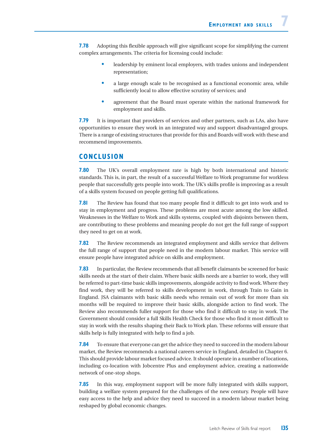**7.78** Adopting this flexible approach will give significant scope for simplifying the current complex arrangements. The criteria for licensing could include:

- leadership by eminent local employers, with trades unions and independent representation;
- a large enough scale to be recognised as a functional economic area, while sufficiently local to allow effective scrutiny of services; and
- agreement that the Board must operate within the national framework for employment and skills.

**7.79** It is important that providers of services and other partners, such as LAs, also have opportunities to ensure they work in an integrated way and support disadvantaged groups. There is a range of existing structures that provide for this and Boards will work with these and recommend improvements.

### **CONCLUSION**

**7.80** The UK's overall employment rate is high by both international and historic standards. This is, in part, the result of a successful Welfare to Work programme for workless people that successfully gets people into work. The UK's skills profile is improving as a result of a skills system focused on people getting full qualifications.

**7.81** The Review has found that too many people find it difficult to get into work and to stay in employment and progress. These problems are most acute among the low skilled. Weaknesses in the Welfare to Work and skills systems, coupled with disjoints between them, are contributing to these problems and meaning people do not get the full range of support they need to get on at work.

**7.82** The Review recommends an integrated employment and skills service that delivers the full range of support that people need in the modern labour market. This service will ensure people have integrated advice on skills and employment.

**7.83** In particular, the Review recommends that all benefit claimants be screened for basic skills needs at the start of their claim. Where basic skills needs are a barrier to work, they will be referred to part-time basic skills improvements, alongside activity to find work. Where they find work, they will be referred to skills development in work, through Train to Gain in England. JSA claimants with basic skills needs who remain out of work for more than six months will be required to improve their basic skills, alongside action to find work. The Review also recommends fuller support for those who find it difficult to stay in work. The Government should consider a full Skills Health Check for those who find it most difficult to stay in work with the results shaping their Back to Work plan. These reforms will ensure that skills help is fully integrated with help to find a job.

**7.84** To ensure that everyone can get the advice they need to succeed in the modern labour market, the Review recommends a national careers service in England, detailed in Chapter 6. This should provide labour market focused advice. It should operate in a number of locations, including co-location with Jobcentre Plus and employment advice, creating a nationwide network of one-stop shops.

**7.85** In this way, employment support will be more fully integrated with skills support, building a welfare system prepared for the challenges of the new century. People will have easy access to the help and advice they need to succeed in a modern labour market being reshaped by global economic changes.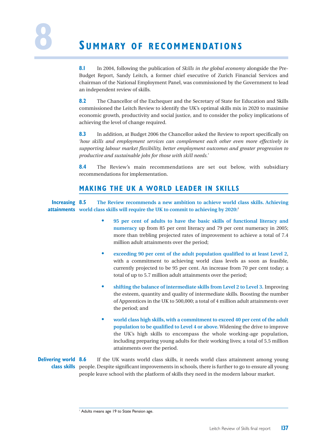# **8 SUMMARY OF RECOMMENDATIONS**

**8.1** In 2004, following the publication of *Skills in the global economy* alongside the Pre-Budget Report, Sandy Leitch, a former chief executive of Zurich Financial Services and chairman of the National Employment Panel, was commissioned by the Government to lead an independent review of skills.

**8.2** The Chancellor of the Exchequer and the Secretary of State for Education and Skills commissioned the Leitch Review to identify the UK's optimal skills mix in 2020 to maximise economic growth, productivity and social justice, and to consider the policy implications of achieving the level of change required.

**8.3** In addition, at Budget 2006 the Chancellor asked the Review to report specifically on *'how skills and employment services can complement each other even more effectively in supporting labour market flexibility, better employment outcomes and greater progression to productive and sustainable jobs for those with skill needs.'*

8.4 The Review's main recommendations are set out below, with subsidiary recommendations for implementation.

# **MAKING THE UK A WORLD LEADER IN SKILLS**

**8.5 The Review recommends a new ambition to achieve world class skills. Achieving** attainments world class skills will require the UK to commit to achieving by 2020:<sup>1</sup> **Increasing**

- **95 per cent of adults to have the basic skills of functional literacy and numeracy** up from 85 per cent literacy and 79 per cent numeracy in 2005; more than trebling projected rates of improvement to achieve a total of 7.4 million adult attainments over the period;
- **exceeding 90 per cent of the adult population qualified to at least Level 2**, with a commitment to achieving world class levels as soon as feasible, currently projected to be 95 per cent. An increase from 70 per cent today; a total of up to 5.7 million adult attainments over the period;
- **shifting the balance of intermediate skills from Level 2 to Level 3.** Improving the esteem, quantity and quality of intermediate skills. Boosting the number of Apprentices in the UK to 500,000; a total of 4 million adult attainments over the period; and
- **world class high skills, with a commitment to exceed 40 per cent of the adult population to be qualified to Level 4 or above.** Widening the drive to improve the UK's high skills to encompass the whole working-age population, including preparing young adults for their working lives; a total of 5.5 million attainments over the period.

**8.6** If the UK wants world class skills, it needs world class attainment among young class skills people. Despite significant improvements in schools, there is further to go to ensure all young people leave school with the platform of skills they need in the modern labour market. **Delivering world**

<sup>&</sup>lt;sup>1</sup> Adults means age 19 to State Pension age.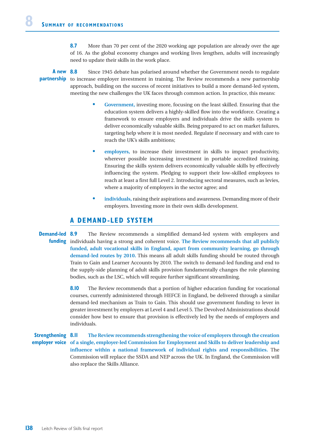**8.7** More than 70 per cent of the 2020 working age population are already over the age of 16. As the global economy changes and working lives lengthen, adults will increasingly need to update their skills in the work place.

**8.8** Since 1945 debate has polarised around whether the Government needs to regulate partnership to increase employer investment in training. The Review recommends a new partnership approach, building on the success of recent initiatives to build a more demand-led system, meeting the new challenges the UK faces through common action. In practice, this means: **A new**

- **Government,** investing more, focusing on the least skilled. Ensuring that the education system delivers a highly-skilled flow into the workforce. Creating a framework to ensure employers and individuals drive the skills system to deliver economically valuable skills. Being prepared to act on market failures, targeting help where it is most needed. Regulate if necessary and with care to reach the UK's skills ambitions;
- **employers,** to increase their investment in skills to impact productivity, wherever possible increasing investment in portable accredited training. Ensuring the skills system delivers economically valuable skills by effectively influencing the system. Pledging to support their low-skilled employees to reach at least a first full Level 2. Introducing sectoral measures, such as levies, where a majority of employers in the sector agree; and
- **individuals,**raising their aspirations and awareness. Demanding more of their employers. Investing more in their own skills development.

# **A DEMAND-LED SYSTEM**

**8.9** The Review recommends a simplified demand-led system with employers and funding individuals having a strong and coherent voice. The Review recommends that all publicly **funded, adult vocational skills in England, apart from community learning, go through demand-led routes by 2010.** This means all adult skills funding should be routed through Train to Gain and Learner Accounts by 2010. The switch to demand-led funding and end to the supply-side planning of adult skills provision fundamentally changes the role planning bodies, such as the LSC, which will require further significant streamlining. **Demand-led**

> **8.10** The Review recommends that a portion of higher education funding for vocational courses, currently administered through HEFCE in England, be delivered through a similar demand-led mechanism as Train to Gain. This should use government funding to lever in greater investment by employers at Level 4 and Level 5. The Devolved Administrations should consider how best to ensure that provision is effectively led by the needs of employers and individuals.

**8.11 The Review recommends strengthening the voice of employers through the creation of a single, employer-led Commission for Employment and Skills to deliver leadership and influence within a national framework of individual rights and responsibilities.** The Commission will replace the SSDA and NEP across the UK. In England, the Commission will also replace the Skills Alliance. **Strengthening employer voice**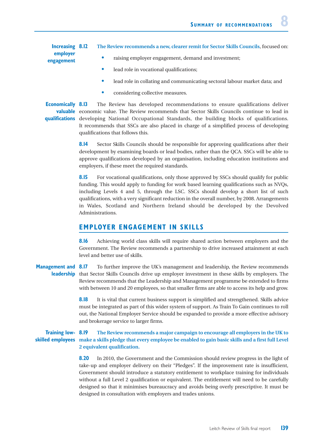**8.12 The Review recommends a new, clearer remit for Sector Skills Councils**, focused on: **Increasing**

#### **employer engagement**

- raising employer engagement, demand and investment;
- lead role in vocational qualifications;
- lead role in collating and communicating sectoral labour market data; and
- considering collective measures.

**8.13** The Review has developed recommendations to ensure qualifications deliver economic value. The Review recommends that Sector Skills Councils continue to lead in **valuable** developing National Occupational Standards, the building blocks of qualifications. **qualifications** It recommends that SSCs are also placed in charge of a simplified process of developing qualifications that follows this. **Economically**

> **8.14** Sector Skills Councils should be responsible for approving qualifications after their development by examining boards or lead bodies, rather than the QCA. SSCs will be able to approve qualifications developed by an organisation, including education institutions and employers, if these meet the required standards.

> **8.15** For vocational qualifications, only those approved by SSCs should qualify for public funding. This would apply to funding for work based learning qualifications such as NVQs, including Levels 4 and 5, through the LSC. SSCs should develop a short list of such qualifications, with a very significant reduction in the overall number, by 2008. Arrangements in Wales, Scotland and Northern Ireland should be developed by the Devolved Administrations.

# **EMPLOYER ENGAGEMENT IN SKILLS**

**8.16** Achieving world class skills will require shared action between employers and the Government. The Review recommends a partnership to drive increased attainment at each level and better use of skills.

**8.17** To further improve the UK's management and leadership, the Review recommends leadership that Sector Skills Councils drive up employer investment in these skills by employers. The Review recommends that the Leadership and Management programme be extended to firms with between 10 and 20 employees, so that smaller firms are able to access its help and grow. **Management and**

> **8.18** It is vital that current business support is simplified and strengthened. Skills advice must be integrated as part of this wider system of support. As Train To Gain continues to roll out, the National Employer Service should be expanded to provide a more effective advisory and brokerage service to larger firms.

**8.19 The Review recommends a major campaign to encourage all employers in the UK to make a skills pledge that every employee be enabled to gain basic skills and a first full Level 2 equivalent qualification. Training lowskilled employees**

> **8.20** In 2010, the Government and the Commission should review progress in the light of take-up and employer delivery on their "Pledges". If the improvement rate is insufficient, Government should introduce a statutory entitlement to workplace training for individuals without a full Level 2 qualification or equivalent. The entitlement will need to be carefully designed so that it minimises bureaucracy and avoids being overly prescriptive. It must be designed in consultation with employers and trades unions.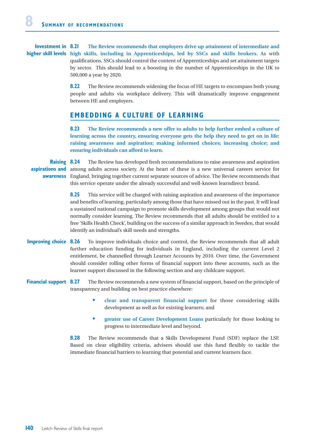**8.21 The Review recommends that employers drive up attainment of intermediate and** higher skill levels high skills, including in Apprenticeships, led by SSCs and skills brokers. As with qualifications, SSCs should control the content of Apprenticeships and set attainment targets by sector. This should lead to a boosting in the number of Apprenticeships in the UK to 500,000 a year by 2020. **Investment in**

> **8.22** The Review recommends widening the focus of HE targets to encompass both young people and adults via workplace delivery. This will dramatically improve engagement between HE and employers.

# **EMBEDDING A CULTURE OF LEARNING**

**8.23 The Review recommends a new offer to adults to help further embed a culture of learning across the country, ensuring everyone gets the help they need to get on in life: raising awareness and aspiration; making informed choices; increasing choice; and ensuring individuals can afford to learn.**

**8.24** The Review has developed fresh recommendations to raise awareness and aspiration aspirations and among adults across society. At the heart of these is a new universal careers service for awareness England, bringing together current separate sources of advice. The Review recommends that this service operate under the already successful and well-known learndirect brand. **Raising**

> **8.25** This service will be charged with raising aspiration and awareness of the importance and benefits of learning, particularly among those that have missed out in the past. It will lead a sustained national campaign to promote skills development among groups that would not normally consider learning. The Review recommends that all adults should be entitled to a free 'Skills Health Check', building on the success of a similar approach in Sweden, that would identify an individual's skill needs and strengths.

**8.26** To improve individuals choice and control, the Review recommends that all adult further education funding for individuals in England, including the current Level 2 entitlement, be channelled through Learner Accounts by 2010. Over time, the Government should consider rolling other forms of financial support into these accounts, such as the learner support discussed in the following section and any childcare support. **Improving choice**

**8.27** The Review recommends a new system of financial support, based on the principle of transparency and building on best practice elsewhere: **Financial support**

- **clear and transparent financial support** for those considering skills development as well as for existing learners; and
- **greater use of Career Development Loans** particularly for those looking to progress to intermediate level and beyond.

**8.28** The Review recommends that a Skills Development Fund (SDF) replace the LSF. Based on clear eligibility criteria, advisers should use this fund flexibly to tackle the immediate financial barriers to learning that potential and current learners face.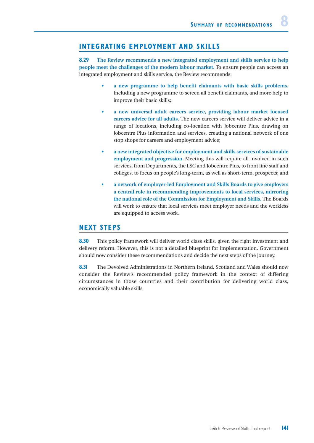## **INTEGRATING EMPLOYMENT AND SKILLS**

**8.29 The Review recommends a new integrated employment and skills service to help people meet the challenges of the modern labour market.** To ensure people can access an integrated employment and skills service, the Review recommends:

- **a new programme to help benefit claimants with basic skills problems.** Including a new programme to screen all benefit claimants, and more help to improve their basic skills;
- **a new universal adult careers service, providing labour market focused careers advice for all adults.** The new careers service will deliver advice in a range of locations, including co-location with Jobcentre Plus, drawing on Jobcentre Plus information and services, creating a national network of one stop shops for careers and employment advice;
- **a new integrated objective for employment and skills services of sustainable employment and progression.** Meeting this will require all involved in such services, from Departments, the LSC and Jobcentre Plus, to front line staff and colleges, to focus on people's long-term, as well as short-term, prospects; and
- **a network of employer-led Employment and Skills Boards to give employers a central role in recommending improvements to local services, mirroring the national role of the Commission for Employment and Skills.** The Boards will work to ensure that local services meet employer needs and the workless are equipped to access work.

## **NEXT STEPS**

**8.30** This policy framework will deliver world class skills, given the right investment and delivery reform. However, this is not a detailed blueprint for implementation. Government should now consider these recommendations and decide the next steps of the journey.

**8.31** The Devolved Administrations in Northern Ireland, Scotland and Wales should now consider the Review's recommended policy framework in the context of differing circumstances in those countries and their contribution for delivering world class, economically valuable skills.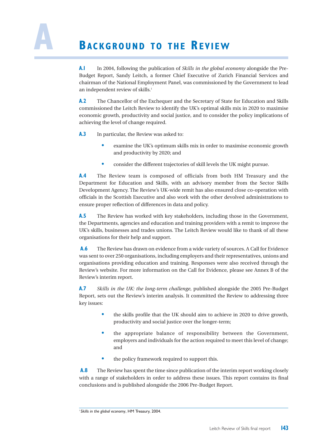

# **A BACKGROUND TO THE REVIEW**

**A.1** In 2004, following the publication of *Skills in the global economy* alongside the Pre-Budget Report, Sandy Leitch, a former Chief Executive of Zurich Financial Services and chairman of the National Employment Panel, was commissioned by the Government to lead an independent review of skills.<sup>1</sup>

**A.2** The Chancellor of the Exchequer and the Secretary of State for Education and Skills commissioned the Leitch Review to identify the UK's optimal skills mix in 2020 to maximise economic growth, productivity and social justice, and to consider the policy implications of achieving the level of change required.

**A.3** In particular, the Review was asked to:

- examine the UK's optimum skills mix in order to maximise economic growth and productivity by 2020; and
- consider the different trajectories of skill levels the UK might pursue.

**A.4** The Review team is composed of officials from both HM Treasury and the Department for Education and Skills, with an advisory member from the Sector Skills Development Agency. The Review's UK-wide remit has also ensured close co-operation with officials in the Scottish Executive and also work with the other devolved administrations to ensure proper reflection of differences in data and policy.

**A.5** The Review has worked with key stakeholders, including those in the Government, the Departments, agencies and education and training providers with a remit to improve the UK's skills, businesses and trades unions. The Leitch Review would like to thank of all these organisations for their help and support.

**A.6** The Review has drawn on evidence from a wide variety of sources. A Call for Evidence was sent to over 250 organisations, including employers and their representatives, unions and organisations providing education and training. Responses were also received through the Review's website. For more information on the Call for Evidence, please see Annex B of the Review's interim report.

**A.7** *Skills in the UK: the long-term challenge*, published alongside the 2005 Pre-Budget Report, sets out the Review's interim analysis. It committed the Review to addressing three key issues:

- the skills profile that the UK should aim to achieve in 2020 to drive growth, productivity and social justice over the longer-term;
- the appropriate balance of responsibility between the Government, employers and individuals for the action required to meet this level of change; and
- the policy framework required to support this.

**A.8** The Review has spent the time since publication of the interim report working closely with a range of stakeholders in order to address these issues. This report contains its final conclusions and is published alongside the 2006 Pre-Budget Report.

<sup>1</sup> *Skills in the global economy*, HM Treasury, 2004.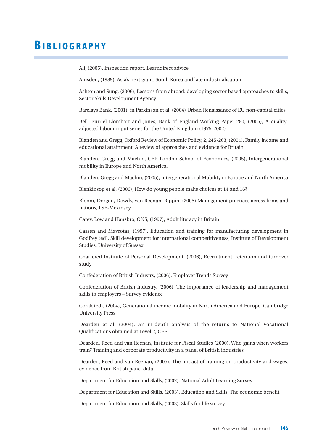## **BIBLIOGRAPHY**

Ali, (2005), Inspection report, Learndirect advice

Amsden, (1989), Asia's next giant: South Korea and late industrialisation

Ashton and Sung, (2006), Lessons from abroad: developing sector based approaches to skills, Sector Skills Development Agency

Barclays Bank, (2001), in Parkinson et al, (2004) Urban Renaissance of EU non-capital cities

Bell, Burriel-Llombart and Jones, Bank of England Working Paper 280, (2005), A qualityadjusted labour input series for the United Kingdom (1975-2002)

Blanden and Gregg, Oxford Review of Economic Policy, 2, 245-263, (2004), Family income and educational attainment: A review of approaches and evidence for Britain

Blanden, Gregg and Machin, CEP, London School of Economics, (2005), Intergenerational mobility in Europe and North America.

Blanden, Gregg and Machin, (2005), Intergenerational Mobility in Europe and North America

Blenkinsop et al, (2006), How do young people make choices at 14 and 16?

Bloom, Dorgan, Dowdy, van Reenan, Rippin, (2005),Management practices across firms and nations, LSE-Mckinsey

Carey, Low and Hansbro, ONS, (1997), Adult literacy in Britain

Cassen and Mavrotas, (1997), Education and training for manufacturing development in Godfrey (ed), Skill development for international competitiveness, Institute of Development Studies, University of Sussex

Chartered Institute of Personal Development, (2006), Recruitment, retention and turnover study

Confederation of British Industry, (2006), Employer Trends Survey

Confederation of British Industry, (2006), The importance of leadership and management skills to employers – Survey evidence

Corak (ed), (2004), Generational income mobility in North America and Europe, Cambridge University Press

Dearden et al, (2004), An in-depth analysis of the returns to National Vocational Qualifications obtained at Level 2, CEE

Dearden, Reed and van Reenan, Institute for Fiscal Studies (2000), Who gains when workers train? Training and corporate productivity in a panel of British industries

Dearden, Reed and van Reenan, (2005), The impact of training on productivity and wages: evidence from British panel data

Department for Education and Skills, (2002), National Adult Learning Survey

Department for Education and Skills, (2003), Education and Skills: The economic benefit

Department for Education and Skills, (2003), Skills for life survey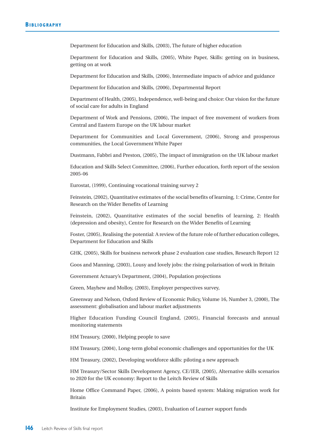Department for Education and Skills, (2003), The future of higher education

Department for Education and Skills, (2005), White Paper, Skills: getting on in business, getting on at work

Department for Education and Skills, (2006), Intermediate impacts of advice and guidance

Department for Education and Skills, (2006), Departmental Report

Department of Health, (2005), Independence, well-being and choice: Our vision for the future of social care for adults in England

Department of Work and Pensions, (2006), The impact of free movement of workers from Central and Eastern Europe on the UK labour market

Department for Communities and Local Government, (2006), Strong and prosperous communities, the Local Government White Paper

Dustmann, Fabbri and Preston, (2005), The impact of immigration on the UK labour market

Education and Skills Select Committee, (2006), Further education, forth report of the session 2005-06

Eurostat, (1999), Continuing vocational training survey 2

Feinstein, (2002), Quantitative estimates of the social benefits of learning, 1: Crime, Centre for Research on the Wider Benefits of Learning

Feinstein, (2002), Quantitative estimates of the social benefits of learning, 2: Health (depression and obesity), Centre for Research on the Wider Benefits of Learning

Foster, (2005), Realising the potential: A review of the future role of further education colleges, Department for Education and Skills

GHK, (2005), Skills for business network phase 2 evaluation case studies, Research Report 12

Goos and Manning, (2003), Lousy and lovely jobs: the rising polarisation of work in Britain

Government Actuary's Department, (2004), Population projections

Green, Mayhew and Molloy, (2003), Employer perspectives survey,

Greenway and Nelson, Oxford Review of Economic Policy, Volume 16, Number 3, (2000), The assessment: globalisation and labour market adjustments

Higher Education Funding Council England, (2005), Financial forecasts and annual monitoring statements

HM Treasury, (2000), Helping people to save

HM Treasury, (2004), Long-term global economic challenges and opportunities for the UK

HM Treasury, (2002), Developing workforce skills: piloting a new approach

HM Treasury/Sector Skills Development Agency, CE/IER, (2005), Alternative skills scenarios to 2020 for the UK economy: Report to the Leitch Review of Skills

Home Office Command Paper, (2006), A points based system: Making migration work for Britain

Institute for Employment Studies, (2003), Evaluation of Learner support funds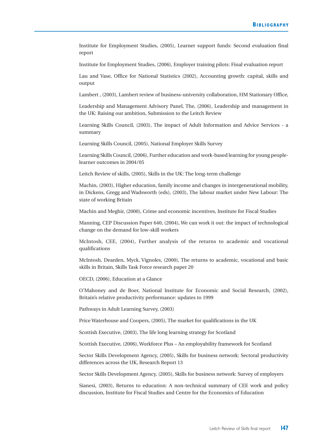Institute for Employment Studies, (2005), Learner support funds: Second evaluation final report

Institute for Employment Studies, (2006), Employer training pilots: Final evaluation report

Lau and Vase, Office for National Statistics (2002), Accounting growth: capital, skills and output

Lambert , (2003), Lambert review of business-university collaboration, HM Stationary Office,

Leadership and Management Advisory Panel, The, (2006), Leadership and management in the UK: Raising our ambition, Submission to the Leitch Review

Learning Skills Council, (2003), The impact of Adult Information and Advice Services - a summary

Learning Skills Council, (2005), National Employer Skills Survey

Learning Skills Council, (2006), Further education and work-based learning for young peoplelearner outcomes in 2004/05

Leitch Review of skills, (2005), Skills in the UK: The long-term challenge

Machin, (2003), Higher education, family income and changes in intergenerational mobility, in Dickens, Gregg and Wadsworth (eds), (2003), The labour market under New Labour: The state of working Britain

Machin and Meghir, (2000), Crime and economic incentives, Institute for Fiscal Studies

Manning, CEP Discussion Paper 640, (2004), We can work it out: the impact of technological change on the demand for low-skill workers

McIntosh, CEE, (2004), Further analysis of the returns to academic and vocational qualifications

McIntosh, Dearden, Myck, Vignoles, (2000), The returns to academic, vocational and basic skills in Britain, Skills Task Force research paper 20

OECD, (2006), Education at a Glance

O'Mahoney and de Boer, National Institute for Economic and Social Research, (2002), Britain's relative productivity performance: updates to 1999

Pathways in Adult Learning Survey, (2003)

Price Waterhouse and Coopers, (2005), The market for qualifications in the UK

Scottish Executive, (2003), The life long learning strategy for Scotland

Scottish Executive, (2006), Workforce Plus – An employability framework for Scotland

Sector Skills Development Agency, (2005), Skills for business network: Sectoral productivity differences across the UK, Research Report 13

Sector Skills Development Agency, (2005), Skills for business network: Survey of employers

Sianesi, (2003), Returns to education: A non-technical summary of CEE work and policy discussion, Institute for Fiscal Studies and Centre for the Economics of Education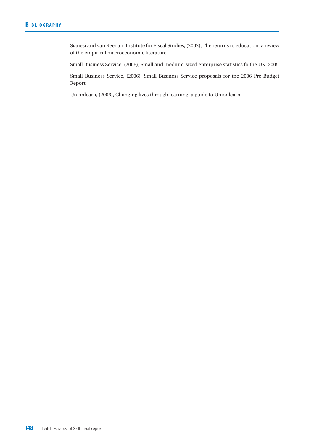Sianesi and van Reenan, Institute for Fiscal Studies, (2002), The returns to education: a review of the empirical macroeconomic literature

Small Business Service, (2006), Small and medium-sized enterprise statistics fo the UK, 2005

Small Business Service, (2006), Small Business Service proposals for the 2006 Pre Budget Report

Unionlearn, (2006), Changing lives through learning, a guide to Unionlearn